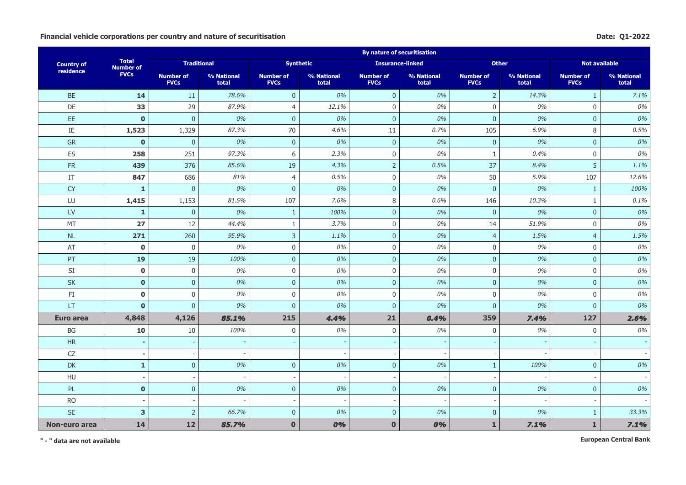## Financial vehicle corporations per country and nature of securitisation **Date: Q1-2022**

|                   |                                  |                                 |                     |                                 |                          | <b>By nature of securitisation</b> |                     |                                 |                     |                                 |                     |
|-------------------|----------------------------------|---------------------------------|---------------------|---------------------------------|--------------------------|------------------------------------|---------------------|---------------------------------|---------------------|---------------------------------|---------------------|
| <b>Country of</b> | <b>Total</b><br><b>Number of</b> | <b>Traditional</b>              |                     |                                 | <b>Synthetic</b>         | <b>Insurance-linked</b>            |                     | <b>Other</b>                    |                     | <b>Not available</b>            |                     |
| residence         | <b>FVCs</b>                      | <b>Number of</b><br><b>FVCs</b> | % National<br>total | <b>Number of</b><br><b>FVCs</b> | % National<br>total      | <b>Number of</b><br><b>FVCs</b>    | % National<br>total | <b>Number of</b><br><b>FVCs</b> | % National<br>total | <b>Number of</b><br><b>FVCs</b> | % National<br>total |
| <b>BE</b>         | 14                               | 11                              | 78.6%               | $\mathbf{0}$                    | 0%                       | $\overline{0}$                     | 0%                  | $\overline{2}$                  | 14.3%               | $\mathbf{1}$                    | 7.1%                |
| DE                | 33                               | 29                              | 87.9%               | $\overline{4}$                  | 12.1%                    | $\mathsf{0}$                       | 0%                  | $\mathbf 0$                     | 0%                  | $\mathbf 0$                     | 0%                  |
| EE                | $\mathbf{0}$                     | $\overline{0}$                  | 0%                  | $\boldsymbol{0}$                | 0%                       | $\pmb{0}$                          | 0%                  | $\pmb{0}$                       | 0%                  | $\pmb{0}$                       | 0%                  |
| $\rm IE$          | 1,523                            | 1,329                           | 87.3%               | $70\,$                          | 4.6%                     | 11                                 | 0.7%                | 105                             | 6.9%                | 8                               | 0.5%                |
| GR                | $\bf{0}$                         | $\overline{0}$                  | 0%                  | $\boldsymbol{0}$                | 0%                       | $\mathbf{0}$                       | 0%                  | $\mathbf 0$                     | 0%                  | $\mathbf 0$                     | 0%                  |
| ES                | 258                              | 251                             | 97.3%               | 6                               | 2.3%                     | $\mathbf 0$                        | 0%                  | $\mathbf{1}$                    | 0.4%                | $\mathbf 0$                     | 0%                  |
| FR                | 439                              | 376                             | 85.6%               | 19                              | 4.3%                     | $\overline{2}$                     | 0.5%                | 37                              | 8.4%                | 5                               | 1.1%                |
| IT                | 847                              | 686                             | 81%                 | $\overline{4}$                  | 0.5%                     | $\mathsf{0}$                       | 0%                  | 50                              | 5.9%                | 107                             | 12.6%               |
| <b>CY</b>         | $\mathbf{1}$                     | $\overline{0}$                  | 0%                  | $\mathbf{0}$                    | 0%                       | $\overline{0}$                     | 0%                  | $\mathbf{0}$                    | 0%                  | $\mathbf{1}$                    | 100%                |
| LU                | 1,415                            | 1,153                           | 81.5%               | 107                             | 7.6%                     | $\,8\,$                            | 0.6%                | 146                             | 10.3%               | 1                               | 0.1%                |
| <b>LV</b>         | $\mathbf{1}$                     | $\mathbf{0}$                    | 0%                  | $\mathbf{1}$                    | 100%                     | $\mathbf{0}$                       | 0%                  | $\mathbf{0}$                    | 0%                  | $\mathbf{0}$                    | 0%                  |
| MT                | 27                               | 12                              | 44.4%               | $\mathbf{1}$                    | 3.7%                     | $\mathbf 0$                        | 0%                  | 14                              | 51.9%               | $\mathbf 0$                     | 0%                  |
| $\sf NL$          | 271                              | 260                             | 95.9%               | $\overline{3}$                  | 1.1%                     | $\mathbf{0}$                       | 0%                  | $\overline{4}$                  | 1.5%                | $\overline{4}$                  | 1.5%                |
| AT                | $\bf{0}$                         | $\boldsymbol{0}$                | 0%                  | $\boldsymbol{0}$                | 0%                       | $\mathsf{0}$                       | 0%                  | $\boldsymbol{0}$                | 0%                  | $\boldsymbol{0}$                | 0%                  |
| PT                | 19                               | 19                              | 100%                | $\pmb{0}$                       | 0%                       | $\overline{0}$                     | 0%                  | $\pmb{0}$                       | 0%                  | $\mathbf 0$                     | 0%                  |
| SI                | $\mathbf 0$                      | $\mathbf 0$                     | 0%                  | $\mathsf 0$                     | 0%                       | $\mathbf 0$                        | 0%                  | $\mathbf 0$                     | 0%                  | $\mathsf{O}\xspace$             | 0%                  |
| <b>SK</b>         | $\mathbf 0$                      | $\overline{0}$                  | 0%                  | $\mathbf 0$                     | 0%                       | $\overline{0}$                     | 0%                  | $\mathbf 0$                     | 0%                  | $\mathbf 0$                     | 0%                  |
| FI.               | $\mathbf 0$                      | $\mathbf 0$                     | 0%                  | $\overline{0}$                  | 0%                       | $\mathbf 0$                        | 0%                  | $\mathbf 0$                     | 0%                  | $\mathbf 0$                     | 0%                  |
| LT.               | $\mathbf{0}$                     | $\overline{0}$                  | 0%                  | $\overline{0}$                  | 0%                       | $\mathbf{0}$                       | 0%                  | $\mathbf{0}$                    | 0%                  | $\mathbf{0}$                    | 0%                  |
| Euro area         | 4,848                            | 4,126                           | 85.1%               | 215                             | 4.4%                     | 21                                 | 0.4%                | 359                             | 7.4%                | 127                             | 2.6%                |
| BG                | 10                               | $10\,$                          | 100%                | $\mathbf 0$                     | 0%                       | $\mathbf 0$                        | 0%                  | $\mathbf 0$                     | 0%                  | $\mathbf 0$                     | 0%                  |
| HR                | $\overline{a}$                   |                                 |                     |                                 |                          |                                    |                     |                                 |                     |                                 |                     |
| ${\sf CZ}$        | $\blacksquare$                   | $\overline{\phantom{a}}$        |                     |                                 |                          | $\overline{\phantom{a}}$           |                     |                                 |                     |                                 |                     |
| <b>DK</b>         | $\mathbf{1}$                     | $\pmb{0}$                       | 0%                  | $\pmb{0}$                       | 0%                       | $\overline{0}$                     | $0\%$               | $\mathbf{1}$                    | 100%                | $\pmb{0}$                       | 0%                  |
| HU                | $\blacksquare$                   | $\sim$                          |                     |                                 | $\overline{\phantom{a}}$ | $\overline{\phantom{a}}$           |                     |                                 |                     |                                 |                     |
| PL                | $\mathbf{0}$                     | $\overline{0}$                  | 0%                  | $\boldsymbol{0}$                | 0%                       | $\overline{0}$                     | 0%                  | $\mathbf{0}$                    | 0%                  | $\mathbf 0$                     | 0%                  |
| <b>RO</b>         |                                  |                                 |                     |                                 |                          |                                    |                     |                                 |                     |                                 |                     |
| <b>SE</b>         | $\overline{\mathbf{3}}$          | $\overline{2}$                  | 66.7%               | $\mathbf{0}$                    | 0%                       | $\overline{0}$                     | 0%                  | $\mathbf{0}$                    | 0%                  | $\mathbf{1}$                    | 33.3%               |
| Non-euro area     | 14                               | 12                              | 85.7%               | $\mathbf{0}$                    | 0%                       | $\bf{0}$                           | 0%                  | $\mathbf{1}$                    | 7.1%                | $\mathbf{1}$                    | 7.1%                |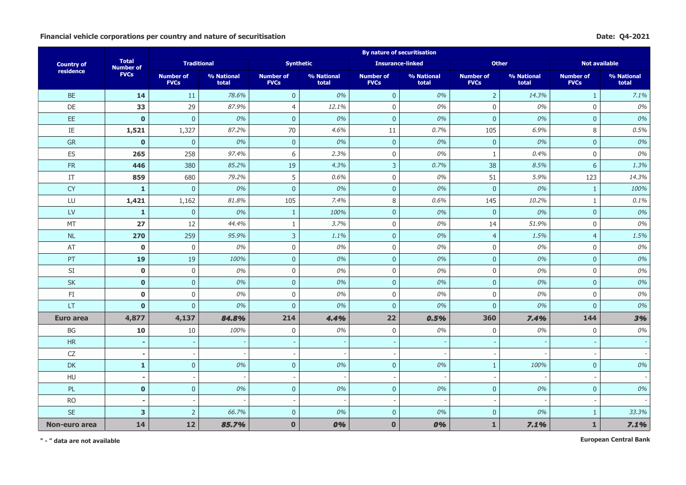## Financial vehicle corporations per country and nature of securitisation **Date:** Q4-2021

|                   |                                  |                                 |                     |                                 |                          | <b>By nature of securitisation</b> |                     |                                 |                     |                                 |                     |
|-------------------|----------------------------------|---------------------------------|---------------------|---------------------------------|--------------------------|------------------------------------|---------------------|---------------------------------|---------------------|---------------------------------|---------------------|
| <b>Country of</b> | <b>Total</b><br><b>Number of</b> | <b>Traditional</b>              |                     |                                 | <b>Synthetic</b>         | <b>Insurance-linked</b>            |                     | <b>Other</b>                    |                     | <b>Not available</b>            |                     |
| residence         | <b>FVCs</b>                      | <b>Number of</b><br><b>FVCs</b> | % National<br>total | <b>Number of</b><br><b>FVCs</b> | % National<br>total      | <b>Number of</b><br><b>FVCs</b>    | % National<br>total | <b>Number of</b><br><b>FVCs</b> | % National<br>total | <b>Number of</b><br><b>FVCs</b> | % National<br>total |
| <b>BE</b>         | 14                               | 11                              | 78.6%               | $\mathbf 0$                     | 0%                       | $\overline{0}$                     | 0%                  | $\overline{2}$                  | 14.3%               | $\mathbf{1}$                    | 7.1%                |
| DE                | 33                               | 29                              | 87.9%               | $\overline{4}$                  | 12.1%                    | $\mathbf 0$                        | 0%                  | $\mathbf 0$                     | 0%                  | $\mathbf 0$                     | 0%                  |
| EE                | $\mathbf 0$                      | $\overline{0}$                  | 0%                  | $\pmb{0}$                       | 0%                       | $\pmb{0}$                          | 0%                  | $\mathbf 0$                     | 0%                  | $\pmb{0}$                       | 0%                  |
| $\rm IE$          | 1,521                            | 1,327                           | 87.2%               | 70                              | 4.6%                     | 11                                 | 0.7%                | 105                             | 6.9%                | 8                               | 0.5%                |
| GR                | $\mathbf{0}$                     | $\overline{0}$                  | 0%                  | $\mathbf{0}$                    | 0%                       | $\overline{0}$                     | 0%                  | $\overline{0}$                  | 0%                  | $\overline{0}$                  | 0%                  |
| ES                | 265                              | 258                             | 97.4%               | 6                               | 2.3%                     | $\mathbf 0$                        | $0\%$               | $\mathbf{1}$                    | 0.4%                | $\mathbf 0$                     | 0%                  |
| FR                | 446                              | 380                             | 85.2%               | 19                              | 4.3%                     | $\overline{3}$                     | 0.7%                | 38                              | 8.5%                | 6                               | 1.3%                |
| IT                | 859                              | 680                             | 79.2%               | 5                               | 0.6%                     | $\mathbf 0$                        | 0%                  | 51                              | 5.9%                | 123                             | 14.3%               |
| <b>CY</b>         | $\mathbf{1}$                     | $\overline{0}$                  | 0%                  | $\mathbf{0}$                    | 0%                       | $\mathbf{0}$                       | 0%                  | $\overline{0}$                  | 0%                  | $\mathbf{1}$                    | 100%                |
| LU                | 1,421                            | 1,162                           | 81.8%               | 105                             | 7.4%                     | $\,8\,$                            | 0.6%                | 145                             | 10.2%               | 1                               | 0.1%                |
| LV                | $\mathbf{1}$                     | $\mathbf 0$                     | 0%                  | $\mathbf{1}$                    | 100%                     | $\overline{0}$                     | 0%                  | $\mathbf 0$                     | 0%                  | $\mathbf 0$                     | 0%                  |
| MT                | 27                               | 12                              | 44.4%               | $\mathbf{1}$                    | 3.7%                     | $\mathbf 0$                        | 0%                  | 14                              | 51.9%               | $\mathbf 0$                     | 0%                  |
| <b>NL</b>         | 270                              | 259                             | 95.9%               | $\overline{3}$                  | 1.1%                     | $\overline{0}$                     | 0%                  | $\overline{4}$                  | 1.5%                | $\overline{4}$                  | 1.5%                |
| AT                | $\mathbf 0$                      | $\mathbf 0$                     | 0%                  | $\mathbf 0$                     | 0%                       | $\mathbf 0$                        | 0%                  | $\mathbf 0$                     | 0%                  | $\mathbf 0$                     | 0%                  |
| PT                | 19                               | 19                              | 100%                | $\mathbf 0$                     | 0%                       | $\overline{0}$                     | 0%                  | $\pmb{0}$                       | 0%                  | $\overline{0}$                  | 0%                  |
| <b>SI</b>         | $\mathbf 0$                      | $\mathbf 0$                     | 0%                  | $\mathsf 0$                     | 0%                       | $\mathbf 0$                        | 0%                  | $\mathbf 0$                     | 0%                  | $\mathbf 0$                     | 0%                  |
| SK                | $\mathbf{0}$                     | $\pmb{0}$                       | 0%                  | $\boldsymbol{0}$                | 0%                       | $\pmb{0}$                          | 0%                  | $\pmb{0}$                       | 0%                  | $\mathbf 0$                     | 0%                  |
| FI.               | $\bf{0}$                         | $\mathbf 0$                     | 0%                  | $\boldsymbol{0}$                | 0%                       | $\mathbf 0$                        | 0%                  | $\mathbf 0$                     | 0%                  | $\mathbf 0$                     | 0%                  |
| <b>LT</b>         | $\mathbf{0}$                     | $\mathbf 0$                     | 0%                  | $\mathbf{0}$                    | 0%                       | $\mathbf{0}$                       | 0%                  | $\mathbf 0$                     | 0%                  | $\mathbf{0}$                    | 0%                  |
| Euro area         | 4,877                            | 4,137                           | 84.8%               | 214                             | 4.4%                     | 22                                 | 0.5%                | 360                             | 7.4%                | 144                             | 3%                  |
| BG                | 10                               | 10                              | 100%                | $\overline{0}$                  | 0%                       | $\mathbf 0$                        | 0%                  | $\mathbf 0$                     | 0%                  | $\mathbf{0}$                    | 0%                  |
| HR                | $\blacksquare$                   |                                 |                     |                                 |                          |                                    |                     |                                 |                     |                                 |                     |
| ${\sf CZ}$        | $\blacksquare$                   | $\overline{\phantom{a}}$        |                     |                                 |                          | $\overline{\phantom{a}}$           |                     |                                 |                     |                                 |                     |
| DK                | $\mathbf{1}$                     | $\pmb{0}$                       | 0%                  | $\boldsymbol{0}$                | 0%                       | $\overline{0}$                     | $0\%$               | $\mathbf{1}$                    | 100%                | $\mathbf 0$                     | 0%                  |
| HU                | $\blacksquare$                   | $\overline{\phantom{a}}$        |                     |                                 | $\overline{\phantom{a}}$ | $\overline{\phantom{a}}$           |                     |                                 |                     |                                 |                     |
| PL                | $\mathbf{0}$                     | $\overline{0}$                  | 0%                  | $\mathbf{0}$                    | 0%                       | $\overline{0}$                     | 0%                  | $\mathbf{0}$                    | 0%                  | $\mathbf{0}$                    | 0%                  |
| <b>RO</b>         |                                  |                                 |                     |                                 |                          |                                    |                     |                                 |                     |                                 |                     |
| <b>SE</b>         | $\overline{\mathbf{3}}$          | $\overline{2}$                  | 66.7%               | $\mathbf{0}$                    | 0%                       | $\overline{0}$                     | 0%                  | $\mathbf{0}$                    | 0%                  | $\mathbf{1}$                    | 33.3%               |
| Non-euro area     | 14                               | 12                              | 85.7%               | $\bf{0}$                        | 0%                       | $\bf{0}$                           | 0%                  | $\mathbf{1}$                    | 7.1%                | $\mathbf{1}$                    | 7.1%                |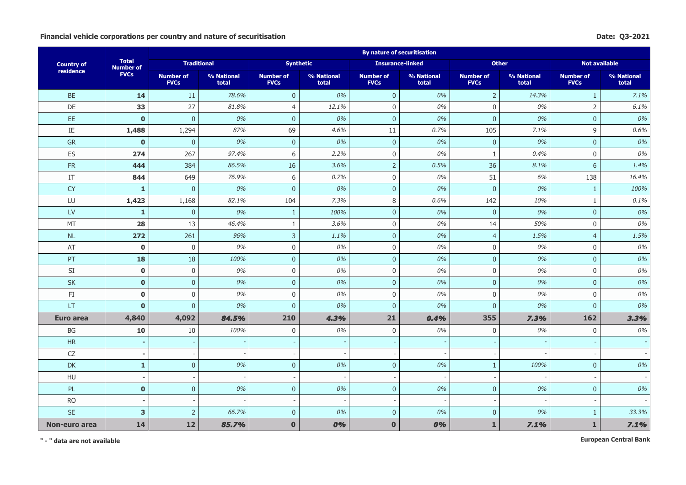## Financial vehicle corporations per country and nature of securitisation **Date:** Q3-2021

|                   |                                  |                                 |                     |                                 |                          | <b>By nature of securitisation</b> |                     |                                 |                     |                                 |                     |
|-------------------|----------------------------------|---------------------------------|---------------------|---------------------------------|--------------------------|------------------------------------|---------------------|---------------------------------|---------------------|---------------------------------|---------------------|
| <b>Country of</b> | <b>Total</b><br><b>Number of</b> | <b>Traditional</b>              |                     |                                 | <b>Synthetic</b>         | <b>Insurance-linked</b>            |                     | <b>Other</b>                    |                     | <b>Not available</b>            |                     |
| residence         | <b>FVCs</b>                      | <b>Number of</b><br><b>FVCs</b> | % National<br>total | <b>Number of</b><br><b>FVCs</b> | % National<br>total      | <b>Number of</b><br><b>FVCs</b>    | % National<br>total | <b>Number of</b><br><b>FVCs</b> | % National<br>total | <b>Number of</b><br><b>FVCs</b> | % National<br>total |
| <b>BE</b>         | 14                               | 11                              | 78.6%               | $\mathbf{0}$                    | 0%                       | $\overline{0}$                     | 0%                  | $\overline{2}$                  | 14.3%               | $\mathbf{1}$                    | 7.1%                |
| DE                | 33                               | 27                              | 81.8%               | $\overline{4}$                  | 12.1%                    | $\mathsf{0}$                       | 0%                  | $\mathbf 0$                     | 0%                  | $\overline{2}$                  | 6.1%                |
| EE                | $\mathbf{0}$                     | $\mathbf 0$                     | 0%                  | $\boldsymbol{0}$                | 0%                       | $\pmb{0}$                          | 0%                  | $\pmb{0}$                       | 0%                  | $\pmb{0}$                       | 0%                  |
| $\rm IE$          | 1,488                            | 1,294                           | 87%                 | 69                              | 4.6%                     | 11                                 | 0.7%                | 105                             | 7.1%                | 9                               | 0.6%                |
| GR                | $\bf{0}$                         | $\mathbf 0$                     | 0%                  | $\boldsymbol{0}$                | 0%                       | $\mathbf{0}$                       | 0%                  | $\mathbf 0$                     | 0%                  | $\pmb{0}$                       | 0%                  |
| ES                | 274                              | 267                             | 97.4%               | 6                               | 2.2%                     | $\mathbf 0$                        | 0%                  | $\mathbf{1}$                    | 0.4%                | $\mathbf 0$                     | 0%                  |
| FR                | 444                              | 384                             | 86.5%               | 16                              | 3.6%                     | $\overline{2}$                     | 0.5%                | 36                              | 8.1%                | 6                               | 1.4%                |
| IT                | 844                              | 649                             | 76.9%               | 6                               | 0.7%                     | $\mathsf{0}$                       | 0%                  | 51                              | 6%                  | 138                             | 16.4%               |
| <b>CY</b>         | $\mathbf{1}$                     | $\mathbf{0}$                    | 0%                  | $\overline{0}$                  | 0%                       | $\overline{0}$                     | 0%                  | $\mathbf{0}$                    | 0%                  | $\mathbf{1}$                    | 100%                |
| LU                | 1,423                            | 1,168                           | 82.1%               | 104                             | 7.3%                     | $\,8\,$                            | 0.6%                | 142                             | 10%                 | 1                               | 0.1%                |
| <b>LV</b>         | $\mathbf{1}$                     | $\mathbf{0}$                    | 0%                  | $\mathbf{1}$                    | 100%                     | $\mathbf{0}$                       | 0%                  | $\mathbf{0}$                    | 0%                  | $\mathbf{0}$                    | 0%                  |
| MT                | 28                               | 13                              | 46.4%               | $\mathbf{1}$                    | 3.6%                     | $\mathbf 0$                        | 0%                  | 14                              | 50%                 | $\mathbf 0$                     | 0%                  |
| $\sf NL$          | 272                              | 261                             | 96%                 | $\overline{3}$                  | 1.1%                     | $\mathbf{0}$                       | 0%                  | $\overline{4}$                  | 1.5%                | $\overline{4}$                  | 1.5%                |
| AT                | $\bf{0}$                         | $\boldsymbol{0}$                | 0%                  | $\boldsymbol{0}$                | 0%                       | $\mathsf{0}$                       | 0%                  | $\boldsymbol{0}$                | 0%                  | $\boldsymbol{0}$                | 0%                  |
| PT                | 18                               | 18                              | 100%                | $\pmb{0}$                       | 0%                       | $\overline{0}$                     | 0%                  | $\pmb{0}$                       | 0%                  | $\mathbf 0$                     | 0%                  |
| SI                | $\mathbf 0$                      | $\mathbf 0$                     | 0%                  | $\mathsf 0$                     | 0%                       | $\mathbf 0$                        | 0%                  | $\mathbf 0$                     | 0%                  | $\mathsf 0$                     | 0%                  |
| <b>SK</b>         | $\mathbf 0$                      | $\mathsf{O}\xspace$             | 0%                  | $\mathbf 0$                     | 0%                       | $\mathbf 0$                        | 0%                  | $\mathbf 0$                     | 0%                  | $\mathbf 0$                     | 0%                  |
| FI.               | $\mathbf 0$                      | $\mathbf 0$                     | 0%                  | $\overline{0}$                  | 0%                       | $\boldsymbol{0}$                   | 0%                  | $\mathbf 0$                     | 0%                  | $\mathbf 0$                     | 0%                  |
| LT.               | $\mathbf{0}$                     | $\mathbf{0}$                    | 0%                  | $\overline{0}$                  | 0%                       | $\mathbf{0}$                       | 0%                  | $\mathbf{0}$                    | 0%                  | $\mathbf{0}$                    | 0%                  |
| Euro area         | 4,840                            | 4,092                           | 84.5%               | 210                             | 4.3%                     | 21                                 | 0.4%                | 355                             | 7.3%                | 162                             | 3.3%                |
| BG                | 10                               | $10\,$                          | 100%                | $\mathbf 0$                     | 0%                       | $\mathbf 0$                        | 0%                  | $\mathbf 0$                     | 0%                  | $\mathbf 0$                     | 0%                  |
| HR                | $\overline{a}$                   |                                 |                     |                                 |                          |                                    |                     |                                 |                     |                                 |                     |
| ${\sf CZ}$        | $\blacksquare$                   | $\overline{\phantom{a}}$        |                     |                                 |                          | $\overline{\phantom{a}}$           |                     |                                 |                     |                                 |                     |
| <b>DK</b>         | $\mathbf{1}$                     | $\pmb{0}$                       | 0%                  | $\pmb{0}$                       | 0%                       | $\overline{0}$                     | $0\%$               | $\mathbf{1}$                    | 100%                | $\pmb{0}$                       | 0%                  |
| HU                | $\blacksquare$                   | $\sim$                          |                     |                                 | $\overline{\phantom{a}}$ | $\overline{\phantom{a}}$           |                     |                                 |                     |                                 |                     |
| PL                | $\mathbf{0}$                     | $\overline{0}$                  | 0%                  | $\boldsymbol{0}$                | 0%                       | $\overline{0}$                     | 0%                  | $\mathbf{0}$                    | 0%                  | $\mathbf 0$                     | 0%                  |
| <b>RO</b>         |                                  |                                 |                     |                                 |                          |                                    |                     |                                 |                     |                                 |                     |
| <b>SE</b>         | 3                                | $\overline{2}$                  | 66.7%               | $\mathbf{0}$                    | 0%                       | $\overline{0}$                     | 0%                  | $\mathbf{0}$                    | 0%                  | $\mathbf{1}$                    | 33.3%               |
| Non-euro area     | 14                               | 12                              | 85.7%               | $\bf{0}$                        | 0%                       | $\bf{0}$                           | 0%                  | $\mathbf{1}$                    | 7.1%                | $\mathbf{1}$                    | 7.1%                |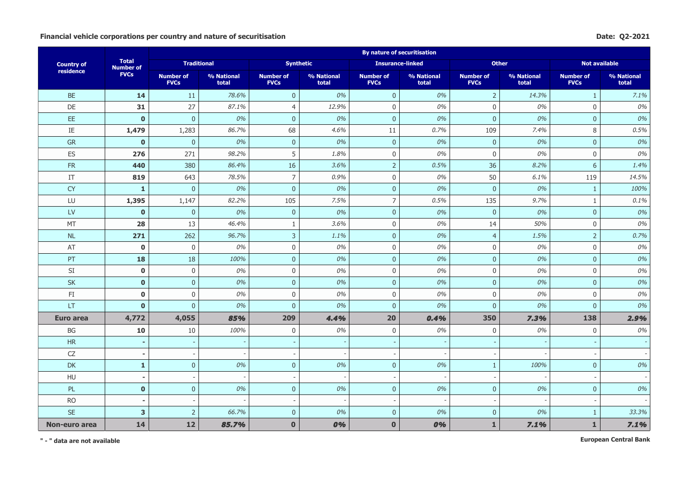## **Financial vehicle corporations per country and nature of securitisation Date: Q2-2021**

|                   |                                  |                                 |                     |                                 |                     | <b>By nature of securitisation</b> |                          |                                 |                     |                                 |                     |
|-------------------|----------------------------------|---------------------------------|---------------------|---------------------------------|---------------------|------------------------------------|--------------------------|---------------------------------|---------------------|---------------------------------|---------------------|
| <b>Country of</b> | <b>Total</b><br><b>Number of</b> | <b>Traditional</b>              |                     |                                 | <b>Synthetic</b>    | <b>Insurance-linked</b>            |                          | <b>Other</b>                    |                     | <b>Not available</b>            |                     |
| residence         | <b>FVCs</b>                      | <b>Number of</b><br><b>FVCs</b> | % National<br>total | <b>Number of</b><br><b>FVCs</b> | % National<br>total | <b>Number of</b><br><b>FVCs</b>    | % National<br>total      | <b>Number of</b><br><b>FVCs</b> | % National<br>total | <b>Number of</b><br><b>FVCs</b> | % National<br>total |
| <b>BE</b>         | 14                               | 11                              | 78.6%               | $\mathbf{0}$                    | 0%                  | $\overline{0}$                     | 0%                       | $\mathbf 2$                     | 14.3%               | $\mathbf{1}$                    | 7.1%                |
| DE                | 31                               | 27                              | 87.1%               | $\overline{4}$                  | 12.9%               | $\mathsf 0$                        | 0%                       | $\mathbf 0$                     | 0%                  | $\mathbf 0$                     | 0%                  |
| EE                | $\mathbf{0}$                     | $\mathbf 0$                     | 0%                  | $\bf 0$                         | 0%                  | $\pmb{0}$                          | 0%                       | $\pmb{0}$                       | 0%                  | $\pmb{0}$                       | 0%                  |
| $\rm IE$          | 1,479                            | 1,283                           | 86.7%               | 68                              | 4.6%                | 11                                 | 0.7%                     | 109                             | 7.4%                | 8                               | 0.5%                |
| <b>GR</b>         | $\mathbf{0}$                     | $\mathbf{0}$                    | 0%                  | $\mathbf 0$                     | 0%                  | $\mathbf{0}$                       | 0%                       | $\mathbf 0$                     | 0%                  | $\mathbf 0$                     | 0%                  |
| ES                | 276                              | 271                             | 98.2%               | 5                               | 1.8%                | $\mathbf 0$                        | 0%                       | $\mathbf 0$                     | 0%                  | $\mathbf 0$                     | 0%                  |
| FR                | 440                              | 380                             | 86.4%               | 16                              | 3.6%                | $\overline{2}$                     | 0.5%                     | 36                              | 8.2%                | 6                               | 1.4%                |
| IT                | 819                              | 643                             | 78.5%               | $\overline{7}$                  | 0.9%                | $\mathsf 0$                        | 0%                       | 50                              | 6.1%                | 119                             | 14.5%               |
| <b>CY</b>         | $\mathbf{1}$                     | $\mathbf{0}$                    | 0%                  | $\overline{0}$                  | 0%                  | $\mathbf 0$                        | 0%                       | $\overline{0}$                  | 0%                  | $\mathbf{1}$                    | 100%                |
| LU                | 1,395                            | 1,147                           | 82.2%               | 105                             | 7.5%                | $\overline{7}$                     | 0.5%                     | 135                             | 9.7%                | $\mathbf{1}$                    | 0.1%                |
| <b>LV</b>         | $\mathbf 0$                      | $\overline{0}$                  | 0%                  | $\overline{0}$                  | 0%                  | $\pmb{0}$                          | 0%                       | $\mathbf{0}$                    | 0%                  | $\mathbf{0}$                    | 0%                  |
| <b>MT</b>         | 28                               | 13                              | 46.4%               | $\mathbf{1}$                    | 3.6%                | $\mathbf 0$                        | 0%                       | 14                              | 50%                 | $\mathbf 0$                     | 0%                  |
| NL                | 271                              | 262                             | 96.7%               | $\overline{3}$                  | 1.1%                | $\mathbf{0}$                       | 0%                       | $\overline{4}$                  | 1.5%                | $\overline{2}$                  | 0.7%                |
| AT                | $\mathbf 0$                      | $\mathbf 0$                     | 0%                  | $\boldsymbol{0}$                | 0%                  | $\boldsymbol{0}$                   | 0%                       | $\boldsymbol{0}$                | 0%                  | $\boldsymbol{0}$                | 0%                  |
| PT                | 18                               | 18                              | 100%                | $\pmb{0}$                       | 0%                  | $\mathbf 0$                        | 0%                       | $\pmb{0}$                       | 0%                  | $\pmb{0}$                       | 0%                  |
| SI                | $\mathbf 0$                      | $\mathsf 0$                     | 0%                  | $\mathbf 0$                     | 0%                  | $\mathsf 0$                        | 0%                       | $\mathbf 0$                     | 0%                  | $\mathbf 0$                     | 0%                  |
| <b>SK</b>         | $\mathbf{0}$                     | $\pmb{0}$                       | 0%                  | $\mathbf{0}$                    | 0%                  | $\pmb{0}$                          | 0%                       | $\mathbf 0$                     | 0%                  | $\mathbf 0$                     | 0%                  |
| FI                | $\mathbf 0$                      | $\mathbf 0$                     | 0%                  | $\mathbf 0$                     | 0%                  | $\boldsymbol{0}$                   | 0%                       | $\mathbf 0$                     | 0%                  | $\mathbf 0$                     | 0%                  |
| LT.               | $\mathbf{0}$                     | $\mathbf{0}$                    | 0%                  | $\mathbf{0}$                    | 0%                  | $\mathbf 0$                        | 0%                       | $\mathbf{0}$                    | 0%                  | $\mathbf{0}$                    | 0%                  |
| Euro area         | 4,772                            | 4,055                           | 85%                 | 209                             | 4.4%                | 20                                 | 0.4%                     | 350                             | 7.3%                | 138                             | 2.9%                |
| BG                | 10                               | 10                              | 100%                | $\mathbf 0$                     | 0%                  | $\mathbf 0$                        | 0%                       | $\mathbf 0$                     | 0%                  | $\mathbf 0$                     | 0%                  |
| HR                | ۰                                |                                 |                     |                                 |                     |                                    |                          |                                 |                     |                                 |                     |
| ${\sf CZ}$        | $\blacksquare$                   | $\overline{\phantom{a}}$        |                     |                                 |                     | $\overline{\phantom{a}}$           |                          |                                 |                     |                                 |                     |
| DK                | $\mathbf{1}$                     | $\mathbf 0$                     | 0%                  | $\mathbf 0$                     | 0%                  | $\mathbf 0$                        | $0\%$                    | $\mathbf{1}$                    | 100%                | $\pmb{0}$                       | 0%                  |
| HU                | $\blacksquare$                   | $\overline{\phantom{a}}$        |                     |                                 |                     | $\blacksquare$                     | $\overline{\phantom{a}}$ |                                 |                     |                                 |                     |
| PL                | $\mathbf{0}$                     | $\pmb{0}$                       | 0%                  | $\pmb{0}$                       | 0%                  | $\mathbf 0$                        | 0%                       | $\overline{0}$                  | 0%                  | $\mathbf 0$                     | 0%                  |
| <b>RO</b>         |                                  |                                 |                     |                                 |                     |                                    |                          |                                 |                     |                                 |                     |
| <b>SE</b>         | 3                                | $\overline{2}$                  | 66.7%               | $\overline{0}$                  | 0%                  | $\mathbf{0}$                       | 0%                       | $\mathbf{0}$                    | 0%                  | $\mathbf{1}$                    | 33.3%               |
| Non-euro area     | 14                               | 12                              | 85.7%               | $\bf{0}$                        | 0%                  | $\bf{0}$                           | 0%                       | $\mathbf{1}$                    | 7.1%                | $\mathbf{1}$                    | 7.1%                |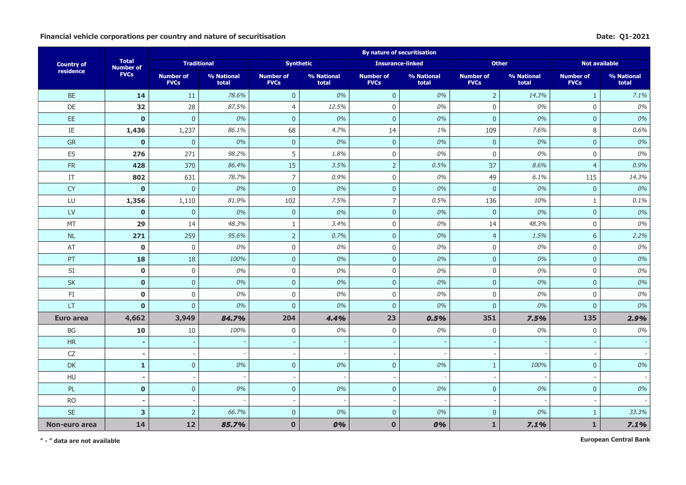## Financial vehicle corporations per country and nature of securitisation **Date:** Q1-2021

|                   |                                  |                                 |                     |                                 |                          | <b>By nature of securitisation</b> |                     |                                 |                     |                                 |                     |
|-------------------|----------------------------------|---------------------------------|---------------------|---------------------------------|--------------------------|------------------------------------|---------------------|---------------------------------|---------------------|---------------------------------|---------------------|
| <b>Country of</b> | <b>Total</b><br><b>Number of</b> | <b>Traditional</b>              |                     |                                 | <b>Synthetic</b>         | <b>Insurance-linked</b>            |                     | <b>Other</b>                    |                     | <b>Not available</b>            |                     |
| residence         | <b>FVCs</b>                      | <b>Number of</b><br><b>FVCs</b> | % National<br>total | <b>Number of</b><br><b>FVCs</b> | % National<br>total      | <b>Number of</b><br><b>FVCs</b>    | % National<br>total | <b>Number of</b><br><b>FVCs</b> | % National<br>total | <b>Number of</b><br><b>FVCs</b> | % National<br>total |
| <b>BE</b>         | 14                               | 11                              | 78.6%               | $\mathbf{0}$                    | 0%                       | $\overline{0}$                     | 0%                  | $\overline{2}$                  | 14.3%               | $\mathbf{1}$                    | 7.1%                |
| DE                | 32                               | 28                              | 87.5%               | $\overline{4}$                  | 12.5%                    | $\mathsf{0}$                       | 0%                  | $\mathbf 0$                     | 0%                  | $\mathbf 0$                     | 0%                  |
| EE                | $\mathbf{0}$                     | $\overline{0}$                  | 0%                  | $\pmb{0}$                       | 0%                       | $\pmb{0}$                          | 0%                  | $\pmb{0}$                       | 0%                  | $\pmb{0}$                       | 0%                  |
| $\rm IE$          | 1,436                            | 1,237                           | 86.1%               | 68                              | 4.7%                     | 14                                 | 1%                  | 109                             | 7.6%                | 8                               | 0.6%                |
| GR                | $\bf{0}$                         | $\mathbf{0}$                    | 0%                  | $\pmb{0}$                       | 0%                       | $\mathbf{0}$                       | 0%                  | $\mathbf 0$                     | 0%                  | $\mathbf 0$                     | 0%                  |
| ES                | 276                              | 271                             | 98.2%               | 5                               | 1.8%                     | $\mathbf 0$                        | 0%                  | $\mathbf 0$                     | 0%                  | $\mathbf 0$                     | 0%                  |
| FR                | 428                              | 370                             | 86.4%               | 15                              | 3.5%                     | $\overline{2}$                     | 0.5%                | 37                              | 8.6%                | $\overline{4}$                  | 0.9%                |
| IT                | 802                              | 631                             | 78.7%               | $\overline{7}$                  | 0.9%                     | $\mathsf{0}$                       | 0%                  | 49                              | 6.1%                | 115                             | 14.3%               |
| <b>CY</b>         | $\mathbf{0}$                     | $\mathbf 0$                     | 0%                  | $\bf 0$                         | 0%                       | $\overline{0}$                     | 0%                  | $\overline{0}$                  | 0%                  | $\overline{0}$                  | 0%                  |
| LU                | 1,356                            | 1,110                           | 81.9%               | 102                             | 7.5%                     | $\overline{7}$                     | 0.5%                | 136                             | 10%                 | 1                               | 0.1%                |
| <b>LV</b>         | $\mathbf 0$                      | $\mathbf{0}$                    | 0%                  | $\mathbf{0}$                    | 0%                       | $\mathbf{0}$                       | 0%                  | $\mathbf{0}$                    | 0%                  | $\mathbf{0}$                    | 0%                  |
| MT                | 29                               | 14                              | 48.3%               | $\mathbf{1}$                    | 3.4%                     | $\mathbf 0$                        | 0%                  | 14                              | 48.3%               | $\mathbf 0$                     | 0%                  |
| $\sf NL$          | 271                              | 259                             | 95.6%               | $\overline{2}$                  | 0.7%                     | $\mathbf{0}$                       | 0%                  | $\overline{4}$                  | 1.5%                | 6                               | 2.2%                |
| AT                | $\bf{0}$                         | $\boldsymbol{0}$                | 0%                  | $\boldsymbol{0}$                | 0%                       | $\mathsf{0}$                       | 0%                  | $\boldsymbol{0}$                | 0%                  | $\boldsymbol{0}$                | 0%                  |
| PT                | 18                               | 18                              | 100%                | $\pmb{0}$                       | 0%                       | $\overline{0}$                     | 0%                  | $\pmb{0}$                       | 0%                  | $\mathsf{O}\xspace$             | 0%                  |
| SI                | $\mathbf 0$                      | $\mathbf 0$                     | 0%                  | $\mathsf 0$                     | 0%                       | $\mathbf 0$                        | 0%                  | $\mathbf 0$                     | 0%                  | $\mathsf 0$                     | 0%                  |
| <b>SK</b>         | $\mathbf 0$                      | $\overline{0}$                  | 0%                  | $\mathbf 0$                     | 0%                       | $\mathbf 0$                        | 0%                  | $\mathbf 0$                     | 0%                  | $\mathbf 0$                     | 0%                  |
| FI.               | $\mathbf 0$                      | $\mathbf 0$                     | 0%                  | $\overline{0}$                  | 0%                       | $\mathbf 0$                        | 0%                  | $\mathbf 0$                     | 0%                  | $\mathbf 0$                     | 0%                  |
| LT.               | $\mathbf{0}$                     | $\overline{0}$                  | 0%                  | $\overline{0}$                  | 0%                       | $\mathbf{0}$                       | 0%                  | $\mathbf{0}$                    | 0%                  | $\mathbf{0}$                    | 0%                  |
| Euro area         | 4,662                            | 3,949                           | 84.7%               | 204                             | 4.4%                     | 23                                 | 0.5%                | 351                             | 7.5%                | 135                             | 2.9%                |
| BG                | 10                               | 10                              | 100%                | $\mathbf 0$                     | 0%                       | $\mathbf 0$                        | 0%                  | $\mathbf 0$                     | 0%                  | $\mathbf 0$                     | 0%                  |
| HR                | $\overline{a}$                   |                                 |                     |                                 |                          |                                    |                     |                                 |                     |                                 |                     |
| ${\sf CZ}$        | $\blacksquare$                   | $\overline{\phantom{a}}$        |                     |                                 |                          | $\overline{\phantom{a}}$           |                     |                                 |                     |                                 |                     |
| <b>DK</b>         | $\mathbf{1}$                     | $\pmb{0}$                       | 0%                  | $\pmb{0}$                       | 0%                       | $\overline{0}$                     | $0\%$               | $\mathbf{1}$                    | 100%                | $\pmb{0}$                       | 0%                  |
| HU                | $\blacksquare$                   | $\sim$                          |                     | $\overline{\phantom{a}}$        | $\overline{\phantom{a}}$ | $\overline{\phantom{a}}$           |                     |                                 |                     |                                 |                     |
| PL                | $\mathbf{0}$                     | $\overline{0}$                  | 0%                  | $\boldsymbol{0}$                | 0%                       | $\overline{0}$                     | 0%                  | $\mathbf{0}$                    | 0%                  | $\mathbf 0$                     | 0%                  |
| <b>RO</b>         |                                  |                                 |                     |                                 |                          |                                    |                     |                                 |                     |                                 |                     |
| <b>SE</b>         | $\overline{\mathbf{3}}$          | $\overline{2}$                  | 66.7%               | $\mathbf{0}$                    | 0%                       | $\overline{0}$                     | 0%                  | $\mathbf{0}$                    | 0%                  | $\mathbf{1}$                    | 33.3%               |
| Non-euro area     | 14                               | 12                              | 85.7%               | $\mathbf{0}$                    | 0%                       | $\bf{0}$                           | 0%                  | $\mathbf{1}$                    | 7.1%                | $\mathbf{1}$                    | 7.1%                |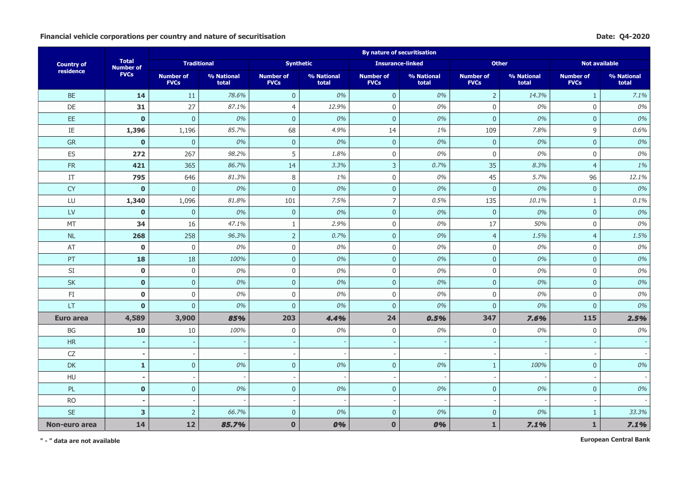## **Financial vehicle corporations per country and nature of securitisation Date: Q4-2020**

|                      |                                  |                                 |                     |                                 |                     | <b>By nature of securitisation</b> |                     |                                 |                     |                                 |                     |
|----------------------|----------------------------------|---------------------------------|---------------------|---------------------------------|---------------------|------------------------------------|---------------------|---------------------------------|---------------------|---------------------------------|---------------------|
| <b>Country of</b>    | <b>Total</b><br><b>Number of</b> | <b>Traditional</b>              |                     |                                 | <b>Synthetic</b>    | <b>Insurance-linked</b>            |                     | <b>Other</b>                    |                     | <b>Not available</b>            |                     |
| residence            | <b>FVCs</b>                      | <b>Number of</b><br><b>FVCs</b> | % National<br>total | <b>Number of</b><br><b>FVCs</b> | % National<br>total | <b>Number of</b><br><b>FVCs</b>    | % National<br>total | <b>Number of</b><br><b>FVCs</b> | % National<br>total | <b>Number of</b><br><b>FVCs</b> | % National<br>total |
| <b>BE</b>            | 14                               | 11                              | 78.6%               | $\mathbf{0}$                    | 0%                  | $\mathbf{0}$                       | 0%                  | $\overline{2}$                  | 14.3%               | $\mathbf{1}$                    | 7.1%                |
| DE                   | 31                               | 27                              | 87.1%               | $\overline{4}$                  | 12.9%               | $\mathbf 0$                        | 0%                  | $\overline{0}$                  | 0%                  | $\mathbf 0$                     | 0%                  |
| EE                   | $\mathbf{0}$                     | $\mathsf{O}\xspace$             | 0%                  | $\bf 0$                         | 0%                  | $\mathbf 0$                        | 0%                  | $\bf 0$                         | 0%                  | $\pmb{0}$                       | 0%                  |
| $\rm IE$             | 1,396                            | 1,196                           | 85.7%               | 68                              | 4.9%                | 14                                 | 1%                  | 109                             | 7.8%                | 9                               | 0.6%                |
| <b>GR</b>            | $\mathbf{0}$                     | $\overline{0}$                  | 0%                  | $\overline{0}$                  | 0%                  | $\overline{0}$                     | 0%                  | $\overline{0}$                  | 0%                  | $\overline{0}$                  | 0%                  |
| ES                   | 272                              | 267                             | 98.2%               | 5                               | 1.8%                | $\mathsf 0$                        | 0%                  | $\overline{0}$                  | 0%                  | $\mathbf 0$                     | 0%                  |
| <b>FR</b>            | 421                              | 365                             | 86.7%               | 14                              | 3.3%                | $\overline{3}$                     | 0.7%                | 35                              | 8.3%                | $\overline{4}$                  | 1%                  |
| IT                   | 795                              | 646                             | 81.3%               | 8                               | 1%                  | $\mathbf 0$                        | 0%                  | 45                              | 5.7%                | 96                              | 12.1%               |
| <b>CY</b>            | $\mathbf 0$                      | $\mathbf{0}$                    | 0%                  | $\bf 0$                         | 0%                  | $\pmb{0}$                          | 0%                  | $\Omega$                        | 0%                  | $\mathbf 0$                     | 0%                  |
| LU                   | 1,340                            | 1,096                           | 81.8%               | 101                             | 7.5%                | $\overline{7}$                     | 0.5%                | 135                             | 10.1%               | 1                               | 0.1%                |
| LV                   | $\mathbf{0}$                     | $\pmb{0}$                       | 0%                  | $\overline{0}$                  | 0%                  | $\overline{0}$                     | 0%                  | $\overline{0}$                  | 0%                  | $\mathbf{0}$                    | 0%                  |
| MT                   | 34                               | 16                              | 47.1%               | $\mathbf{1}$                    | 2.9%                | $\mathbf 0$                        | 0%                  | 17                              | 50%                 | $\mathbf 0$                     | 0%                  |
| NL                   | 268                              | 258                             | 96.3%               | $\overline{2}$                  | 0.7%                | $\mathbf 0$                        | 0%                  | $\overline{4}$                  | 1.5%                | $\overline{4}$                  | 1.5%                |
| AT                   | $\mathbf 0$                      | 0                               | 0%                  | $\mathsf 0$                     | 0%                  | $\mathsf 0$                        | 0%                  | $\mathbf 0$                     | 0%                  | $\mathbf 0$                     | 0%                  |
| PT                   | 18                               | 18                              | 100%                | $\overline{0}$                  | 0%                  | $\overline{0}$                     | 0%                  | $\mathbf{0}$                    | 0%                  | $\mathbf{0}$                    | 0%                  |
| SI                   | $\mathbf 0$                      | 0                               | 0%                  | $\boldsymbol{0}$                | 0%                  | $\mathsf 0$                        | 0%                  | $\mathbf 0$                     | 0%                  | $\boldsymbol{0}$                | 0%                  |
| $\mathsf{SK}\xspace$ | $\mathbf 0$                      | $\mathsf{O}\xspace$             | 0%                  | $\overline{0}$                  | 0%                  | $\overline{0}$                     | 0%                  | $\bf 0$                         | 0%                  | $\pmb{0}$                       | 0%                  |
| FI                   | $\mathbf 0$                      | 0                               | 0%                  | $\mathbf 0$                     | 0%                  | $\mathbf 0$                        | 0%                  | $\overline{0}$                  | 0%                  | $\mathbf{0}$                    | 0%                  |
| LT                   | $\mathbf{0}$                     | $\overline{0}$                  | 0%                  | $\overline{0}$                  | 0%                  | $\overline{0}$                     | 0%                  | $\overline{0}$                  | 0%                  | $\mathbf{0}$                    | 0%                  |
| Euro area            | 4,589                            | 3,900                           | 85%                 | 203                             | 4.4%                | 24                                 | 0.5%                | 347                             | 7.6%                | 115                             | 2.5%                |
| BG                   | 10                               | 10                              | 100%                | $\mathbf 0$                     | 0%                  | $\mathbf 0$                        | 0%                  | $\mathbf 0$                     | 0%                  | $\mathbf 0$                     | 0%                  |
| HR                   |                                  |                                 |                     |                                 |                     |                                    |                     |                                 |                     |                                 |                     |
| CZ                   | $\blacksquare$                   |                                 |                     |                                 |                     |                                    |                     |                                 |                     |                                 |                     |
| DK                   | $\mathbf{1}$                     | $\pmb{0}$                       | 0%                  | $\overline{0}$                  | 0%                  | $\overline{0}$                     | 0%                  | $\mathbf{1}$                    | 100%                | $\mathbf{0}$                    | 0%                  |
| HU                   | ÷,                               |                                 |                     |                                 |                     | $\overline{a}$                     |                     |                                 |                     |                                 |                     |
| <b>PL</b>            | $\mathbf{0}$                     | $\pmb{0}$                       | 0%                  | $\mathbf 0$                     | 0%                  | $\overline{0}$                     | 0%                  | $\overline{0}$                  | 0%                  | $\mathbf{0}$                    | 0%                  |
| <b>RO</b>            | $\blacksquare$                   |                                 |                     |                                 |                     |                                    |                     |                                 |                     |                                 |                     |
| <b>SE</b>            | 3                                | $\overline{2}$                  | 66.7%               | $\overline{0}$                  | 0%                  | $\overline{0}$                     | 0%                  | $\overline{0}$                  | 0%                  | $\mathbf{1}$                    | 33.3%               |
| Non-euro area        | 14                               | 12                              | 85.7%               | $\mathbf{0}$                    | 0%                  | $\mathbf 0$                        | 0%                  | $\mathbf{1}$                    | 7.1%                | $\mathbf 1$                     | 7.1%                |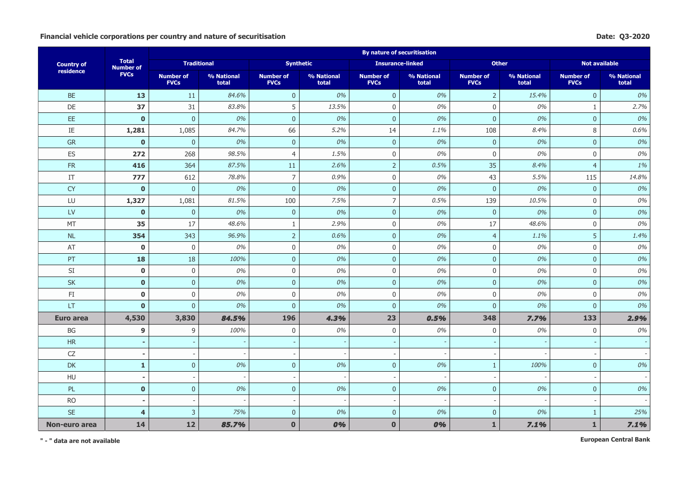## **Financial vehicle corporations per country and nature of securitisation Date: Q3-2020**

|                   |                                  |                                 |                     |                                 |                          | <b>By nature of securitisation</b> |                     |                                 |                     |                                 |                     |
|-------------------|----------------------------------|---------------------------------|---------------------|---------------------------------|--------------------------|------------------------------------|---------------------|---------------------------------|---------------------|---------------------------------|---------------------|
| <b>Country of</b> | <b>Total</b><br><b>Number of</b> | <b>Traditional</b>              |                     | <b>Synthetic</b>                |                          | <b>Insurance-linked</b>            |                     | <b>Other</b>                    |                     | <b>Not available</b>            |                     |
| residence         | <b>FVCs</b>                      | <b>Number of</b><br><b>FVCs</b> | % National<br>total | <b>Number of</b><br><b>FVCs</b> | % National<br>total      | <b>Number of</b><br><b>FVCs</b>    | % National<br>total | <b>Number of</b><br><b>FVCs</b> | % National<br>total | <b>Number of</b><br><b>FVCs</b> | % National<br>total |
| <b>BE</b>         | 13                               | 11                              | 84.6%               | $\mathbf{0}$                    | 0%                       | $\overline{0}$                     | 0%                  | $\overline{2}$                  | 15.4%               | $\mathbf 0$                     | 0%                  |
| DE                | 37                               | 31                              | 83.8%               | 5                               | 13.5%                    | $\mathbf 0$                        | 0%                  | $\mathbf 0$                     | 0%                  | $\mathbf{1}$                    | 2.7%                |
| EE                | $\mathbf 0$                      | $\overline{0}$                  | 0%                  | $\mathbf 0$                     | 0%                       | $\pmb{0}$                          | 0%                  | $\pmb{0}$                       | 0%                  | $\pmb{0}$                       | 0%                  |
| $\rm IE$          | 1,281                            | 1,085                           | 84.7%               | 66                              | 5.2%                     | 14                                 | 1.1%                | 108                             | 8.4%                | 8                               | 0.6%                |
| GR                | $\mathbf{0}$                     | $\pmb{0}$                       | 0%                  | $\boldsymbol{0}$                | 0%                       | $\bf 0$                            | 0%                  | $\pmb{0}$                       | 0%                  | $\pmb{0}$                       | 0%                  |
| ES                | 272                              | 268                             | 98.5%               | $\overline{4}$                  | 1.5%                     | $\mathbf 0$                        | $0\%$               | $\boldsymbol{0}$                | 0%                  | $\mathbf 0$                     | 0%                  |
| FR                | 416                              | 364                             | 87.5%               | 11                              | 2.6%                     | $\overline{2}$                     | 0.5%                | 35                              | 8.4%                | $\overline{4}$                  | 1%                  |
| IT                | 777                              | 612                             | 78.8%               | $\overline{7}$                  | 0.9%                     | $\mathbf 0$                        | 0%                  | 43                              | 5.5%                | 115                             | 14.8%               |
| <b>CY</b>         | $\mathbf{0}$                     | $\overline{0}$                  | 0%                  | $\bf 0$                         | 0%                       | $\pmb{0}$                          | 0%                  | $\mathbf{0}$                    | 0%                  | $\mathbf 0$                     | 0%                  |
| LU                | 1,327                            | 1,081                           | 81.5%               | 100                             | 7.5%                     | $\overline{7}$                     | 0.5%                | 139                             | 10.5%               | $\mathbf 0$                     | 0%                  |
| LV                | $\bf{0}$                         | $\mathbf 0$                     | 0%                  | $\mathbf{0}$                    | 0%                       | $\overline{0}$                     | 0%                  | $\mathbf 0$                     | 0%                  | $\mathbf 0$                     | 0%                  |
| MT                | 35                               | 17                              | 48.6%               | $\mathbf{1}$                    | 2.9%                     | $\mathbf 0$                        | 0%                  | 17                              | 48.6%               | $\mathbf 0$                     | 0%                  |
| <b>NL</b>         | 354                              | 343                             | 96.9%               | $\overline{2}$                  | 0.6%                     | $\pmb{0}$                          | 0%                  | $\overline{4}$                  | 1.1%                | 5                               | 1.4%                |
| AT                | $\mathbf 0$                      | $\mathbf 0$                     | 0%                  | $\overline{0}$                  | 0%                       | $\mathbf 0$                        | 0%                  | $\mathbf 0$                     | 0%                  | $\mathbf 0$                     | 0%                  |
| PT                | 18                               | 18                              | 100%                | $\mathbf{0}$                    | 0%                       | $\overline{0}$                     | 0%                  | $\mathbf 0$                     | 0%                  | $\mathbf 0$                     | 0%                  |
| SI                | $\mathbf 0$                      | $\mathbf 0$                     | 0%                  | $\mathbf 0$                     | 0%                       | $\mathbf 0$                        | 0%                  | $\mathbf 0$                     | 0%                  | $\mathbf 0$                     | 0%                  |
| SK                | $\pmb{0}$                        | $\pmb{0}$                       | 0%                  | $\boldsymbol{0}$                | 0%                       | $\pmb{0}$                          | 0%                  | $\pmb{0}$                       | 0%                  | $\mathbf{0}$                    | 0%                  |
| FI                | $\mathbf 0$                      | $\mathsf{O}\xspace$             | 0%                  | $\overline{0}$                  | 0%                       | $\boldsymbol{0}$                   | 0%                  | $\mathbf 0$                     | 0%                  | $\mathbf 0$                     | 0%                  |
| LT                | $\mathbf{0}$                     | $\pmb{0}$                       | 0%                  | $\overline{0}$                  | 0%                       | $\pmb{0}$                          | 0%                  | $\mathbf 0$                     | 0%                  | $\mathbf{0}$                    | 0%                  |
| <b>Euro area</b>  | 4,530                            | 3,830                           | 84.5%               | 196                             | 4.3%                     | 23                                 | 0.5%                | 348                             | 7.7%                | 133                             | 2.9%                |
| BG                | 9                                | 9                               | 100%                | $\mathbf 0$                     | 0%                       | $\boldsymbol{0}$                   | 0%                  | $\mathbf 0$                     | 0%                  | $\mathbf 0$                     | 0%                  |
| HR                | ٠                                |                                 |                     |                                 |                          |                                    |                     |                                 |                     |                                 |                     |
| ${\sf CZ}$        | $\overline{\phantom{0}}$         |                                 |                     |                                 |                          | $\overline{\phantom{a}}$           |                     |                                 |                     |                                 |                     |
| DK                | $\mathbf{1}$                     | $\overline{0}$                  | 0%                  | $\pmb{0}$                       | 0%                       | $\mathbf{0}$                       | 0%                  | $\mathbf{1}$                    | 100%                | $\mathbf{0}$                    | 0%                  |
| HU                | $\blacksquare$                   |                                 |                     |                                 | $\overline{\phantom{0}}$ | ÷                                  |                     |                                 |                     |                                 |                     |
| PL                | $\mathbf{0}$                     | $\mathbf 0$                     | 0%                  | $\mathbf{0}$                    | 0%                       | $\overline{0}$                     | 0%                  | $\mathbf{0}$                    | 0%                  | $\mathbf 0$                     | 0%                  |
| <b>RO</b>         |                                  |                                 |                     |                                 |                          |                                    |                     |                                 |                     |                                 |                     |
| <b>SE</b>         | $\overline{4}$                   | 3                               | 75%                 | $\mathbf{0}$                    | 0%                       | $\overline{0}$                     | 0%                  | $\mathbf{0}$                    | 0%                  | $\mathbf{1}$                    | 25%                 |
| Non-euro area     | 14                               | 12                              | 85.7%               | $\bf{0}$                        | 0%                       | $\bf{0}$                           | 0%                  | $\mathbf{1}$                    | 7.1%                | $\mathbf{1}$                    | 7.1%                |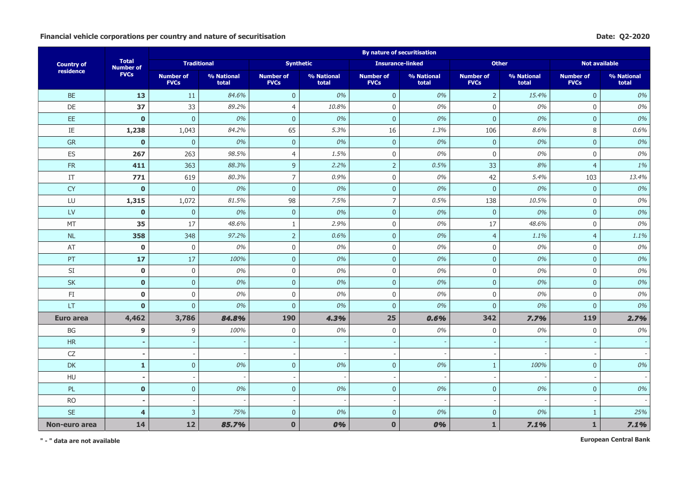## **Financial vehicle corporations per country and nature of securitisation Date: Q2-2020**

|                   |                                  |                                 |                     |                                 |                     | <b>By nature of securitisation</b> |                     |                                 |                     |                                 |                     |
|-------------------|----------------------------------|---------------------------------|---------------------|---------------------------------|---------------------|------------------------------------|---------------------|---------------------------------|---------------------|---------------------------------|---------------------|
| <b>Country of</b> | <b>Total</b><br><b>Number of</b> | <b>Traditional</b>              |                     |                                 | <b>Synthetic</b>    | <b>Insurance-linked</b>            |                     | <b>Other</b>                    |                     | <b>Not available</b>            |                     |
| residence         | <b>FVCs</b>                      | <b>Number of</b><br><b>FVCs</b> | % National<br>total | <b>Number of</b><br><b>FVCs</b> | % National<br>total | <b>Number of</b><br><b>FVCs</b>    | % National<br>total | <b>Number of</b><br><b>FVCs</b> | % National<br>total | <b>Number of</b><br><b>FVCs</b> | % National<br>total |
| <b>BE</b>         | 13                               | 11                              | 84.6%               | $\mathbf{0}$                    | 0%                  | $\overline{0}$                     | 0%                  | $\overline{2}$                  | 15.4%               | $\overline{0}$                  | 0%                  |
| DE                | 37                               | 33                              | 89.2%               | $\overline{4}$                  | 10.8%               | $\mathbf 0$                        | 0%                  | $\overline{0}$                  | 0%                  | $\mathbf 0$                     | 0%                  |
| EE                | $\mathbf{0}$                     | $\mathsf{O}\xspace$             | 0%                  | $\overline{0}$                  | 0%                  | $\mathbf 0$                        | 0%                  | $\bf 0$                         | 0%                  | $\pmb{0}$                       | 0%                  |
| $\rm IE$          | 1,238                            | 1,043                           | 84.2%               | 65                              | 5.3%                | 16                                 | 1.3%                | 106                             | 8.6%                | 8                               | 0.6%                |
| GR                | $\mathbf{0}$                     | $\mathbf{0}$                    | 0%                  | $\overline{0}$                  | 0%                  | $\overline{0}$                     | 0%                  | $\overline{0}$                  | 0%                  | $\pmb{0}$                       | 0%                  |
| ES                | 267                              | 263                             | 98.5%               | $\overline{4}$                  | 1.5%                | $\boldsymbol{0}$                   | 0%                  | $\boldsymbol{0}$                | 0%                  | $\boldsymbol{0}$                | 0%                  |
| <b>FR</b>         | 411                              | 363                             | 88.3%               | $\overline{9}$                  | 2.2%                | $\overline{2}$                     | 0.5%                | 33                              | 8%                  | $\overline{4}$                  | 1%                  |
| IT                | 771                              | 619                             | 80.3%               | $\overline{7}$                  | 0.9%                | $\mathsf 0$                        | 0%                  | 42                              | 5.4%                | 103                             | 13.4%               |
| <b>CY</b>         | $\mathbf{0}$                     | $\mathbf{0}$                    | 0%                  | $\overline{0}$                  | 0%                  | $\pmb{0}$                          | 0%                  | $\overline{0}$                  | 0%                  | $\mathbf 0$                     | 0%                  |
| LU                | 1,315                            | 1,072                           | 81.5%               | 98                              | 7.5%                | $\overline{7}$                     | 0.5%                | 138                             | 10.5%               | $\boldsymbol{0}$                | 0%                  |
| $\mathsf{LV}$     | $\mathbf 0$                      | $\mathbf 0$                     | 0%                  | $\mathbf{0}$                    | 0%                  | $\overline{0}$                     | 0%                  | $\mathbf{0}$                    | 0%                  | $\mathbf 0$                     | 0%                  |
| MT                | 35                               | 17                              | 48.6%               | $\mathbf{1}$                    | 2.9%                | $\mathbf 0$                        | 0%                  | 17                              | 48.6%               | $\mathbf 0$                     | 0%                  |
| <b>NL</b>         | 358                              | 348                             | 97.2%               | $\overline{2}$                  | 0.6%                | $\mathbf 0$                        | 0%                  | $\overline{4}$                  | 1.1%                | $\overline{4}$                  | 1.1%                |
| AT                | $\mathbf 0$                      | 0                               | 0%                  | $\mathbf 0$                     | 0%                  | $\mathsf{O}\xspace$                | 0%                  | $\overline{0}$                  | 0%                  | $\mathbf 0$                     | 0%                  |
| PT                | 17                               | 17                              | 100%                | $\overline{0}$                  | 0%                  | $\overline{0}$                     | 0%                  | $\mathbf{0}$                    | 0%                  | $\mathbf 0$                     | 0%                  |
| SI                | $\mathbf 0$                      | 0                               | 0%                  | $\mathbf 0$                     | 0%                  | $\mathbf 0$                        | 0%                  | $\mathbf 0$                     | 0%                  | $\mathbf 0$                     | 0%                  |
| <b>SK</b>         | $\mathbf{0}$                     | $\mathsf{O}\xspace$             | 0%                  | $\overline{0}$                  | 0%                  | $\mathbf 0$                        | 0%                  | $\bf 0$                         | 0%                  | $\overline{0}$                  | 0%                  |
| FI                | $\mathbf 0$                      | 0                               | 0%                  | $\boldsymbol{0}$                | 0%                  | $\boldsymbol{0}$                   | 0%                  | $\mathbf 0$                     | 0%                  | $\mathbf 0$                     | 0%                  |
| LT                | $\mathbf{0}$                     | $\mathsf{O}\xspace$             | 0%                  | $\overline{0}$                  | 0%                  | $\overline{0}$                     | 0%                  | $\overline{0}$                  | 0%                  | $\mathbf{0}$                    | 0%                  |
| <b>Euro area</b>  | 4,462                            | 3,786                           | 84.8%               | 190                             | 4.3%                | 25                                 | 0.6%                | 342                             | 7.7%                | 119                             | 2.7%                |
| BG                | 9                                | 9                               | 100%                | $\mathbf 0$                     | 0%                  | $\mathbf 0$                        | 0%                  | $\mathbf 0$                     | 0%                  | $\mathbf 0$                     | 0%                  |
| HR                |                                  |                                 |                     |                                 |                     |                                    |                     |                                 |                     |                                 |                     |
| CZ                | $\blacksquare$                   |                                 |                     |                                 |                     | $\overline{\phantom{a}}$           |                     |                                 |                     |                                 |                     |
| DK                | $\mathbf{1}$                     | $\mathsf{O}\xspace$             | 0%                  | $\overline{0}$                  | 0%                  | $\mathbf 0$                        | 0%                  | $\mathbf{1}$                    | 100%                | $\mathbf{0}$                    | 0%                  |
| HU                | $\overline{\phantom{0}}$         |                                 |                     |                                 | $\overline{a}$      | ÷                                  |                     |                                 |                     |                                 |                     |
| PL                | $\mathbf{0}$                     | $\overline{0}$                  | 0%                  | $\mathbf{0}$                    | 0%                  | $\mathbf{0}$                       | 0%                  | $\overline{0}$                  | 0%                  | $\mathbf 0$                     | 0%                  |
| <b>RO</b>         |                                  |                                 |                     |                                 |                     |                                    |                     |                                 |                     |                                 |                     |
| <b>SE</b>         | $\overline{4}$                   | $\overline{3}$                  | 75%                 | $\overline{0}$                  | 0%                  | $\overline{0}$                     | 0%                  | $\overline{0}$                  | 0%                  | $\mathbf{1}$                    | 25%                 |
| Non-euro area     | 14                               | 12                              | 85.7%               | $\bf{0}$                        | 0%                  | $\bf{0}$                           | 0%                  | $\mathbf{1}$                    | 7.1%                | $\mathbf{1}$                    | 7.1%                |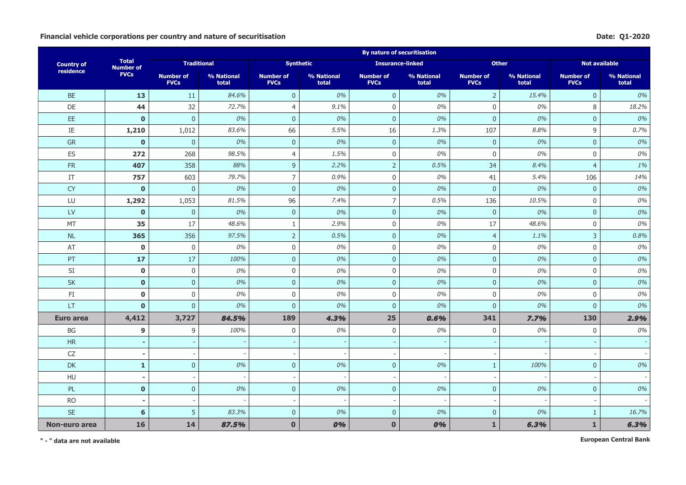## **Financial vehicle corporations per country and nature of securitisation Date: Q1-2020**

|                      |                                  |                                 |                     |                                 |                     | <b>By nature of securitisation</b> |                     |                                 |                     |                                 |                     |
|----------------------|----------------------------------|---------------------------------|---------------------|---------------------------------|---------------------|------------------------------------|---------------------|---------------------------------|---------------------|---------------------------------|---------------------|
| <b>Country of</b>    | <b>Total</b><br><b>Number of</b> | <b>Traditional</b>              |                     |                                 | <b>Synthetic</b>    | <b>Insurance-linked</b>            |                     | <b>Other</b>                    |                     | <b>Not available</b>            |                     |
| residence            | <b>FVCs</b>                      | <b>Number of</b><br><b>FVCs</b> | % National<br>total | <b>Number of</b><br><b>FVCs</b> | % National<br>total | <b>Number of</b><br><b>FVCs</b>    | % National<br>total | <b>Number of</b><br><b>FVCs</b> | % National<br>total | <b>Number of</b><br><b>FVCs</b> | % National<br>total |
| <b>BE</b>            | 13                               | 11                              | 84.6%               | $\mathbf{0}$                    | 0%                  | $\mathbf{0}$                       | 0%                  | $\overline{2}$                  | 15.4%               | $\mathbf 0$                     | 0%                  |
| DE                   | 44                               | 32                              | 72.7%               | $\overline{4}$                  | 9.1%                | $\mathbf 0$                        | 0%                  | $\overline{0}$                  | 0%                  | 8                               | 18.2%               |
| EE                   | $\mathbf{0}$                     | $\mathbf 0$                     | 0%                  | $\overline{0}$                  | 0%                  | $\mathbf 0$                        | 0%                  | $\bf 0$                         | 0%                  | $\pmb{0}$                       | 0%                  |
| $\rm IE$             | 1,210                            | 1,012                           | 83.6%               | 66                              | 5.5%                | 16                                 | 1.3%                | 107                             | 8.8%                | 9                               | 0.7%                |
| <b>GR</b>            | $\mathbf{0}$                     | $\overline{0}$                  | 0%                  | $\overline{0}$                  | 0%                  | $\overline{0}$                     | 0%                  | $\overline{0}$                  | 0%                  | $\overline{0}$                  | 0%                  |
| ES                   | 272                              | 268                             | 98.5%               | $\overline{4}$                  | 1.5%                | $\mathsf 0$                        | 0%                  | $\overline{0}$                  | 0%                  | $\mathbf 0$                     | 0%                  |
| FR                   | 407                              | 358                             | 88%                 | $\overline{9}$                  | 2.2%                | $\overline{2}$                     | 0.5%                | 34                              | 8.4%                | $\overline{4}$                  | 1%                  |
| IT                   | 757                              | 603                             | 79.7%               | $\overline{7}$                  | 0.9%                | $\mathbf 0$                        | 0%                  | 41                              | 5.4%                | 106                             | 14%                 |
| <b>CY</b>            | $\mathbf 0$                      | $\mathbf{0}$                    | 0%                  | $\pmb{0}$                       | 0%                  | $\pmb{0}$                          | 0%                  | $\Omega$                        | 0%                  | $\mathbf{0}$                    | 0%                  |
| LU                   | 1,292                            | 1,053                           | 81.5%               | 96                              | 7.4%                | $\overline{7}$                     | 0.5%                | 136                             | 10.5%               | $\mathbf 0$                     | 0%                  |
| LV                   | $\mathbf{0}$                     | $\pmb{0}$                       | 0%                  | $\overline{0}$                  | 0%                  | $\overline{0}$                     | 0%                  | $\overline{0}$                  | 0%                  | $\mathbf{0}$                    | 0%                  |
| MT                   | 35                               | 17                              | 48.6%               | $\mathbf{1}$                    | 2.9%                | $\mathbf 0$                        | 0%                  | 17                              | 48.6%               | $\mathbf 0$                     | 0%                  |
| NL                   | 365                              | 356                             | 97.5%               | $\overline{2}$                  | 0.5%                | $\mathbf 0$                        | 0%                  | $\overline{4}$                  | 1.1%                | $\overline{3}$                  | 0.8%                |
| AT                   | $\mathbf 0$                      | 0                               | 0%                  | $\mathsf 0$                     | 0%                  | $\mathsf 0$                        | 0%                  | $\mathbf 0$                     | 0%                  | $\mathbf 0$                     | 0%                  |
| PT                   | 17                               | 17                              | 100%                | $\overline{0}$                  | 0%                  | $\overline{0}$                     | 0%                  | $\mathbf{0}$                    | 0%                  | $\mathbf{0}$                    | 0%                  |
| SI                   | $\mathbf 0$                      | 0                               | 0%                  | $\mathbf 0$                     | 0%                  | $\mathsf 0$                        | 0%                  | $\overline{0}$                  | 0%                  | $\mathbf 0$                     | 0%                  |
| $\mathsf{SK}\xspace$ | $\mathbf 0$                      | $\mathsf{O}\xspace$             | 0%                  | $\overline{0}$                  | 0%                  | $\overline{0}$                     | 0%                  | $\bf 0$                         | 0%                  | $\pmb{0}$                       | 0%                  |
| FI                   | $\mathbf 0$                      | 0                               | 0%                  | $\mathbf 0$                     | 0%                  | $\mathbf 0$                        | 0%                  | $\overline{0}$                  | 0%                  | $\mathbf{0}$                    | 0%                  |
| LT                   | $\mathbf{0}$                     | $\overline{0}$                  | 0%                  | $\overline{0}$                  | 0%                  | $\overline{0}$                     | 0%                  | $\overline{0}$                  | 0%                  | $\overline{0}$                  | 0%                  |
| Euro area            | 4,412                            | 3,727                           | 84.5%               | 189                             | 4.3%                | 25                                 | 0.6%                | 341                             | 7.7%                | 130                             | 2.9%                |
| BG                   | $\overline{9}$                   | 9                               | 100%                | $\mathbf 0$                     | 0%                  | $\mathbf 0$                        | 0%                  | $\mathbf 0$                     | 0%                  | $\mathbf 0$                     | 0%                  |
| HR                   |                                  |                                 |                     |                                 |                     |                                    |                     |                                 |                     |                                 |                     |
| CZ                   | $\blacksquare$                   |                                 |                     |                                 |                     |                                    |                     |                                 |                     |                                 |                     |
| DK                   | $\mathbf{1}$                     | $\mathsf{O}\xspace$             | 0%                  | $\overline{0}$                  | 0%                  | $\overline{0}$                     | 0%                  | $\mathbf{1}$                    | 100%                | $\mathbf{0}$                    | 0%                  |
| HU                   | ÷,                               |                                 |                     |                                 |                     | $\overline{a}$                     |                     |                                 |                     |                                 |                     |
| <b>PL</b>            | $\mathbf{0}$                     | $\mathsf{O}\xspace$             | 0%                  | $\overline{0}$                  | 0%                  | $\overline{0}$                     | 0%                  | $\overline{0}$                  | 0%                  | $\mathbf{0}$                    | 0%                  |
| <b>RO</b>            | $\blacksquare$                   |                                 |                     |                                 |                     |                                    |                     |                                 |                     |                                 |                     |
| <b>SE</b>            | 6                                | 5                               | 83.3%               | $\overline{0}$                  | 0%                  | $\overline{0}$                     | 0%                  | $\overline{0}$                  | 0%                  | $\mathbf{1}$                    | 16.7%               |
| Non-euro area        | 16                               | 14                              | 87.5%               | $\mathbf{0}$                    | 0%                  | $\mathbf 0$                        | 0%                  | $\mathbf{1}$                    | 6.3%                | $\mathbf 1$                     | 6.3%                |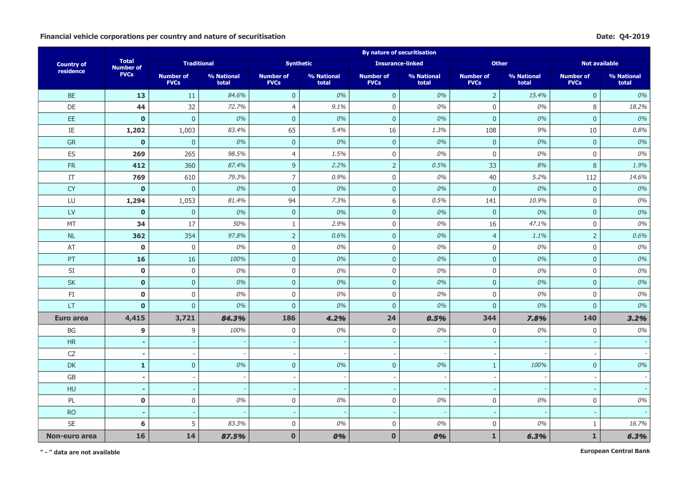#### Financial vehicle corporations per country and nature of securitisation **Date:** Q4-2019

|                        |                                  |                                 |                     |                                 |                     | <b>By nature of securitisation</b> |                     |                                 |                     |                                 |                     |
|------------------------|----------------------------------|---------------------------------|---------------------|---------------------------------|---------------------|------------------------------------|---------------------|---------------------------------|---------------------|---------------------------------|---------------------|
| <b>Country of</b>      | <b>Total</b><br><b>Number of</b> | <b>Traditional</b>              |                     | <b>Synthetic</b>                |                     | <b>Insurance-linked</b>            |                     | <b>Other</b>                    |                     | <b>Not available</b>            |                     |
| residence              | <b>FVCs</b>                      | <b>Number of</b><br><b>FVCs</b> | % National<br>total | <b>Number of</b><br><b>FVCs</b> | % National<br>total | <b>Number of</b><br><b>FVCs</b>    | % National<br>total | <b>Number of</b><br><b>FVCs</b> | % National<br>total | <b>Number of</b><br><b>FVCs</b> | % National<br>total |
| <b>BE</b>              | 13                               | 11                              | 84.6%               | $\overline{0}$                  | 0%                  | $\mathbf 0$                        | 0%                  | $\overline{2}$                  | 15.4%               | $\mathbf 0$                     | 0%                  |
| DE                     | 44                               | 32                              | 72.7%               | $\overline{4}$                  | 9.1%                | $\mathbf 0$                        | 0%                  | $\Omega$                        | 0%                  | 8                               | 18.2%               |
| EE.                    | $\mathbf{0}$                     | $\overline{0}$                  | 0%                  | $\overline{0}$                  | 0%                  | $\mathbf{0}$                       | 0%                  | $\overline{0}$                  | 0%                  | $\overline{0}$                  | 0%                  |
| $\rm IE$               | 1,202                            | 1,003                           | 83.4%               | 65                              | 5.4%                | 16                                 | 1.3%                | 108                             | 9%                  | 10                              | 0.8%                |
| GR                     | $\mathbf 0$                      | $\mathbf 0$                     | 0%                  | $\mathbf 0$                     | 0%                  | $\mathbf 0$                        | 0%                  | $\mathbf{0}$                    | 0%                  | $\pmb{0}$                       | 0%                  |
| ES                     | 269                              | 265                             | 98.5%               | $\overline{4}$                  | 1.5%                | $\mathbf 0$                        | 0%                  | $\mathbf 0$                     | 0%                  | $\mathbf 0$                     | 0%                  |
| <b>FR</b>              | 412                              | 360                             | 87.4%               | 9                               | 2.2%                | $\overline{2}$                     | 0.5%                | 33                              | 8%                  | 8                               | 1.9%                |
| IT                     | 769                              | 610                             | 79.3%               | $\overline{7}$                  | 0.9%                | $\boldsymbol{0}$                   | 0%                  | 40                              | 5.2%                | 112                             | 14.6%               |
| <b>CY</b>              | $\mathbf 0$                      | $\pmb{0}$                       | 0%                  | $\mathbf{0}$                    | 0%                  | $\pmb{0}$                          | 0%                  | $\mathbf 0$                     | $0\%$               | $\pmb{0}$                       | 0%                  |
| LU                     | 1,294                            | 1,053                           | 81.4%               | 94                              | 7.3%                | $\,$ 6 $\,$                        | 0.5%                | 141                             | 10.9%               | $\mathbf 0$                     | 0%                  |
| $\mathsf{L}\mathsf{V}$ | $\mathbf{0}$                     | $\overline{0}$                  | 0%                  | $\overline{0}$                  | 0%                  | $\mathbf{0}$                       | 0%                  | $\overline{0}$                  | 0%                  | $\mathbf{0}$                    | 0%                  |
| MT                     | 34                               | 17                              | 50%                 | $\mathbf{1}$                    | 2.9%                | $\boldsymbol{0}$                   | 0%                  | 16                              | 47.1%               | $\mathbf 0$                     | 0%                  |
| $\sf NL$               | 362                              | 354                             | 97.8%               | $\overline{2}$                  | 0.6%                | $\pmb{0}$                          | 0%                  | $\overline{4}$                  | 1.1%                | $\overline{2}$                  | 0.6%                |
| AT                     | $\bf{0}$                         | 0                               | 0%                  | $\mathsf 0$                     | 0%                  | $\mathbf 0$                        | 0%                  | $\boldsymbol{0}$                | 0%                  | $\boldsymbol{0}$                | 0%                  |
| PT                     | 16                               | 16                              | 100%                | $\mathbf{0}$                    | 0%                  | $\mathbf 0$                        | 0%                  | $\overline{0}$                  | 0%                  | $\overline{0}$                  | 0%                  |
| SI                     | $\mathbf 0$                      | 0                               | 0%                  | $\mathbf 0$                     | 0%                  | $\mathbf 0$                        | 0%                  | $\mathbf 0$                     | 0%                  | $\mathbf 0$                     | 0%                  |
| <b>SK</b>              | $\mathbf 0$                      | $\pmb{0}$                       | 0%                  | $\mathbf{0}$                    | 0%                  | $\mathbf 0$                        | 0%                  | $\overline{0}$                  | 0%                  | $\mathbf{0}$                    | 0%                  |
| $\mathsf{FI}$          | $\mathbf 0$                      | $\mathsf 0$                     | 0%                  | $\mathbf 0$                     | 0%                  | $\mathbf 0$                        | 0%                  | $\boldsymbol{0}$                | 0%                  | $\mathbf{0}$                    | 0%                  |
| LT                     | $\mathbf{0}$                     | $\overline{0}$                  | 0%                  | $\overline{0}$                  | 0%                  | $\mathbf 0$                        | 0%                  | $\overline{0}$                  | 0%                  | $\mathbf{0}$                    | 0%                  |
| Euro area              | 4,415                            | 3,721                           | 84.3%               | 186                             | 4.2%                | 24                                 | 0.5%                | 344                             | 7.8%                | <b>140</b>                      | 3.2%                |
| BG                     | 9                                | 9                               | 100%                | $\mathbf 0$                     | 0%                  | $\mathbf 0$                        | 0%                  | $\mathbf 0$                     | 0%                  | $\mathbf 0$                     | 0%                  |
| <b>HR</b>              | ٠                                |                                 |                     |                                 |                     | $\overline{\phantom{a}}$           |                     |                                 |                     |                                 |                     |
| CZ                     | $\overline{\phantom{a}}$         |                                 |                     |                                 |                     | $\overline{\phantom{a}}$           |                     |                                 |                     | $\overline{\phantom{a}}$        |                     |
| <b>DK</b>              | $\mathbf{1}$                     | $\overline{0}$                  | 0%                  | $\overline{0}$                  | 0%                  | $\mathbf{0}$                       | 0%                  | $\mathbf{1}$                    | 100%                | $\mathbf{0}$                    | 0%                  |
| GB                     | $\overline{\phantom{a}}$         |                                 |                     | $\sim$                          |                     | ÷,                                 |                     |                                 |                     | $\blacksquare$                  |                     |
| HU                     | $\sim$                           |                                 |                     | $\overline{\phantom{a}}$        |                     | $\overline{\phantom{a}}$           |                     |                                 |                     |                                 |                     |
| PL                     | $\mathbf 0$                      | $\mathsf{0}$                    | 0%                  | $\mathsf 0$                     | $0\%$               | $\mathbf 0$                        | 0%                  | $\boldsymbol{0}$                | $0\%$               | $\boldsymbol{0}$                | 0%                  |
| <b>RO</b>              | $\sim$                           |                                 |                     | $\overline{\phantom{a}}$        |                     | $\overline{\phantom{a}}$           |                     |                                 |                     | $\overline{\phantom{a}}$        |                     |
| SE                     | 6                                | 5                               | 83.3%               | $\mathbf 0$                     | 0%                  | $\mathbf 0$                        | 0%                  | 0                               | 0%                  | 1                               | 16.7%               |
| Non-euro area          | 16                               | 14                              | 87.5%               | $\mathbf{0}$                    | 0%                  | $\mathbf{0}$                       | 0%                  | $\mathbf{1}$                    | 6.3%                | $\mathbf{1}$                    | 6.3%                |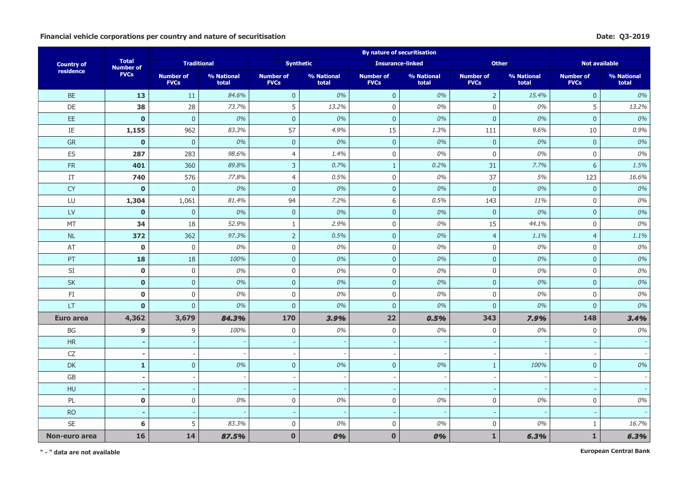#### Financial vehicle corporations per country and nature of securitisation **Date:** Q3-2019

|                        |                                  |                                 |                     |                                 |                          | <b>By nature of securitisation</b> |                     |                                 |                     |                                 |                     |
|------------------------|----------------------------------|---------------------------------|---------------------|---------------------------------|--------------------------|------------------------------------|---------------------|---------------------------------|---------------------|---------------------------------|---------------------|
| <b>Country of</b>      | <b>Total</b><br><b>Number of</b> | <b>Traditional</b>              |                     | <b>Synthetic</b>                |                          | <b>Insurance-linked</b>            |                     | <b>Other</b>                    |                     | <b>Not available</b>            |                     |
| residence              | <b>FVCs</b>                      | <b>Number of</b><br><b>FVCs</b> | % National<br>total | <b>Number of</b><br><b>FVCs</b> | % National<br>total      | <b>Number of</b><br><b>FVCs</b>    | % National<br>total | <b>Number of</b><br><b>FVCs</b> | % National<br>total | <b>Number of</b><br><b>FVCs</b> | % National<br>total |
| <b>BE</b>              | 13                               | 11                              | 84.6%               | $\overline{0}$                  | 0%                       | $\overline{0}$                     | 0%                  | $\overline{2}$                  | 15.4%               | $\mathbf 0$                     | 0%                  |
| DE                     | 38                               | 28                              | 73.7%               | 5                               | 13.2%                    | $\mathbf 0$                        | 0%                  | $\mathbf 0$                     | 0%                  | 5                               | 13.2%               |
| EE.                    | $\mathbf 0$                      | $\pmb{0}$                       | 0%                  | $\mathbf 0$                     | 0%                       | $\pmb{0}$                          | 0%                  | $\bf 0$                         | $0\%$               | $\pmb{0}$                       | 0%                  |
| IE                     | 1,155                            | 962                             | 83.3%               | 57                              | 4.9%                     | 15                                 | 1.3%                | 111                             | 9.6%                | 10                              | 0.9%                |
| <b>GR</b>              | $\mathbf{0}$                     | $\mathbf{0}$                    | 0%                  | $\overline{0}$                  | 0%                       | $\mathbf 0$                        | 0%                  | $\mathbf{0}$                    | 0%                  | $\overline{0}$                  | 0%                  |
| ES                     | 287                              | 283                             | 98.6%               | $\overline{4}$                  | 1.4%                     | $\mathbf 0$                        | 0%                  | $\mathbf 0$                     | 0%                  | $\mathbf 0$                     | 0%                  |
| FR                     | 401                              | 360                             | 89.8%               | $\overline{3}$                  | 0.7%                     | $\mathbf{1}$                       | 0.2%                | 31                              | 7.7%                | 6                               | 1.5%                |
| IT                     | 740                              | 576                             | 77.8%               | $\overline{4}$                  | 0.5%                     | $\boldsymbol{0}$                   | 0%                  | 37                              | 5%                  | 123                             | 16.6%               |
| CY                     | $\mathbf{0}$                     | $\overline{0}$                  | 0%                  | $\mathbf{0}$                    | 0%                       | $\mathbf{0}$                       | 0%                  | $\overline{0}$                  | 0%                  | $\mathbf 0$                     | 0%                  |
| LU                     | 1,304                            | 1,061                           | 81.4%               | 94                              | 7.2%                     | 6                                  | 0.5%                | 143                             | 11%                 | $\mathbf 0$                     | 0%                  |
| $\mathsf{L}\mathsf{V}$ | $\mathbf{0}$                     | $\overline{0}$                  | 0%                  | $\overline{0}$                  | 0%                       | $\mathbf 0$                        | 0%                  | $\overline{0}$                  | 0%                  | $\mathbf{0}$                    | 0%                  |
| MT                     | 34                               | 18                              | 52.9%               | $\mathbf{1}$                    | 2.9%                     | $\mathsf 0$                        | 0%                  | 15                              | 44.1%               | $\mathsf 0$                     | 0%                  |
| $\sf NL$               | 372                              | 362                             | 97.3%               | $\overline{2}$                  | 0.5%                     | $\mathbf 0$                        | 0%                  | $\overline{4}$                  | 1.1%                | $\overline{4}$                  | 1.1%                |
| $\mathsf{AT}$          | $\mathbf 0$                      | 0                               | 0%                  | $\mathsf 0$                     | 0%                       | $\mathbf 0$                        | 0%                  | $\boldsymbol{0}$                | 0%                  | $\boldsymbol{0}$                | 0%                  |
| PT                     | 18                               | 18                              | 100%                | $\overline{0}$                  | 0%                       | $\mathbf 0$                        | 0%                  | $\overline{0}$                  | 0%                  | $\overline{0}$                  | 0%                  |
| SI                     | $\mathbf 0$                      | $\mathbf 0$                     | 0%                  | $\mathbf 0$                     | 0%                       | $\mathbf 0$                        | 0%                  | $\mathbf 0$                     | 0%                  | $\mathbf 0$                     | 0%                  |
| <b>SK</b>              | $\mathbf{0}$                     | $\overline{0}$                  | 0%                  | $\mathbf{0}$                    | 0%                       | $\mathbf{0}$                       | 0%                  | $\overline{0}$                  | 0%                  | $\mathbf{0}$                    | 0%                  |
| $\mathsf{FI}$          | $\mathbf 0$                      | $\mathsf 0$                     | 0%                  | $\mathbf 0$                     | 0%                       | $\mathbf 0$                        | 0%                  | $\boldsymbol{0}$                | $0\%$               | $\mathsf 0$                     | 0%                  |
| LT                     | $\mathbf 0$                      | $\pmb{0}$                       | 0%                  | $\boldsymbol{0}$                | 0%                       | $\pmb{0}$                          | 0%                  | $\mathbf{0}$                    | $0\%$               | $\mathbf{0}$                    | 0%                  |
| Euro area              | 4,362                            | 3,679                           | 84.3%               | 170                             | 3.9%                     | 22                                 | 0.5%                | 343                             | 7.9%                | 148                             | 3.4%                |
| $\mathsf{B}\mathsf{G}$ | 9                                | 9                               | 100%                | $\mathbf 0$                     | 0%                       | $\mathbf 0$                        | 0%                  | $\mathbf 0$                     | 0%                  | $\mathbf 0$                     | 0%                  |
| <b>HR</b>              | ٠                                |                                 |                     |                                 |                          | $\overline{\phantom{a}}$           |                     |                                 |                     |                                 |                     |
| CZ                     | $\overline{a}$                   |                                 |                     |                                 |                          | $\overline{\phantom{a}}$           |                     |                                 |                     |                                 |                     |
| <b>DK</b>              | $\mathbf{1}$                     | $\mathbf 0$                     | 0%                  | $\mathbf 0$                     | 0%                       | $\pmb{0}$                          | 0%                  | $\mathbf{1}$                    | 100%                | $\mathbf 0$                     | 0%                  |
| $\mathsf{G}\mathsf{B}$ | $\overline{\phantom{a}}$         |                                 |                     |                                 |                          |                                    |                     |                                 |                     |                                 |                     |
| HU                     | $\blacksquare$                   |                                 |                     | $\overline{\phantom{a}}$        |                          | $\overline{\phantom{a}}$           |                     |                                 |                     |                                 |                     |
| PL                     | $\mathbf 0$                      | $\mathbf 0$                     | 0%                  | $\mathbf 0$                     | 0%                       | $\boldsymbol{0}$                   | 0%                  | $\mathbf 0$                     | 0%                  | $\mathbf 0$                     | 0%                  |
| <b>RO</b>              | $\blacksquare$                   |                                 |                     |                                 | $\overline{\phantom{a}}$ | $\overline{\phantom{a}}$           |                     |                                 |                     | $\overline{\phantom{a}}$        |                     |
| <b>SE</b>              | 6                                | 5                               | 83.3%               | $\mathbf 0$                     | 0%                       | $\mathbf 0$                        | 0%                  | $\mathbf 0$                     | 0%                  | 1                               | 16.7%               |
| Non-euro area          | 16                               | 14                              | 87.5%               | $\mathbf 0$                     | 0%                       | $\mathbf 0$                        | 0%                  | $\mathbf{1}$                    | 6.3%                | $\mathbf{1}$                    | 6.3%                |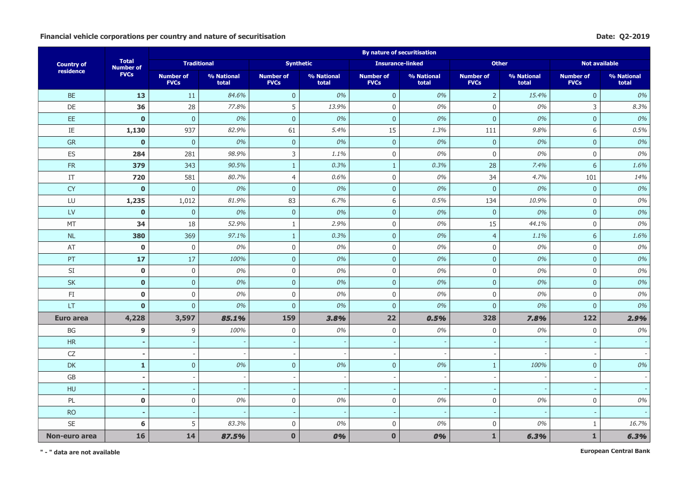#### Financial vehicle corporations per country and nature of securitisation **Date:** Q2-2019

|                        |                                  |                                 |                     |                                 |                     | <b>By nature of securitisation</b> |                     |                                 |                     |                                 |                     |
|------------------------|----------------------------------|---------------------------------|---------------------|---------------------------------|---------------------|------------------------------------|---------------------|---------------------------------|---------------------|---------------------------------|---------------------|
| <b>Country of</b>      | <b>Total</b><br><b>Number of</b> | <b>Traditional</b>              |                     | <b>Synthetic</b>                |                     | <b>Insurance-linked</b>            |                     | <b>Other</b>                    |                     | <b>Not available</b>            |                     |
| residence              | <b>FVCs</b>                      | <b>Number of</b><br><b>FVCs</b> | % National<br>total | <b>Number of</b><br><b>FVCs</b> | % National<br>total | <b>Number of</b><br><b>FVCs</b>    | % National<br>total | <b>Number of</b><br><b>FVCs</b> | % National<br>total | <b>Number of</b><br><b>FVCs</b> | % National<br>total |
| <b>BE</b>              | 13                               | 11                              | 84.6%               | $\mathbf{0}$                    | 0%                  | $\pmb{0}$                          | 0%                  | $\overline{2}$                  | 15.4%               | $\mathbf 0$                     | 0%                  |
| DE                     | 36                               | 28                              | 77.8%               | 5                               | 13.9%               | $\mathbf 0$                        | 0%                  | $\Omega$                        | 0%                  | 3                               | 8.3%                |
| EE.                    | $\mathbf{0}$                     | $\overline{0}$                  | 0%                  | $\overline{0}$                  | 0%                  | $\overline{0}$                     | 0%                  | $\bf 0$                         | 0%                  | $\mathbf 0$                     | 0%                  |
| $\rm IE$               | 1,130                            | 937                             | 82.9%               | 61                              | 5.4%                | 15                                 | 1.3%                | 111                             | 9.8%                | 6                               | 0.5%                |
| GR                     | $\mathbf 0$                      | $\pmb{0}$                       | 0%                  | $\mathbf 0$                     | 0%                  | $\mathbf 0$                        | 0%                  | $\mathbf{0}$                    | 0%                  | $\mathbf 0$                     | 0%                  |
| ES                     | 284                              | 281                             | 98.9%               | $\mathsf{3}$                    | 1.1%                | $\mathbf 0$                        | 0%                  | $\mathbf 0$                     | 0%                  | $\mathbf 0$                     | 0%                  |
| <b>FR</b>              | 379                              | 343                             | 90.5%               | $\mathbf{1}$                    | 0.3%                | $\mathbf{1}$                       | 0.3%                | 28                              | 7.4%                | 6                               | 1.6%                |
| IT                     | 720                              | 581                             | 80.7%               | $\overline{4}$                  | 0.6%                | $\mathbf 0$                        | 0%                  | 34                              | 4.7%                | 101                             | 14%                 |
| <b>CY</b>              | $\mathbf 0$                      | $\pmb{0}$                       | 0%                  | $\mathbf{0}$                    | 0%                  | $\pmb{0}$                          | 0%                  | $\mathbf 0$                     | $0\%$               | $\pmb{0}$                       | 0%                  |
| LU                     | 1,235                            | 1,012                           | 81.9%               | 83                              | 6.7%                | $\,$ 6 $\,$                        | 0.5%                | 134                             | 10.9%               | $\mathbf 0$                     | 0%                  |
| $\mathsf{L}\mathsf{V}$ | $\mathbf{0}$                     | $\overline{0}$                  | 0%                  | $\overline{0}$                  | 0%                  | $\overline{0}$                     | 0%                  | $\overline{0}$                  | 0%                  | $\mathbf{0}$                    | 0%                  |
| MT                     | 34                               | 18                              | 52.9%               | $\mathbf{1}$                    | 2.9%                | $\boldsymbol{0}$                   | 0%                  | 15                              | 44.1%               | $\mathbf 0$                     | 0%                  |
| $\sf NL$               | 380                              | 369                             | 97.1%               | $\mathbf{1}$                    | 0.3%                | $\pmb{0}$                          | 0%                  | $\overline{4}$                  | 1.1%                | 6                               | 1.6%                |
| AT                     | $\bf{0}$                         | 0                               | 0%                  | $\mathsf 0$                     | 0%                  | $\mathbf 0$                        | 0%                  | $\boldsymbol{0}$                | 0%                  | $\boldsymbol{0}$                | 0%                  |
| PT                     | 17                               | 17                              | 100%                | $\mathbf{0}$                    | 0%                  | $\mathbf 0$                        | 0%                  | $\overline{0}$                  | 0%                  | $\overline{0}$                  | 0%                  |
| SI                     | $\mathbf 0$                      | 0                               | 0%                  | $\mathbf 0$                     | 0%                  | $\mathbf 0$                        | 0%                  | $\mathbf 0$                     | 0%                  | $\mathbf 0$                     | 0%                  |
| <b>SK</b>              | $\mathbf 0$                      | $\pmb{0}$                       | 0%                  | $\overline{0}$                  | 0%                  | $\mathbf 0$                        | 0%                  | $\overline{0}$                  | 0%                  | $\mathbf{0}$                    | 0%                  |
| $\mathsf{FI}$          | $\mathbf 0$                      | $\mathsf 0$                     | 0%                  | $\mathbf 0$                     | 0%                  | $\mathbf 0$                        | 0%                  | $\boldsymbol{0}$                | 0%                  | $\mathbf{0}$                    | 0%                  |
| LT                     | $\mathbf 0$                      | $\overline{0}$                  | 0%                  | $\overline{0}$                  | 0%                  | $\mathbf 0$                        | 0%                  | $\overline{0}$                  | 0%                  | $\mathbf{0}$                    | 0%                  |
| Euro area              | 4,228                            | 3,597                           | 85.1%               | 159                             | 3.8%                | 22                                 | 0.5%                | 328                             | 7.8%                | 122                             | 2.9%                |
| BG                     | 9                                | 9                               | 100%                | $\mathbf 0$                     | 0%                  | $\mathbf 0$                        | 0%                  | $\mathbf 0$                     | 0%                  | $\mathbf 0$                     | 0%                  |
| <b>HR</b>              | ٠                                |                                 |                     |                                 |                     | $\overline{\phantom{a}}$           |                     |                                 |                     |                                 |                     |
| CZ                     | $\overline{\phantom{a}}$         |                                 |                     |                                 |                     | $\overline{\phantom{a}}$           |                     |                                 |                     | $\overline{\phantom{a}}$        |                     |
| <b>DK</b>              | $\mathbf{1}$                     | $\overline{0}$                  | 0%                  | $\overline{0}$                  | 0%                  | $\overline{0}$                     | 0%                  | $\mathbf{1}$                    | 100%                | $\mathbf{0}$                    | 0%                  |
| GB                     | $\overline{\phantom{a}}$         |                                 |                     | $\overline{\phantom{a}}$        |                     | ÷,                                 |                     |                                 |                     | $\blacksquare$                  |                     |
| HU                     | $\sim$                           |                                 |                     | $\overline{\phantom{a}}$        |                     | $\overline{\phantom{a}}$           |                     |                                 |                     |                                 |                     |
| PL                     | $\mathbf 0$                      | $\mathsf{0}$                    | 0%                  | $\mathsf 0$                     | $0\%$               | $\mathbf 0$                        | 0%                  | $\boldsymbol{0}$                | $0\%$               | $\boldsymbol{0}$                | 0%                  |
| <b>RO</b>              | $\sim$                           |                                 |                     | $\overline{\phantom{a}}$        |                     | $\overline{\phantom{a}}$           |                     |                                 |                     | $\overline{\phantom{a}}$        |                     |
| SE                     | 6                                | 5                               | 83.3%               | $\mathbf 0$                     | 0%                  | $\mathbf 0$                        | 0%                  | 0                               | 0%                  | 1                               | 16.7%               |
| Non-euro area          | 16                               | 14                              | 87.5%               | $\mathbf{0}$                    | 0%                  | $\mathbf{0}$                       | 0%                  | $\mathbf{1}$                    | 6.3%                | $\mathbf{1}$                    | 6.3%                |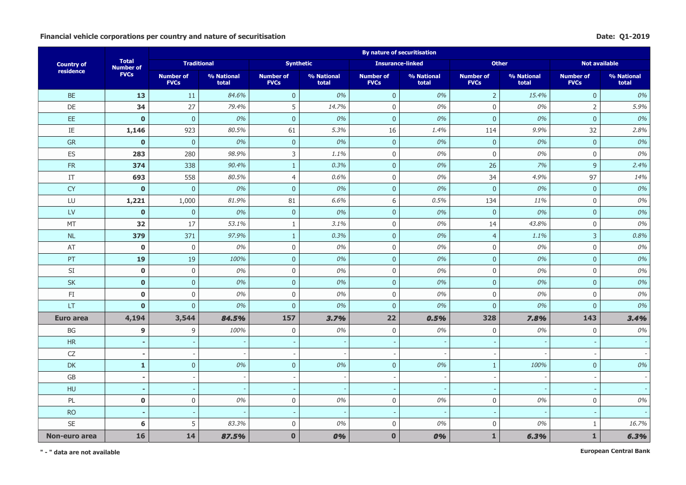#### Financial vehicle corporations per country and nature of securitisation **Date:** Q1-2019

|                        |                                  |                                 |                     |                                 |                     | <b>By nature of securitisation</b> |                     |                                 |                     |                                 |                     |
|------------------------|----------------------------------|---------------------------------|---------------------|---------------------------------|---------------------|------------------------------------|---------------------|---------------------------------|---------------------|---------------------------------|---------------------|
| <b>Country of</b>      | <b>Total</b><br><b>Number of</b> | <b>Traditional</b>              |                     | <b>Synthetic</b>                |                     | <b>Insurance-linked</b>            |                     | <b>Other</b>                    |                     | <b>Not available</b>            |                     |
| residence              | <b>FVCs</b>                      | <b>Number of</b><br><b>FVCs</b> | % National<br>total | <b>Number of</b><br><b>FVCs</b> | % National<br>total | <b>Number of</b><br><b>FVCs</b>    | % National<br>total | <b>Number of</b><br><b>FVCs</b> | % National<br>total | <b>Number of</b><br><b>FVCs</b> | % National<br>total |
| <b>BE</b>              | 13                               | 11                              | 84.6%               | $\mathbf{0}$                    | 0%                  | $\pmb{0}$                          | 0%                  | $\overline{2}$                  | 15.4%               | $\pmb{0}$                       | 0%                  |
| DE                     | 34                               | 27                              | 79.4%               | 5                               | 14.7%               | $\mathbf 0$                        | 0%                  | $\Omega$                        | 0%                  | $\overline{2}$                  | 5.9%                |
| EE.                    | $\mathbf{0}$                     | $\overline{0}$                  | 0%                  | $\overline{0}$                  | 0%                  | $\overline{0}$                     | 0%                  | $\overline{0}$                  | 0%                  | $\mathbf{0}$                    | 0%                  |
| $\rm IE$               | 1,146                            | 923                             | 80.5%               | 61                              | 5.3%                | 16                                 | 1.4%                | 114                             | 9.9%                | 32                              | 2.8%                |
| GR                     | $\mathbf 0$                      | $\mathbf 0$                     | 0%                  | $\mathbf 0$                     | 0%                  | $\mathbf 0$                        | 0%                  | $\mathbf{0}$                    | 0%                  | $\pmb{0}$                       | 0%                  |
| ES                     | 283                              | 280                             | 98.9%               | $\mathsf{3}$                    | 1.1%                | $\mathbf 0$                        | 0%                  | $\mathbf 0$                     | 0%                  | $\mathbf 0$                     | 0%                  |
| <b>FR</b>              | 374                              | 338                             | 90.4%               | $\mathbf{1}$                    | 0.3%                | $\overline{0}$                     | 0%                  | 26                              | 7%                  | 9                               | 2.4%                |
| IT                     | 693                              | 558                             | 80.5%               | $\overline{4}$                  | 0.6%                | $\mathbf 0$                        | 0%                  | 34                              | 4.9%                | 97                              | 14%                 |
| <b>CY</b>              | $\mathbf 0$                      | $\pmb{0}$                       | 0%                  | $\mathbf{0}$                    | 0%                  | $\pmb{0}$                          | 0%                  | $\mathbf 0$                     | $0\%$               | $\pmb{0}$                       | 0%                  |
| LU                     | 1,221                            | 1,000                           | 81.9%               | 81                              | 6.6%                | $\,$ 6 $\,$                        | 0.5%                | 134                             | 11%                 | $\mathbf 0$                     | 0%                  |
| $\mathsf{L}\mathsf{V}$ | $\mathbf{0}$                     | $\overline{0}$                  | 0%                  | $\overline{0}$                  | 0%                  | $\mathbf{0}$                       | 0%                  | $\overline{0}$                  | 0%                  | $\mathbf{0}$                    | 0%                  |
| MT                     | 32                               | 17                              | 53.1%               | $\mathbf{1}$                    | 3.1%                | $\boldsymbol{0}$                   | 0%                  | 14                              | 43.8%               | $\mathbf 0$                     | 0%                  |
| $\sf NL$               | 379                              | 371                             | 97.9%               | $\mathbf{1}$                    | 0.3%                | $\pmb{0}$                          | 0%                  | $\overline{4}$                  | 1.1%                | $\mathsf{3}$                    | 0.8%                |
| AT                     | $\bf{0}$                         | 0                               | 0%                  | $\mathsf 0$                     | 0%                  | $\mathbf 0$                        | 0%                  | $\boldsymbol{0}$                | 0%                  | $\boldsymbol{0}$                | 0%                  |
| PT                     | 19                               | 19                              | 100%                | $\mathbf{0}$                    | 0%                  | $\mathbf 0$                        | 0%                  | $\overline{0}$                  | 0%                  | $\overline{0}$                  | 0%                  |
| SI                     | $\mathbf 0$                      | 0                               | 0%                  | $\mathbf 0$                     | 0%                  | $\mathbf 0$                        | 0%                  | $\mathbf 0$                     | 0%                  | $\mathbf 0$                     | 0%                  |
| <b>SK</b>              | $\mathbf 0$                      | $\pmb{0}$                       | 0%                  | $\overline{0}$                  | 0%                  | $\mathbf 0$                        | 0%                  | $\overline{0}$                  | 0%                  | $\mathbf{0}$                    | 0%                  |
| $\mathsf{FI}$          | $\mathbf 0$                      | $\mathsf 0$                     | 0%                  | $\mathbf 0$                     | 0%                  | $\mathbf 0$                        | 0%                  | $\boldsymbol{0}$                | 0%                  | $\mathbf{0}$                    | 0%                  |
| LT                     | $\mathbf{0}$                     | $\overline{0}$                  | 0%                  | $\mathbf 0$                     | 0%                  | $\pmb{0}$                          | 0%                  | $\overline{0}$                  | 0%                  | $\mathbf{0}$                    | 0%                  |
| Euro area              | 4,194                            | 3,544                           | 84.5%               | 157                             | 3.7%                | 22                                 | 0.5%                | 328                             | 7.8%                | 143                             | 3.4%                |
| BG                     | 9                                | 9                               | 100%                | $\mathbf 0$                     | 0%                  | $\mathbf 0$                        | 0%                  | $\mathbf 0$                     | 0%                  | $\mathbf 0$                     | 0%                  |
| <b>HR</b>              | ٠                                |                                 |                     |                                 |                     | $\overline{\phantom{a}}$           |                     |                                 |                     |                                 |                     |
| CZ                     | $\overline{\phantom{a}}$         | $\overline{\phantom{a}}$        |                     | $\overline{\phantom{a}}$        |                     | $\overline{\phantom{a}}$           |                     |                                 |                     | $\overline{\phantom{a}}$        |                     |
| <b>DK</b>              | $\mathbf{1}$                     | $\overline{0}$                  | 0%                  | $\overline{0}$                  | 0%                  | $\mathbf{0}$                       | 0%                  | $\mathbf{1}$                    | 100%                | $\mathbf{0}$                    | 0%                  |
| GB                     | $\overline{\phantom{a}}$         |                                 |                     | $\sim$                          |                     | ÷,                                 |                     |                                 |                     | $\blacksquare$                  |                     |
| HU                     | $\sim$                           |                                 |                     | $\overline{\phantom{a}}$        |                     | $\overline{\phantom{a}}$           |                     |                                 |                     |                                 |                     |
| PL                     | $\mathbf 0$                      | $\mathsf{0}$                    | 0%                  | $\mathsf 0$                     | $0\%$               | $\mathbf 0$                        | 0%                  | $\boldsymbol{0}$                | $0\%$               | $\boldsymbol{0}$                | 0%                  |
| <b>RO</b>              | $\sim$                           |                                 |                     | $\overline{\phantom{a}}$        |                     | $\overline{\phantom{a}}$           |                     |                                 |                     | $\overline{\phantom{a}}$        |                     |
| SE                     | 6                                | 5                               | 83.3%               | $\mathbf 0$                     | 0%                  | $\mathbf 0$                        | 0%                  | 0                               | 0%                  | 1                               | 16.7%               |
| Non-euro area          | 16                               | 14                              | 87.5%               | $\mathbf{0}$                    | 0%                  | $\mathbf{0}$                       | 0%                  | $\mathbf{1}$                    | 6.3%                | $\mathbf{1}$                    | 6.3%                |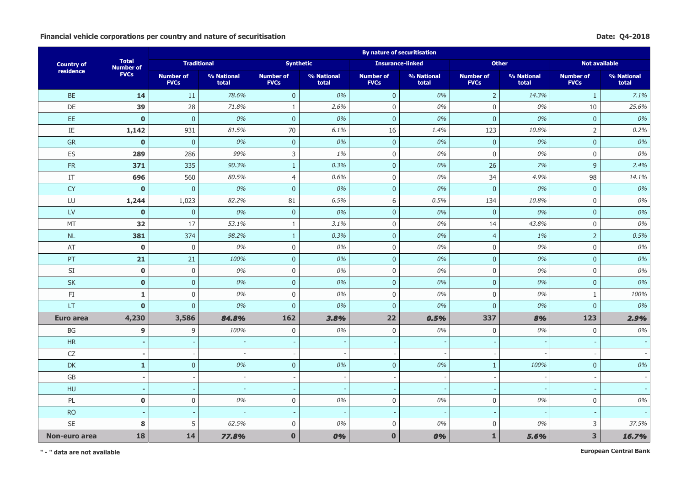#### Financial vehicle corporations per country and nature of securitisation **Date:** Q4-2018

|                        |                                  |                                 |                     |                                 |                     | <b>By nature of securitisation</b> |                     |                                 |                     |                                 |                     |
|------------------------|----------------------------------|---------------------------------|---------------------|---------------------------------|---------------------|------------------------------------|---------------------|---------------------------------|---------------------|---------------------------------|---------------------|
| <b>Country of</b>      | <b>Total</b><br><b>Number of</b> | <b>Traditional</b>              |                     | <b>Synthetic</b>                |                     | <b>Insurance-linked</b>            |                     | <b>Other</b>                    |                     | <b>Not available</b>            |                     |
| residence              | <b>FVCs</b>                      | <b>Number of</b><br><b>FVCs</b> | % National<br>total | <b>Number of</b><br><b>FVCs</b> | % National<br>total | <b>Number of</b><br><b>FVCs</b>    | % National<br>total | <b>Number of</b><br><b>FVCs</b> | % National<br>total | <b>Number of</b><br><b>FVCs</b> | % National<br>total |
| <b>BE</b>              | 14                               | 11                              | 78.6%               | $\overline{0}$                  | 0%                  | $\overline{0}$                     | 0%                  | $\overline{2}$                  | 14.3%               | $\mathbf{1}$                    | 7.1%                |
| DE                     | 39                               | 28                              | 71.8%               | 1                               | 2.6%                | $\mathbf 0$                        | 0%                  | $\mathbf 0$                     | 0%                  | 10                              | 25.6%               |
| EE.                    | $\mathbf 0$                      | $\pmb{0}$                       | 0%                  | $\mathbf 0$                     | 0%                  | $\pmb{0}$                          | 0%                  | $\bf 0$                         | $0\%$               | $\mathbf 0$                     | 0%                  |
| ΙE                     | 1,142                            | 931                             | 81.5%               | 70                              | 6.1%                | 16                                 | 1.4%                | 123                             | 10.8%               | $\overline{2}$                  | 0.2%                |
| <b>GR</b>              | $\mathbf{0}$                     | $\mathbf{0}$                    | 0%                  | $\overline{0}$                  | 0%                  | $\mathbf 0$                        | 0%                  | $\mathbf{0}$                    | 0%                  | $\overline{0}$                  | 0%                  |
| ES                     | 289                              | 286                             | 99%                 | 3                               | 1%                  | $\mathbf 0$                        | 0%                  | $\mathbf 0$                     | 0%                  | $\mathbf 0$                     | 0%                  |
| FR                     | 371                              | 335                             | 90.3%               | $\mathbf{1}$                    | 0.3%                | $\mathbf{0}$                       | 0%                  | 26                              | 7%                  | 9                               | 2.4%                |
| IT                     | 696                              | 560                             | 80.5%               | $\overline{4}$                  | 0.6%                | $\mathbf 0$                        | 0%                  | 34                              | 4.9%                | 98                              | 14.1%               |
| CY                     | $\mathbf{0}$                     | $\pmb{0}$                       | 0%                  | $\mathbf{0}$                    | 0%                  | $\mathbf{0}$                       | 0%                  | $\overline{0}$                  | 0%                  | $\mathbf 0$                     | 0%                  |
| LU                     | 1,244                            | 1,023                           | 82.2%               | 81                              | 6.5%                | 6                                  | 0.5%                | 134                             | 10.8%               | $\mathbf 0$                     | 0%                  |
| $\mathsf{L}\mathsf{V}$ | $\mathbf{0}$                     | $\pmb{0}$                       | 0%                  | $\overline{0}$                  | 0%                  | $\mathbf 0$                        | 0%                  | $\overline{0}$                  | 0%                  | $\mathbf{0}$                    | 0%                  |
| MT                     | 32                               | 17                              | 53.1%               | $\mathbf{1}$                    | 3.1%                | $\mathsf 0$                        | 0%                  | 14                              | 43.8%               | $\mathsf 0$                     | 0%                  |
| $\sf NL$               | 381                              | 374                             | 98.2%               | $\mathbf{1}$                    | 0.3%                | $\mathbf 0$                        | 0%                  | $\overline{4}$                  | 1%                  | $\overline{2}$                  | 0.5%                |
| $\mathsf{AT}$          | $\mathbf 0$                      | 0                               | 0%                  | $\mathsf 0$                     | 0%                  | $\mathbf 0$                        | 0%                  | $\boldsymbol{0}$                | 0%                  | $\boldsymbol{0}$                | 0%                  |
| PT                     | 21                               | 21                              | 100%                | $\mathbf{0}$                    | 0%                  | $\mathbf 0$                        | 0%                  | $\overline{0}$                  | 0%                  | $\overline{0}$                  | 0%                  |
| SI                     | $\mathbf 0$                      | $\mathbf 0$                     | 0%                  | $\mathbf 0$                     | 0%                  | $\mathbf 0$                        | 0%                  | $\mathbf 0$                     | 0%                  | $\mathbf 0$                     | 0%                  |
| <b>SK</b>              | $\mathbf 0$                      | $\overline{0}$                  | 0%                  | $\overline{0}$                  | 0%                  | $\overline{0}$                     | 0%                  | $\overline{0}$                  | 0%                  | $\mathbf{0}$                    | 0%                  |
| $\mathsf{FI}$          | $\mathbf{1}$                     | $\mathsf 0$                     | 0%                  | $\mathbf 0$                     | 0%                  | $\mathbf 0$                        | 0%                  | $\boldsymbol{0}$                | $0\%$               | $\mathbf{1}$                    | 100%                |
| LT                     | $\mathbf 0$                      | $\pmb{0}$                       | 0%                  | $\boldsymbol{0}$                | 0%                  | $\pmb{0}$                          | 0%                  | $\bf 0$                         | $0\%$               | $\mathbf{0}$                    | 0%                  |
| Euro area              | 4,230                            | 3,586                           | 84.8%               | 162                             | 3.8%                | 22                                 | 0.5%                | 337                             | 8%                  | 123                             | 2.9%                |
| $\mathsf{B}\mathsf{G}$ | 9                                | 9                               | 100%                | $\mathbf 0$                     | 0%                  | $\mathbf 0$                        | 0%                  | $\mathbf 0$                     | 0%                  | $\mathbf 0$                     | 0%                  |
| <b>HR</b>              | ٠                                |                                 |                     |                                 |                     |                                    |                     |                                 |                     |                                 |                     |
| CZ                     | $\overline{a}$                   |                                 |                     |                                 |                     | $\overline{\phantom{a}}$           |                     |                                 |                     |                                 |                     |
| <b>DK</b>              | $\mathbf{1}$                     | $\mathbf 0$                     | 0%                  | $\mathbf 0$                     | 0%                  | $\pmb{0}$                          | 0%                  | $\mathbf{1}$                    | 100%                | $\mathbf 0$                     | 0%                  |
| $\mathsf{G}\mathsf{B}$ | ÷,                               |                                 |                     |                                 |                     |                                    |                     |                                 |                     |                                 |                     |
| HU                     | $\blacksquare$                   |                                 |                     | $\overline{\phantom{a}}$        |                     | $\overline{\phantom{a}}$           |                     |                                 |                     |                                 |                     |
| PL                     | $\mathbf 0$                      | $\mathbf 0$                     | 0%                  | $\mathbf 0$                     | 0%                  | $\boldsymbol{0}$                   | 0%                  | $\mathbf 0$                     | 0%                  | $\mathbf 0$                     | 0%                  |
| <b>RO</b>              | $\blacksquare$                   |                                 |                     |                                 |                     | $\overline{\phantom{a}}$           |                     |                                 |                     | $\overline{\phantom{a}}$        |                     |
| <b>SE</b>              | 8                                | 5                               | 62.5%               | $\mathbf 0$                     | 0%                  | $\mathbf 0$                        | 0%                  | $\mathbf 0$                     | 0%                  | 3                               | 37.5%               |
| Non-euro area          | 18                               | 14                              | 77.8%               | $\mathbf 0$                     | 0%                  | $\mathbf 0$                        | 0%                  | $\mathbf{1}$                    | 5.6%                | 3                               | 16.7%               |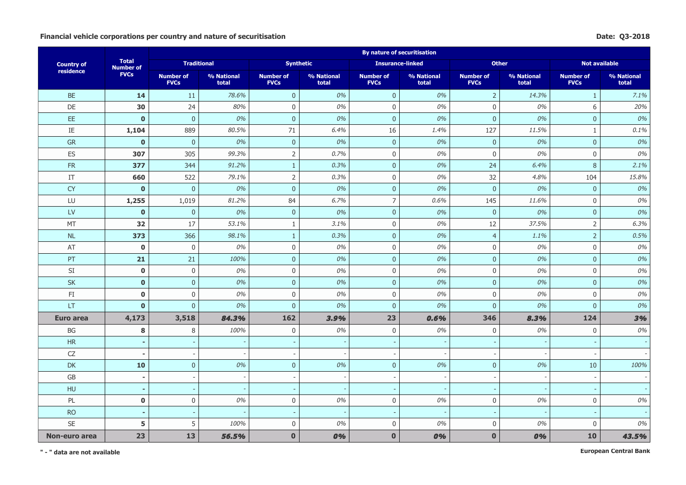#### Financial vehicle corporations per country and nature of securitisation **Date:** Q3-2018

|                        |                                  |                                 |                     |                                 |                     | <b>By nature of securitisation</b> |                     |                                 |                     |                                 |                     |
|------------------------|----------------------------------|---------------------------------|---------------------|---------------------------------|---------------------|------------------------------------|---------------------|---------------------------------|---------------------|---------------------------------|---------------------|
| <b>Country of</b>      | <b>Total</b><br><b>Number of</b> | <b>Traditional</b>              |                     | <b>Synthetic</b>                |                     | <b>Insurance-linked</b>            |                     | <b>Other</b>                    |                     | <b>Not available</b>            |                     |
| residence              | <b>FVCs</b>                      | <b>Number of</b><br><b>FVCs</b> | % National<br>total | <b>Number of</b><br><b>FVCs</b> | % National<br>total | <b>Number of</b><br><b>FVCs</b>    | % National<br>total | <b>Number of</b><br><b>FVCs</b> | % National<br>total | <b>Number of</b><br><b>FVCs</b> | % National<br>total |
| <b>BE</b>              | 14                               | 11                              | 78.6%               | $\overline{0}$                  | 0%                  | $\mathbf 0$                        | 0%                  | $\overline{2}$                  | 14.3%               | $\mathbf{1}$                    | 7.1%                |
| DE                     | 30                               | 24                              | 80%                 | $\mathbf 0$                     | 0%                  | $\mathbf 0$                        | 0%                  | $\mathbf{0}$                    | 0%                  | 6                               | 20%                 |
| EE.                    | $\mathbf{0}$                     | $\overline{0}$                  | 0%                  | $\overline{0}$                  | 0%                  | $\mathbf{0}$                       | 0%                  | $\bf 0$                         | 0%                  | $\mathbf 0$                     | 0%                  |
| $\rm IE$               | 1,104                            | 889                             | 80.5%               | 71                              | 6.4%                | 16                                 | 1.4%                | 127                             | 11.5%               | $\mathbf{1}$                    | 0.1%                |
| GR                     | $\mathbf 0$                      | $\mathbf 0$                     | 0%                  | $\mathbf 0$                     | 0%                  | $\mathbf 0$                        | 0%                  | $\mathbf{0}$                    | 0%                  | $\mathbf 0$                     | 0%                  |
| ES                     | 307                              | 305                             | 99.3%               | $\overline{2}$                  | 0.7%                | $\mathbf 0$                        | 0%                  | $\mathbf 0$                     | 0%                  | $\mathbf 0$                     | 0%                  |
| <b>FR</b>              | 377                              | 344                             | 91.2%               | $\mathbf{1}$                    | 0.3%                | $\mathbf{0}$                       | 0%                  | 24                              | 6.4%                | 8                               | 2.1%                |
| IT                     | 660                              | 522                             | 79.1%               | $\overline{2}$                  | 0.3%                | $\mathbf 0$                        | 0%                  | 32                              | 4.8%                | 104                             | 15.8%               |
| <b>CY</b>              | $\mathbf 0$                      | $\pmb{0}$                       | 0%                  | $\pmb{0}$                       | 0%                  | $\pmb{0}$                          | 0%                  | $\mathbf 0$                     | $0\%$               | $\pmb{0}$                       | 0%                  |
| LU                     | 1,255                            | 1,019                           | 81.2%               | 84                              | 6.7%                | $\overline{7}$                     | 0.6%                | 145                             | 11.6%               | $\mathbf 0$                     | 0%                  |
| $\mathsf{L}\mathsf{V}$ | $\mathbf{0}$                     | $\overline{0}$                  | 0%                  | $\overline{0}$                  | 0%                  | $\mathbf 0$                        | 0%                  | $\overline{0}$                  | 0%                  | $\mathbf{0}$                    | 0%                  |
| MT                     | 32                               | 17                              | 53.1%               | $\mathbf{1}$                    | 3.1%                | $\boldsymbol{0}$                   | 0%                  | 12                              | 37.5%               | $\overline{2}$                  | 6.3%                |
| $\sf NL$               | 373                              | 366                             | 98.1%               | $\mathbf{1}$                    | 0.3%                | $\pmb{0}$                          | 0%                  | $\overline{4}$                  | 1.1%                | $\overline{2}$                  | 0.5%                |
| AT                     | $\bf{0}$                         | 0                               | 0%                  | $\mathsf 0$                     | 0%                  | $\mathbf 0$                        | 0%                  | $\boldsymbol{0}$                | 0%                  | $\boldsymbol{0}$                | 0%                  |
| PT                     | 21                               | 21                              | 100%                | $\mathbf{0}$                    | 0%                  | $\mathbf 0$                        | 0%                  | $\overline{0}$                  | 0%                  | $\overline{0}$                  | 0%                  |
| SI                     | $\mathbf 0$                      | 0                               | 0%                  | $\mathbf 0$                     | 0%                  | $\mathbf 0$                        | 0%                  | $\mathbf 0$                     | 0%                  | $\mathbf 0$                     | 0%                  |
| <b>SK</b>              | $\mathbf 0$                      | $\pmb{0}$                       | 0%                  | $\mathbf{0}$                    | 0%                  | $\mathbf 0$                        | 0%                  | $\overline{0}$                  | 0%                  | $\mathbf{0}$                    | 0%                  |
| $\mathsf{FI}$          | $\mathbf 0$                      | $\mathsf 0$                     | 0%                  | $\mathbf 0$                     | 0%                  | $\mathbf 0$                        | 0%                  | $\boldsymbol{0}$                | 0%                  | $\mathbf{0}$                    | 0%                  |
| LT                     | $\mathbf{0}$                     | $\overline{0}$                  | 0%                  | $\overline{0}$                  | 0%                  | $\mathbf 0$                        | 0%                  | $\overline{0}$                  | 0%                  | $\mathbf{0}$                    | 0%                  |
| Euro area              | 4,173                            | 3,518                           | 84.3%               | 162                             | 3,9%                | 23                                 | 0.6%                | 346                             | 8.3%                | 124                             | 3%                  |
| BG                     | 8                                | 8                               | 100%                | $\mathbf 0$                     | 0%                  | $\mathbf 0$                        | 0%                  | $\mathbf 0$                     | 0%                  | $\mathbf 0$                     | 0%                  |
| <b>HR</b>              | ٠                                |                                 |                     |                                 |                     | $\overline{\phantom{a}}$           |                     |                                 |                     |                                 |                     |
| CZ                     | $\blacksquare$                   | $\overline{\phantom{a}}$        |                     | $\overline{\phantom{a}}$        |                     | $\overline{\phantom{a}}$           |                     |                                 |                     |                                 |                     |
| <b>DK</b>              | 10                               | $\overline{0}$                  | 0%                  | $\overline{0}$                  | 0%                  | $\mathbf 0$                        | 0%                  | $\overline{0}$                  | 0%                  | 10                              | 100%                |
| GB                     | $\overline{\phantom{a}}$         |                                 |                     | $\overline{\phantom{a}}$        |                     | $\overline{\phantom{a}}$           |                     |                                 |                     | $\overline{\phantom{a}}$        |                     |
| HU                     | $\blacksquare$                   |                                 |                     | $\overline{\phantom{a}}$        |                     | $\overline{\phantom{a}}$           |                     |                                 |                     |                                 |                     |
| PL                     | $\mathbf 0$                      | $\mathsf{0}$                    | 0%                  | $\mathsf 0$                     | 0%                  | $\mathbf 0$                        | 0%                  | $\boldsymbol{0}$                | $0\%$               | $\boldsymbol{0}$                | 0%                  |
| <b>RO</b>              | $\sim$                           |                                 |                     | $\overline{\phantom{a}}$        |                     | $\overline{\phantom{a}}$           |                     |                                 |                     | $\overline{\phantom{a}}$        |                     |
| <b>SE</b>              | 5                                | 5                               | 100%                | $\mathbf 0$                     | 0%                  | $\mathbf 0$                        | 0%                  | $\boldsymbol{0}$                | 0%                  | $\mathbf 0$                     | 0%                  |
| Non-euro area          | 23                               | 13                              | 56.5%               | $\mathbf{0}$                    | 0%                  | $\mathbf{0}$                       | 0%                  | $\bf{0}$                        | 0%                  | 10                              | 43.5%               |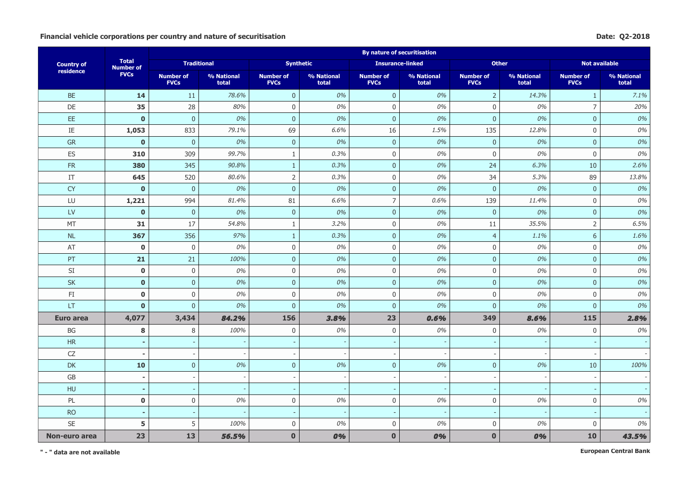#### Financial vehicle corporations per country and nature of securitisation **Date:** Q2-2018

|                        |                                  |                                 |                     |                                 |                     | <b>By nature of securitisation</b> |                     |                                 |                     |                                 |                     |
|------------------------|----------------------------------|---------------------------------|---------------------|---------------------------------|---------------------|------------------------------------|---------------------|---------------------------------|---------------------|---------------------------------|---------------------|
| <b>Country of</b>      | <b>Total</b><br><b>Number of</b> | <b>Traditional</b>              |                     | <b>Synthetic</b>                |                     | <b>Insurance-linked</b>            |                     | <b>Other</b>                    |                     | <b>Not available</b>            |                     |
| residence              | <b>FVCs</b>                      | <b>Number of</b><br><b>FVCs</b> | % National<br>total | <b>Number of</b><br><b>FVCs</b> | % National<br>total | <b>Number of</b><br><b>FVCs</b>    | % National<br>total | <b>Number of</b><br><b>FVCs</b> | % National<br>total | <b>Number of</b><br><b>FVCs</b> | % National<br>total |
| <b>BE</b>              | 14                               | 11                              | 78.6%               | $\overline{0}$                  | 0%                  | $\mathbf 0$                        | 0%                  | $\overline{2}$                  | 14.3%               | $\mathbf{1}$                    | 7.1%                |
| DE                     | 35                               | 28                              | 80%                 | $\mathbf 0$                     | 0%                  | $\mathbf 0$                        | 0%                  | $\mathbf{0}$                    | 0%                  | $\overline{7}$                  | 20%                 |
| EE.                    | $\mathbf{0}$                     | $\overline{0}$                  | 0%                  | $\overline{0}$                  | 0%                  | $\overline{0}$                     | 0%                  | $\mathbf{0}$                    | 0%                  | $\mathbf 0$                     | 0%                  |
| $\rm IE$               | 1,053                            | 833                             | 79.1%               | 69                              | 6.6%                | 16                                 | 1.5%                | 135                             | 12.8%               | $\mathbf{0}$                    | 0%                  |
| GR                     | $\mathbf 0$                      | $\mathbf 0$                     | 0%                  | $\mathbf 0$                     | 0%                  | $\pmb{0}$                          | 0%                  | $\pmb{0}$                       | 0%                  | $\mathbf 0$                     | 0%                  |
| ES                     | 310                              | 309                             | 99.7%               | $\mathbf{1}$                    | 0.3%                | $\mathbf 0$                        | 0%                  | $\mathbf 0$                     | 0%                  | $\mathbf{0}$                    | 0%                  |
| <b>FR</b>              | 380                              | 345                             | 90.8%               | $\mathbf{1}$                    | 0.3%                | $\overline{0}$                     | 0%                  | 24                              | 6.3%                | 10                              | 2.6%                |
| IT                     | 645                              | 520                             | 80.6%               | $\overline{2}$                  | 0.3%                | $\mathbf 0$                        | 0%                  | 34                              | 5.3%                | 89                              | 13.8%               |
| <b>CY</b>              | $\mathbf 0$                      | $\pmb{0}$                       | 0%                  | $\pmb{0}$                       | 0%                  | $\pmb{0}$                          | 0%                  | $\mathbf 0$                     | $0\%$               | $\pmb{0}$                       | 0%                  |
| LU                     | 1,221                            | 994                             | 81.4%               | 81                              | 6.6%                | $\overline{7}$                     | 0.6%                | 139                             | 11.4%               | $\mathbf 0$                     | 0%                  |
| $\mathsf{L}\mathsf{V}$ | $\mathbf{0}$                     | $\overline{0}$                  | 0%                  | $\overline{0}$                  | 0%                  | $\mathbf{0}$                       | 0%                  | $\overline{0}$                  | 0%                  | $\overline{0}$                  | 0%                  |
| MT                     | 31                               | 17                              | 54.8%               | $\mathbf{1}$                    | 3.2%                | $\mathbf 0$                        | 0%                  | 11                              | 35.5%               | $\overline{2}$                  | 6.5%                |
| $\sf NL$               | 367                              | 356                             | 97%                 | $\mathbf{1}$                    | 0.3%                | $\pmb{0}$                          | 0%                  | $\overline{4}$                  | 1.1%                | 6                               | 1.6%                |
| AT                     | $\bf{0}$                         | 0                               | 0%                  | $\boldsymbol{0}$                | 0%                  | $\mathbf 0$                        | 0%                  | $\boldsymbol{0}$                | 0%                  | $\boldsymbol{0}$                | 0%                  |
| PT                     | 21                               | 21                              | 100%                | $\mathbf{0}$                    | 0%                  | $\mathbf{0}$                       | 0%                  | $\overline{0}$                  | 0%                  | $\overline{0}$                  | 0%                  |
| SI                     | $\mathbf 0$                      | 0                               | 0%                  | $\mathbf 0$                     | 0%                  | $\mathbf 0$                        | 0%                  | $\mathbf 0$                     | 0%                  | $\mathbf 0$                     | 0%                  |
| <b>SK</b>              | $\mathbf 0$                      | $\pmb{0}$                       | 0%                  | $\overline{0}$                  | 0%                  | $\mathbf{0}$                       | 0%                  | $\overline{0}$                  | 0%                  | $\overline{0}$                  | 0%                  |
| $\mathsf{F}\mathbf{I}$ | $\mathbf 0$                      | $\boldsymbol{0}$                | 0%                  | $\boldsymbol{0}$                | 0%                  | $\mathbf 0$                        | 0%                  | $\boldsymbol{0}$                | 0%                  | $\mathbf{0}$                    | 0%                  |
| LT                     | $\mathbf{0}$                     | $\overline{0}$                  | 0%                  | $\overline{0}$                  | 0%                  | $\mathbf{0}$                       | 0%                  | $\overline{0}$                  | 0%                  | $\mathbf{0}$                    | 0%                  |
| Euro area              | 4,077                            | 3,434                           | 84.2%               | 156                             | 3.8%                | 23                                 | 0.6%                | 349                             | 8,6%                | <b>115</b>                      | 2.8%                |
| BG                     | 8                                | 8                               | 100%                | $\mathbf 0$                     | 0%                  | $\mathbf 0$                        | 0%                  | $\mathbf 0$                     | 0%                  | $\mathbf{0}$                    | 0%                  |
| <b>HR</b>              | ٠                                |                                 |                     |                                 |                     | $\overline{\phantom{a}}$           |                     |                                 |                     |                                 |                     |
| CZ                     | $\blacksquare$                   | $\overline{\phantom{a}}$        |                     |                                 |                     | $\overline{a}$                     |                     |                                 |                     |                                 |                     |
| <b>DK</b>              | 10                               | $\overline{0}$                  | 0%                  | $\overline{0}$                  | 0%                  | $\mathbf{0}$                       | 0%                  | $\overline{0}$                  | 0%                  | 10                              | 100%                |
| GB                     | $\overline{\phantom{a}}$         |                                 |                     | $\overline{\phantom{a}}$        |                     | $\overline{a}$                     |                     |                                 |                     |                                 |                     |
| HU                     | $\blacksquare$                   |                                 |                     | $\sim$                          |                     | $\sim$                             |                     |                                 |                     |                                 |                     |
| PL                     | $\mathbf 0$                      | $\boldsymbol{0}$                | 0%                  | $\boldsymbol{0}$                | 0%                  | $\mathbf 0$                        | 0%                  | $\boldsymbol{0}$                | $0\%$               | $\boldsymbol{0}$                | 0%                  |
| <b>RO</b>              | $\sim$                           |                                 |                     | $\sim$                          |                     | $\overline{\phantom{a}}$           |                     |                                 |                     | $\sim$                          |                     |
| <b>SE</b>              | 5                                | 5                               | 100%                | $\mathbf 0$                     | 0%                  | $\mathbf 0$                        | 0%                  | $\mathbf 0$                     | 0%                  | $\mathbf{0}$                    | 0%                  |
| Non-euro area          | 23                               | 13                              | 56.5%               | $\mathbf{0}$                    | 0%                  | $\mathbf{0}$                       | 0%                  | $\bf{0}$                        | 0%                  | 10                              | 43.5%               |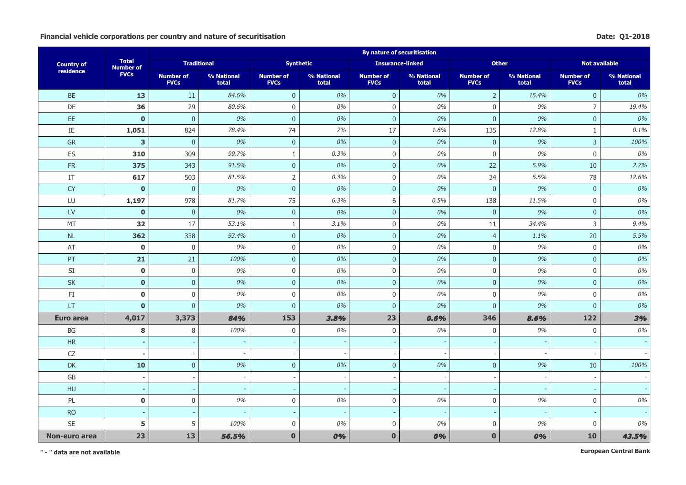#### Financial vehicle corporations per country and nature of securitisation **Date:** Q1-2018

|                        |                                  |                                 |                     |                                 |                     | <b>By nature of securitisation</b> |                     |                                 |                     |                                 |                     |
|------------------------|----------------------------------|---------------------------------|---------------------|---------------------------------|---------------------|------------------------------------|---------------------|---------------------------------|---------------------|---------------------------------|---------------------|
| <b>Country of</b>      | <b>Total</b><br><b>Number of</b> | <b>Traditional</b>              |                     | <b>Synthetic</b>                |                     | <b>Insurance-linked</b>            |                     | <b>Other</b>                    |                     | <b>Not available</b>            |                     |
| residence              | <b>FVCs</b>                      | <b>Number of</b><br><b>FVCs</b> | % National<br>total | <b>Number of</b><br><b>FVCs</b> | % National<br>total | <b>Number of</b><br><b>FVCs</b>    | % National<br>total | <b>Number of</b><br><b>FVCs</b> | % National<br>total | <b>Number of</b><br><b>FVCs</b> | % National<br>total |
| <b>BE</b>              | 13                               | 11                              | 84.6%               | $\overline{0}$                  | 0%                  | $\mathbf 0$                        | 0%                  | $\overline{2}$                  | 15.4%               | $\mathbf 0$                     | 0%                  |
| DE                     | 36                               | 29                              | 80.6%               | $\mathbf 0$                     | 0%                  | $\mathbf 0$                        | 0%                  | $\Omega$                        | 0%                  | $\overline{7}$                  | 19.4%               |
| EE.                    | $\mathbf{0}$                     | $\overline{0}$                  | 0%                  | $\overline{0}$                  | 0%                  | $\overline{0}$                     | 0%                  | $\mathbf{0}$                    | 0%                  | $\mathbf 0$                     | 0%                  |
| $\rm IE$               | 1,051                            | 824                             | 78.4%               | 74                              | 7%                  | 17                                 | 1.6%                | 135                             | 12.8%               | $\mathbf{1}$                    | 0.1%                |
| GR                     | 3                                | $\mathbf 0$                     | 0%                  | $\mathbf 0$                     | 0%                  | $\pmb{0}$                          | 0%                  | $\mathbf{0}$                    | 0%                  | $\mathsf{3}$                    | 100%                |
| ES                     | 310                              | 309                             | 99.7%               | $\mathbf{1}$                    | 0.3%                | $\mathbf 0$                        | 0%                  | $\mathbf 0$                     | 0%                  | $\mathbf{0}$                    | 0%                  |
| <b>FR</b>              | 375                              | 343                             | 91.5%               | $\overline{0}$                  | 0%                  | $\overline{0}$                     | 0%                  | 22                              | 5.9%                | 10                              | 2.7%                |
| IT                     | 617                              | 503                             | 81.5%               | $\overline{2}$                  | 0.3%                | $\mathbf 0$                        | 0%                  | 34                              | 5.5%                | 78                              | 12.6%               |
| <b>CY</b>              | $\mathbf 0$                      | $\pmb{0}$                       | 0%                  | $\mathbf{0}$                    | 0%                  | $\pmb{0}$                          | 0%                  | $\mathbf 0$                     | $0\%$               | $\pmb{0}$                       | 0%                  |
| LU                     | 1,197                            | 978                             | 81.7%               | 75                              | 6.3%                | $\,$ 6 $\,$                        | 0.5%                | 138                             | 11.5%               | $\mathbf 0$                     | 0%                  |
| $\mathsf{L}\mathsf{V}$ | $\mathbf{0}$                     | $\overline{0}$                  | 0%                  | $\overline{0}$                  | 0%                  | $\overline{0}$                     | 0%                  | $\overline{0}$                  | 0%                  | $\overline{0}$                  | 0%                  |
| MT                     | 32                               | 17                              | 53.1%               | $\mathbf{1}$                    | 3.1%                | $\mathbf 0$                        | 0%                  | 11                              | 34.4%               | 3                               | 9.4%                |
| $\sf NL$               | 362                              | 338                             | 93.4%               | $\mathbf 0$                     | 0%                  | $\pmb{0}$                          | 0%                  | $\overline{4}$                  | 1.1%                | 20                              | 5.5%                |
| AT                     | $\bf{0}$                         | 0                               | 0%                  | $\boldsymbol{0}$                | 0%                  | $\boldsymbol{0}$                   | 0%                  | $\boldsymbol{0}$                | 0%                  | $\boldsymbol{0}$                | 0%                  |
| PT                     | 21                               | 21                              | 100%                | $\mathbf{0}$                    | 0%                  | $\mathbf{0}$                       | 0%                  | $\overline{0}$                  | 0%                  | $\overline{0}$                  | 0%                  |
| SI                     | $\mathbf 0$                      | 0                               | 0%                  | $\mathbf 0$                     | 0%                  | $\mathbf 0$                        | 0%                  | $\mathbf 0$                     | 0%                  | $\mathbf 0$                     | 0%                  |
| <b>SK</b>              | $\mathbf 0$                      | $\pmb{0}$                       | 0%                  | $\overline{0}$                  | 0%                  | $\mathbf{0}$                       | 0%                  | $\overline{0}$                  | 0%                  | $\overline{0}$                  | 0%                  |
| $\mathsf{F}\mathbf{I}$ | $\mathbf 0$                      | $\boldsymbol{0}$                | 0%                  | $\boldsymbol{0}$                | 0%                  | $\mathbf 0$                        | 0%                  | $\boldsymbol{0}$                | 0%                  | $\mathbf{0}$                    | 0%                  |
| LT                     | $\mathbf{0}$                     | $\overline{0}$                  | 0%                  | $\mathbf 0$                     | 0%                  | $\mathbf{0}$                       | 0%                  | $\overline{0}$                  | 0%                  | $\mathbf{0}$                    | 0%                  |
| Euro area              | 4,017                            | 3,373                           | 84%                 | 153                             | 3.8%                | 23                                 | 0.6%                | 346                             | 8,6%                | 122                             | 3%                  |
| BG                     | 8                                | 8                               | 100%                | $\mathbf 0$                     | 0%                  | $\mathbf 0$                        | 0%                  | $\mathbf 0$                     | 0%                  | $\mathbf{0}$                    | 0%                  |
| <b>HR</b>              | ٠                                |                                 |                     |                                 |                     | $\overline{\phantom{a}}$           |                     |                                 |                     |                                 |                     |
| CZ                     | $\blacksquare$                   | $\overline{\phantom{a}}$        |                     |                                 |                     | $\overline{a}$                     |                     |                                 |                     |                                 |                     |
| <b>DK</b>              | 10                               | $\overline{0}$                  | 0%                  | $\overline{0}$                  | 0%                  | $\mathbf{0}$                       | 0%                  | $\overline{0}$                  | 0%                  | 10                              | 100%                |
| GB                     | $\overline{\phantom{a}}$         |                                 |                     | $\overline{\phantom{a}}$        |                     | $\overline{a}$                     |                     |                                 |                     |                                 |                     |
| HU                     | $\blacksquare$                   |                                 |                     | $\sim$                          |                     | $\sim$                             |                     |                                 |                     |                                 |                     |
| PL                     | $\mathbf 0$                      | $\boldsymbol{0}$                | 0%                  | $\boldsymbol{0}$                | 0%                  | $\mathbf 0$                        | 0%                  | $\boldsymbol{0}$                | $0\%$               | $\boldsymbol{0}$                | $0\%$               |
| <b>RO</b>              | $\sim$                           |                                 |                     | $\sim$                          |                     | $\overline{\phantom{a}}$           |                     |                                 |                     |                                 |                     |
| SE                     | 5                                | 5                               | 100%                | $\mathbf 0$                     | 0%                  | $\mathbf 0$                        | 0%                  | $\mathbf 0$                     | 0%                  | $\mathbf{0}$                    | 0%                  |
| Non-euro area          | 23                               | 13                              | 56.5%               | $\mathbf{0}$                    | 0%                  | $\mathbf{0}$                       | 0%                  | $\bf{0}$                        | 0%                  | 10                              | 43.5%               |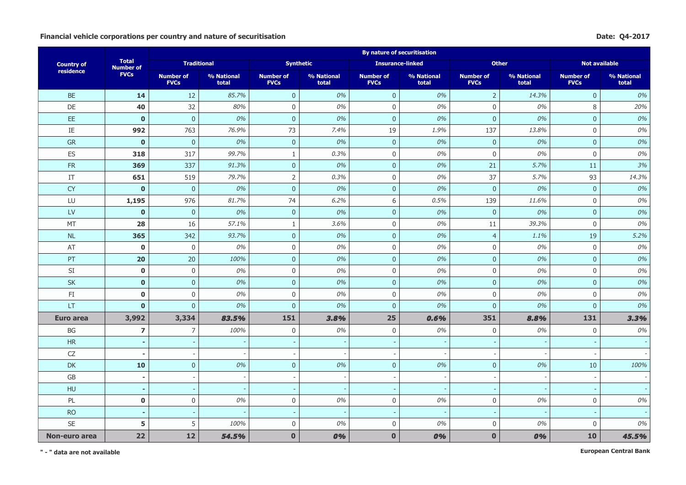#### **Financial vehicle corporations per country and nature of securitisation Date: Q4-2017**

|                        |                                  |                                 |                     |                                 |                     | <b>By nature of securitisation</b> |                     |                                 |                     |                                 |                     |
|------------------------|----------------------------------|---------------------------------|---------------------|---------------------------------|---------------------|------------------------------------|---------------------|---------------------------------|---------------------|---------------------------------|---------------------|
| <b>Country of</b>      | <b>Total</b><br><b>Number of</b> | <b>Traditional</b>              |                     | <b>Synthetic</b>                |                     | <b>Insurance-linked</b>            |                     | <b>Other</b>                    |                     | <b>Not available</b>            |                     |
| residence              | <b>FVCs</b>                      | <b>Number of</b><br><b>FVCs</b> | % National<br>total | <b>Number of</b><br><b>FVCs</b> | % National<br>total | <b>Number of</b><br><b>FVCs</b>    | % National<br>total | <b>Number of</b><br><b>FVCs</b> | % National<br>total | <b>Number of</b><br><b>FVCs</b> | % National<br>total |
| <b>BE</b>              | 14                               | $12$                            | 85.7%               | $\overline{0}$                  | 0%                  | $\mathbf 0$                        | 0%                  | $\overline{2}$                  | 14.3%               | $\mathbf 0$                     | 0%                  |
| DE                     | 40                               | 32                              | 80%                 | $\mathbf 0$                     | 0%                  | $\mathbf 0$                        | 0%                  | $\Omega$                        | 0%                  | 8                               | 20%                 |
| EE.                    | $\mathbf{0}$                     | $\overline{0}$                  | 0%                  | $\overline{0}$                  | 0%                  | $\overline{0}$                     | 0%                  | $\overline{0}$                  | 0%                  | $\mathbf 0$                     | 0%                  |
| IE                     | 992                              | 763                             | 76.9%               | 73                              | 7.4%                | 19                                 | 1.9%                | 137                             | 13.8%               | $\mathbf{0}$                    | 0%                  |
| GR                     | $\mathbf 0$                      | $\pmb{0}$                       | 0%                  | $\mathbf 0$                     | 0%                  | $\pmb{0}$                          | 0%                  | $\mathbf{0}$                    | 0%                  | $\mathbf 0$                     | 0%                  |
| ES                     | 318                              | 317                             | 99.7%               | $\mathbf{1}$                    | 0.3%                | $\mathbf 0$                        | 0%                  | $\mathbf 0$                     | 0%                  | $\mathbf{0}$                    | 0%                  |
| <b>FR</b>              | 369                              | 337                             | 91.3%               | $\overline{0}$                  | 0%                  | $\overline{0}$                     | 0%                  | 21                              | 5.7%                | 11                              | 3%                  |
| IT                     | 651                              | 519                             | 79.7%               | $\overline{2}$                  | 0.3%                | $\mathbf 0$                        | 0%                  | 37                              | 5.7%                | 93                              | 14.3%               |
| <b>CY</b>              | $\mathbf 0$                      | $\pmb{0}$                       | 0%                  | $\mathbf{0}$                    | 0%                  | $\pmb{0}$                          | 0%                  | $\mathbf 0$                     | $0\%$               | $\pmb{0}$                       | 0%                  |
| LU                     | 1,195                            | 976                             | 81.7%               | 74                              | 6.2%                | $\,$ 6 $\,$                        | 0.5%                | 139                             | 11.6%               | $\mathbf 0$                     | 0%                  |
| $\mathsf{L}\mathsf{V}$ | $\mathbf{0}$                     | $\overline{0}$                  | 0%                  | $\overline{0}$                  | 0%                  | $\overline{0}$                     | 0%                  | $\overline{0}$                  | 0%                  | $\overline{0}$                  | 0%                  |
| MT                     | 28                               | 16                              | 57.1%               | $\mathbf{1}$                    | 3.6%                | $\mathbf 0$                        | 0%                  | 11                              | 39.3%               | $\mathbf 0$                     | 0%                  |
| $\sf NL$               | 365                              | 342                             | 93.7%               | $\mathbf 0$                     | 0%                  | $\pmb{0}$                          | 0%                  | $\overline{4}$                  | 1.1%                | 19                              | 5.2%                |
| AT                     | $\bf{0}$                         | 0                               | 0%                  | $\boldsymbol{0}$                | 0%                  | $\boldsymbol{0}$                   | 0%                  | $\boldsymbol{0}$                | 0%                  | $\boldsymbol{0}$                | 0%                  |
| PT                     | 20                               | 20                              | 100%                | $\mathbf{0}$                    | 0%                  | $\mathbf{0}$                       | 0%                  | $\overline{0}$                  | 0%                  | $\overline{0}$                  | 0%                  |
| SI                     | $\mathbf 0$                      | 0                               | 0%                  | $\mathbf 0$                     | 0%                  | $\mathbf 0$                        | 0%                  | $\mathbf 0$                     | 0%                  | $\mathbf 0$                     | 0%                  |
| <b>SK</b>              | $\mathbf 0$                      | $\pmb{0}$                       | 0%                  | $\overline{0}$                  | 0%                  | $\mathbf{0}$                       | 0%                  | $\overline{0}$                  | 0%                  | $\overline{0}$                  | 0%                  |
| $\mathsf{F}\mathbf{I}$ | $\mathbf 0$                      | $\boldsymbol{0}$                | 0%                  | $\boldsymbol{0}$                | 0%                  | $\mathbf 0$                        | 0%                  | $\boldsymbol{0}$                | 0%                  | $\mathbf{0}$                    | 0%                  |
| LT                     | $\mathbf{0}$                     | $\overline{0}$                  | 0%                  | $\overline{0}$                  | 0%                  | $\mathbf{0}$                       | 0%                  | $\overline{0}$                  | 0%                  | $\mathbf{0}$                    | 0%                  |
| Euro area              | 3,992                            | 3,334                           | 83.5%               | 151                             | 3.8%                | 25                                 | 0.6%                | 351                             | 8,8%                | 131                             | 3.3%                |
| BG                     | $\overline{\mathbf{z}}$          | $\overline{7}$                  | 100%                | $\mathbf 0$                     | 0%                  | $\mathbf 0$                        | 0%                  | $\mathbf 0$                     | 0%                  | $\mathbf{0}$                    | 0%                  |
| <b>HR</b>              | ٠                                |                                 |                     |                                 |                     | $\overline{\phantom{a}}$           |                     |                                 |                     |                                 |                     |
| CZ                     | $\blacksquare$                   | $\overline{\phantom{a}}$        |                     |                                 |                     | $\overline{a}$                     |                     |                                 |                     |                                 |                     |
| <b>DK</b>              | 10                               | $\overline{0}$                  | 0%                  | $\overline{0}$                  | 0%                  | $\mathbf{0}$                       | 0%                  | $\overline{0}$                  | 0%                  | 10                              | 100%                |
| GB                     | $\overline{\phantom{a}}$         |                                 |                     | $\overline{\phantom{a}}$        |                     | $\overline{a}$                     |                     |                                 |                     |                                 |                     |
| HU                     | $\blacksquare$                   |                                 |                     | $\sim$                          |                     | $\sim$                             |                     |                                 |                     |                                 |                     |
| PL                     | $\mathbf 0$                      | $\boldsymbol{0}$                | 0%                  | $\boldsymbol{0}$                | 0%                  | $\mathbf 0$                        | 0%                  | $\boldsymbol{0}$                | $0\%$               | $\boldsymbol{0}$                | 0%                  |
| <b>RO</b>              | $\sim$                           |                                 |                     | $\sim$                          |                     | $\overline{\phantom{a}}$           |                     |                                 |                     | $\sim$                          |                     |
| <b>SE</b>              | 5                                | 5                               | 100%                | $\mathbf 0$                     | 0%                  | $\mathbf 0$                        | 0%                  | $\mathbf 0$                     | 0%                  | $\mathbf{0}$                    | 0%                  |
| Non-euro area          | 22                               | 12                              | 54.5%               | $\mathbf{0}$                    | 0%                  | $\mathbf{0}$                       | 0%                  | $\bf{0}$                        | 0%                  | 10                              | 45.5%               |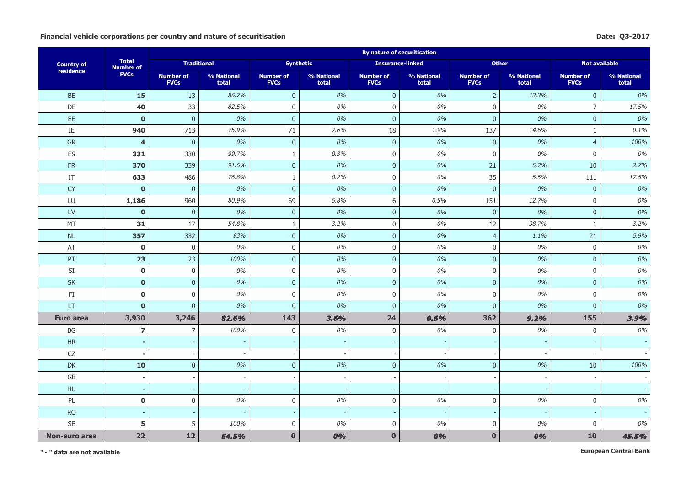#### **Financial vehicle corporations per country and nature of securitisation Date: Q3-2017**

|                        |                                  |                                 |                     |                                 |                     | <b>By nature of securitisation</b> |                     |                                 |                     |                                 |                     |
|------------------------|----------------------------------|---------------------------------|---------------------|---------------------------------|---------------------|------------------------------------|---------------------|---------------------------------|---------------------|---------------------------------|---------------------|
| <b>Country of</b>      | <b>Total</b><br><b>Number of</b> | <b>Traditional</b>              |                     | <b>Synthetic</b>                |                     | <b>Insurance-linked</b>            |                     | <b>Other</b>                    |                     | <b>Not available</b>            |                     |
| residence              | <b>FVCs</b>                      | <b>Number of</b><br><b>FVCs</b> | % National<br>total | <b>Number of</b><br><b>FVCs</b> | % National<br>total | <b>Number of</b><br><b>FVCs</b>    | % National<br>total | <b>Number of</b><br><b>FVCs</b> | % National<br>total | <b>Number of</b><br><b>FVCs</b> | % National<br>total |
| <b>BE</b>              | 15                               | 13                              | 86.7%               | $\overline{0}$                  | 0%                  | $\mathbf 0$                        | 0%                  | $\overline{2}$                  | 13.3%               | $\mathbf 0$                     | 0%                  |
| DE                     | 40                               | 33                              | 82.5%               | $\mathbf 0$                     | 0%                  | $\mathbf 0$                        | 0%                  | $\Omega$                        | 0%                  | $\overline{7}$                  | 17.5%               |
| EE.                    | $\mathbf{0}$                     | $\overline{0}$                  | 0%                  | $\overline{0}$                  | 0%                  | $\overline{0}$                     | 0%                  | $\overline{0}$                  | 0%                  | $\mathbf 0$                     | 0%                  |
| $\rm IE$               | 940                              | 713                             | 75.9%               | 71                              | 7.6%                | 18                                 | 1.9%                | 137                             | 14.6%               | $\mathbf{1}$                    | 0.1%                |
| GR                     | $\overline{\mathbf{4}}$          | $\pmb{0}$                       | 0%                  | $\mathbf 0$                     | 0%                  | $\mathbf{0}$                       | 0%                  | $\mathbf{0}$                    | 0%                  | $\overline{4}$                  | 100%                |
| ES                     | 331                              | 330                             | 99.7%               | $\mathbf{1}$                    | 0.3%                | $\mathbf 0$                        | 0%                  | $\mathbf 0$                     | 0%                  | $\mathbf{0}$                    | 0%                  |
| <b>FR</b>              | 370                              | 339                             | 91.6%               | $\overline{0}$                  | 0%                  | $\overline{0}$                     | 0%                  | 21                              | 5.7%                | 10                              | 2.7%                |
| IT                     | 633                              | 486                             | 76.8%               | $\mathbf{1}$                    | 0.2%                | $\mathbf 0$                        | 0%                  | 35                              | 5.5%                | 111                             | 17.5%               |
| <b>CY</b>              | $\mathbf 0$                      | $\pmb{0}$                       | 0%                  | $\mathbf{0}$                    | 0%                  | $\pmb{0}$                          | 0%                  | $\mathbf 0$                     | $0\%$               | $\pmb{0}$                       | 0%                  |
| LU                     | 1,186                            | 960                             | 80.9%               | 69                              | 5.8%                | $\,$ 6 $\,$                        | 0.5%                | 151                             | 12.7%               | $\mathbf 0$                     | 0%                  |
| $\mathsf{L}\mathsf{V}$ | $\mathbf{0}$                     | $\overline{0}$                  | 0%                  | $\overline{0}$                  | 0%                  | $\overline{0}$                     | 0%                  | $\overline{0}$                  | 0%                  | $\overline{0}$                  | 0%                  |
| MT                     | 31                               | 17                              | 54.8%               | $\mathbf{1}$                    | 3.2%                | $\mathbf 0$                        | 0%                  | 12                              | 38.7%               | 1                               | 3.2%                |
| $\sf NL$               | 357                              | 332                             | 93%                 | $\mathbf 0$                     | 0%                  | $\pmb{0}$                          | 0%                  | $\overline{4}$                  | 1.1%                | 21                              | 5.9%                |
| AT                     | $\bf{0}$                         | 0                               | 0%                  | $\boldsymbol{0}$                | 0%                  | $\boldsymbol{0}$                   | 0%                  | $\boldsymbol{0}$                | 0%                  | $\boldsymbol{0}$                | 0%                  |
| PT                     | 23                               | 23                              | 100%                | $\mathbf{0}$                    | 0%                  | $\mathbf{0}$                       | 0%                  | $\overline{0}$                  | 0%                  | $\overline{0}$                  | 0%                  |
| SI                     | $\mathbf 0$                      | 0                               | 0%                  | $\mathbf 0$                     | 0%                  | $\mathbf 0$                        | 0%                  | $\mathbf 0$                     | 0%                  | $\mathbf 0$                     | 0%                  |
| <b>SK</b>              | $\mathbf 0$                      | $\pmb{0}$                       | 0%                  | $\overline{0}$                  | 0%                  | $\mathbf{0}$                       | 0%                  | $\overline{0}$                  | 0%                  | $\overline{0}$                  | 0%                  |
| $\mathsf{F}\mathbf{I}$ | $\mathbf 0$                      | $\boldsymbol{0}$                | 0%                  | $\boldsymbol{0}$                | 0%                  | $\mathbf 0$                        | 0%                  | $\boldsymbol{0}$                | 0%                  | $\mathbf{0}$                    | 0%                  |
| LT                     | $\mathbf{0}$                     | $\overline{0}$                  | 0%                  | $\overline{0}$                  | 0%                  | $\mathbf{0}$                       | 0%                  | $\overline{0}$                  | 0%                  | $\mathbf{0}$                    | 0%                  |
| Euro area              | 3,930                            | 3,246                           | 82.6%               | 143                             | 3.6%                | 24                                 | 0.6%                | 362                             | 9,2%                | 155                             | 3.9%                |
| BG                     | $\overline{\mathbf{z}}$          | $\overline{7}$                  | 100%                | $\mathbf 0$                     | 0%                  | $\mathbf 0$                        | 0%                  | $\mathbf 0$                     | 0%                  | $\mathbf{0}$                    | 0%                  |
| <b>HR</b>              | ٠                                |                                 |                     |                                 |                     | $\overline{\phantom{a}}$           |                     |                                 |                     |                                 |                     |
| CZ                     | $\blacksquare$                   | $\overline{\phantom{a}}$        |                     |                                 |                     | $\overline{a}$                     |                     |                                 |                     |                                 |                     |
| <b>DK</b>              | 10                               | $\overline{0}$                  | 0%                  | $\overline{0}$                  | 0%                  | $\mathbf{0}$                       | 0%                  | $\overline{0}$                  | 0%                  | 10                              | 100%                |
| GB                     | $\overline{\phantom{a}}$         |                                 |                     | $\overline{\phantom{a}}$        |                     | $\overline{a}$                     |                     |                                 |                     |                                 |                     |
| HU                     | $\blacksquare$                   |                                 |                     | $\sim$                          |                     | $\sim$                             |                     |                                 |                     |                                 |                     |
| PL                     | $\mathbf 0$                      | $\boldsymbol{0}$                | 0%                  | $\boldsymbol{0}$                | 0%                  | $\mathbf 0$                        | 0%                  | $\boldsymbol{0}$                | $0\%$               | $\boldsymbol{0}$                | 0%                  |
| <b>RO</b>              | $\sim$                           |                                 |                     | $\sim$                          |                     | $\overline{\phantom{a}}$           |                     |                                 |                     |                                 |                     |
| SE                     | 5                                | 5                               | 100%                | $\mathbf 0$                     | 0%                  | $\mathbf 0$                        | 0%                  | $\mathbf 0$                     | 0%                  | $\mathbf{0}$                    | 0%                  |
| Non-euro area          | 22                               | 12                              | 54.5%               | $\mathbf{0}$                    | 0%                  | $\mathbf{0}$                       | 0%                  | $\bf{0}$                        | 0%                  | 10                              | 45.5%               |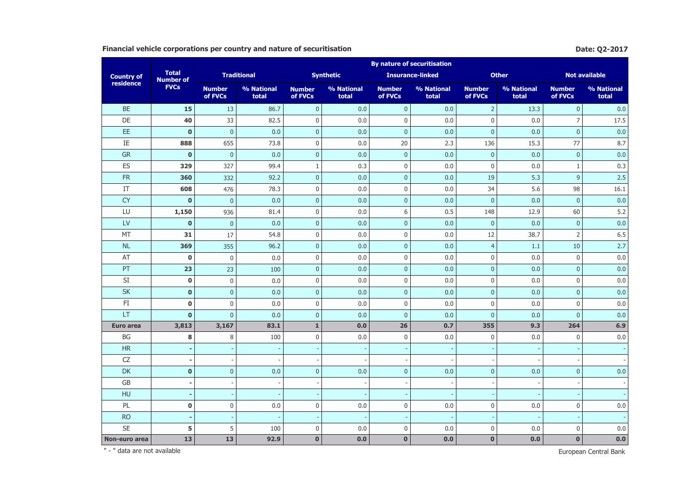## **Financial vehicle corporations per country and nature of securitisation Date: Q2-2017 Date: Q2-2017**

|                        |                                  |                          |                     |                          |                     |                          | <b>By nature of securitisation</b> |                          |                     |                          |                      |
|------------------------|----------------------------------|--------------------------|---------------------|--------------------------|---------------------|--------------------------|------------------------------------|--------------------------|---------------------|--------------------------|----------------------|
| <b>Country of</b>      | <b>Total</b><br><b>Number of</b> |                          | <b>Traditional</b>  |                          | <b>Synthetic</b>    |                          | <b>Insurance-linked</b>            |                          | <b>Other</b>        |                          | <b>Not available</b> |
| residence              | <b>FVCs</b>                      | <b>Number</b><br>of FVCs | % National<br>total | <b>Number</b><br>of FVCs | % National<br>total | <b>Number</b><br>of FVCs | % National<br>total                | <b>Number</b><br>of FVCs | % National<br>total | <b>Number</b><br>of FVCs | % National<br>total  |
| <b>BE</b>              | 15                               | 13                       | 86.7                | $\mathbf{0}$             | 0.0                 | $\mathbf 0$              | 0.0                                | $\overline{2}$           | 13.3                | $\pmb{0}$                | 0.0                  |
| DE                     | 40                               | 33                       | 82.5                | $\bf 0$                  | 0.0                 | $\bf 0$                  | 0.0                                | $\mathbf 0$              | 0.0                 | $\overline{7}$           | 17.5                 |
| EE                     | $\mathbf 0$                      | $\mathbf 0$              | 0.0                 | $\mathbf{0}$             | 0.0                 | $\mathbf 0$              | 0.0                                | $\mathbf 0$              | 0.0                 | $\mathbf 0$              | 0.0                  |
| $\rm IE$               | 888                              | 655                      | 73.8                | $\mathbf 0$              | 0.0                 | 20                       | 2.3                                | 136                      | 15.3                | 77                       | 8.7                  |
| <b>GR</b>              | $\bf{0}$                         | $\mathbf{0}$             | 0.0                 | $\mathbf{0}$             | 0.0                 | $\mathbf{0}$             | 0.0                                | $\mathbf{0}$             | 0.0                 | $\mathbf{0}$             | 0.0                  |
| ES                     | 329                              | 327                      | 99.4                | $\mathbf{1}$             | 0.3                 | $\mathbf{0}$             | 0.0                                | $\mathbf 0$              | 0.0                 | $\mathbf{1}$             | 0.3                  |
| <b>FR</b>              | 360                              | 332                      | 92.2                | $\mathbf{0}$             | 0.0                 | $\overline{0}$           | 0.0                                | 19                       | 5.3                 | $\overline{9}$           | 2.5                  |
| IT                     | 608                              | 476                      | 78.3                | $\mathbf{0}$             | 0.0                 | $\mathbf{0}$             | 0.0                                | 34                       | 5.6                 | 98                       | 16.1                 |
| <b>CY</b>              | $\mathbf 0$                      | $\mathbf{0}$             | 0.0                 | $\mathbf 0$              | 0.0                 | $\mathbf{0}$             | 0.0                                | $\mathbf 0$              | 0.0                 | $\mathbf{0}$             | 0.0                  |
| LU                     | 1,150                            | 936                      | 81.4                | $\mathbf 0$              | 0.0                 | 6                        | 0.5                                | 148                      | 12.9                | 60                       | 5.2                  |
| LV                     | $\mathbf 0$                      | $\mathbf 0$              | 0.0                 | $\mathbf 0$              | 0.0                 | $\mathbf 0$              | 0.0                                | $\mathbf{0}$             | 0.0                 | $\mathbf{0}$             | 0.0                  |
| MT                     | 31                               | 17                       | 54.8                | $\mathbf 0$              | 0.0                 | $\bf 0$                  | 0.0                                | 12                       | 38.7                | $\overline{2}$           | 6.5                  |
| <b>NL</b>              | 369                              | 355                      | 96.2                | $\mathbf{0}$             | 0.0                 | $\overline{0}$           | 0.0                                | $\overline{4}$           | 1.1                 | 10                       | 2.7                  |
| AT                     | $\mathbf 0$                      | $\mathbf 0$              | 0.0                 | $\bf 0$                  | 0.0                 | $\mathbf 0$              | 0.0                                | $\mathbf 0$              | $0.0\,$             | $\bf 0$                  | 0.0                  |
| PT                     | 23                               | 23                       | 100                 | $\mathbf{0}$             | 0.0                 | $\overline{0}$           | 0.0                                | $\mathbf{0}$             | 0.0                 | $\mathbf{0}$             | 0.0                  |
| SI                     | $\pmb{0}$                        | $\boldsymbol{0}$         | 0.0                 | $\boldsymbol{0}$         | 0.0                 | $\mathbf{0}$             | 0.0                                | $\mathbf 0$              | $0.0\,$             | $\mathbf{0}$             | 0.0                  |
| <b>SK</b>              | $\pmb{0}$                        | $\mathbf 0$              | 0.0                 | $\mathbf 0$              | 0.0                 | $\mathbf{0}$             | 0.0                                | $\mathbf{0}$             | 0.0                 | $\mathbf{0}$             | 0.0                  |
| $\mathsf{F}\mathbf{I}$ | $\pmb{0}$                        | 0                        | 0.0                 | $\mathbf 0$              | 0.0                 | $\pmb{0}$                | 0.0                                | $\boldsymbol{0}$         | 0.0                 | $\mathbf 0$              | 0.0                  |
| LT                     | $\mathbf 0$                      | $\overline{0}$           | 0.0                 | $\mathbf{0}$             | 0.0                 | $\mathbf{0}$             | 0.0                                | $\pmb{0}$                | 0.0                 | $\mathbf 0$              | 0.0                  |
| <b>Euro area</b>       | 3,813                            | 3,167                    | 83.1                | $\mathbf 1$              | 0.0                 | 26                       | 0.7                                | 355                      | 9.3                 | 264                      | 6.9                  |
| BG                     | 8                                | 8                        | 100                 | $\mathbf 0$              | 0.0                 | $\mathbf{0}$             | 0.0                                | $\boldsymbol{0}$         | 0.0                 | $\mathbf{0}$             | 0.0                  |
| HR                     |                                  |                          |                     |                          |                     |                          |                                    |                          |                     |                          |                      |
| CZ                     | $\overline{\phantom{a}}$         | $\overline{\phantom{a}}$ |                     |                          |                     |                          |                                    |                          |                     |                          |                      |
| DK                     | $\mathbf 0$                      | $\pmb{0}$                | 0.0                 | $\mathbf{0}$             | 0.0                 | $\mathbf{0}$             | 0.0                                | $\mathbf{0}$             | 0.0                 | $\mathbf{0}$             | 0.0                  |
| GB                     |                                  | $\overline{\phantom{a}}$ |                     |                          |                     |                          |                                    |                          |                     |                          |                      |
| HU                     |                                  |                          |                     |                          |                     |                          |                                    |                          |                     |                          |                      |
| PL                     | $\pmb{0}$                        | $\pmb{0}$                | 0.0                 | $\mathbf 0$              | 0.0                 | $\mathbf 0$              | 0.0                                | $\boldsymbol{0}$         | 0.0                 | $\bf 0$                  | 0.0                  |
| <b>RO</b>              |                                  | $\overline{\phantom{a}}$ |                     |                          |                     |                          |                                    |                          |                     |                          |                      |
| <b>SE</b>              | 5                                | 5                        | 100                 | $\mathbf 0$              | 0.0                 | $\mathbf{0}$             | 0.0                                | $\mathbf 0$              | 0.0                 | $\bf 0$                  | 0.0                  |
| Non-euro area          | 13                               | 13                       | 92.9                | $\bf{0}$                 | 0.0                 | $\mathbf{0}$             | 0.0                                | $\mathbf 0$              | 0.0                 | $\bf{0}$                 | 0.0                  |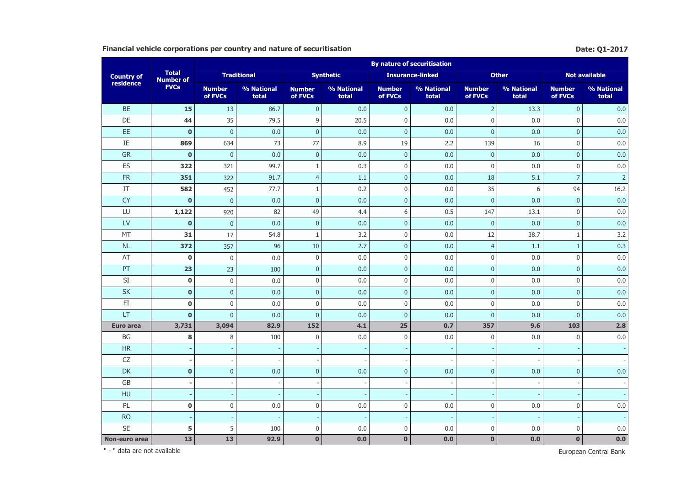## Financial vehicle corporations per country and nature of securitisation **Date: Q1-2017** Date: Q1-2017

|                   |                                  |                          |                     |                          |                     |                          | <b>By nature of securitisation</b> |                          |                     |                          |                      |
|-------------------|----------------------------------|--------------------------|---------------------|--------------------------|---------------------|--------------------------|------------------------------------|--------------------------|---------------------|--------------------------|----------------------|
| <b>Country of</b> | <b>Total</b><br><b>Number of</b> |                          | <b>Traditional</b>  |                          | <b>Synthetic</b>    |                          | <b>Insurance-linked</b>            |                          | <b>Other</b>        |                          | <b>Not available</b> |
| residence         | <b>FVCs</b>                      | <b>Number</b><br>of FVCs | % National<br>total | <b>Number</b><br>of FVCs | % National<br>total | <b>Number</b><br>of FVCs | % National<br>total                | <b>Number</b><br>of FVCs | % National<br>total | <b>Number</b><br>of FVCs | % National<br>total  |
| <b>BE</b>         | 15                               | 13                       | 86.7                | $\mathbf{0}$             | 0.0                 | $\mathbf{0}$             | 0.0                                | $\overline{2}$           | 13.3                | $\pmb{0}$                | 0.0                  |
| DE                | 44                               | 35                       | 79.5                | $9\,$                    | 20.5                | $\mathbf{0}$             | 0.0                                | $\mathbf 0$              | 0.0                 | $\mathbf{0}$             | 0.0                  |
| EE                | $\bf{0}$                         | $\mathbf 0$              | 0.0                 | $\mathbf 0$              | 0.0                 | $\mathbf 0$              | 0.0                                | $\mathbf{0}$             | 0.0                 | $\mathbf{0}$             | 0.0                  |
| $\rm IE$          | 869                              | 634                      | 73                  | 77                       | 8.9                 | 19                       | 2.2                                | 139                      | 16                  | $\mathbf{0}$             | 0.0                  |
| <b>GR</b>         | $\mathbf 0$                      | $\mathbf{0}$             | 0.0                 | $\pmb{0}$                | 0.0                 | $\overline{0}$           | 0.0                                | $\mathbf{0}$             | 0.0                 | $\mathbf{0}$             | 0.0                  |
| ES                | 322                              | 321                      | 99.7                | $1\,$                    | 0.3                 | $\mathbf{0}$             | 0.0                                | $\mathbf{0}$             | 0.0                 | $\mathbf{0}$             | 0.0                  |
| <b>FR</b>         | 351                              | 322                      | 91.7                | $\overline{4}$           | 1.1                 | $\mathbf{0}$             | 0.0                                | 18                       | 5.1                 | $\overline{7}$           | $\overline{2}$       |
| IT                | 582                              | 452                      | 77.7                | $\mathbf{1}$             | 0.2                 | $\pmb{0}$                | 0.0                                | 35                       | 6                   | 94                       | 16.2                 |
| <b>CY</b>         | $\bf{0}$                         | $\mathbf{0}$             | 0.0                 | $\mathbf{0}$             | 0.0                 | $\mathbf{0}$             | 0.0                                | $\mathbf{0}$             | 0.0                 | $\mathbf{0}$             | 0.0                  |
| LU                | 1,122                            | 920                      | 82                  | 49                       | 4.4                 | 6                        | 0.5                                | 147                      | 13.1                | $\mathbf{0}$             | 0.0                  |
| LV                | $\mathbf 0$                      | $\mathbf 0$              | 0.0                 | $\mathbf{0}$             | 0.0                 | $\overline{0}$           | 0.0                                | $\overline{0}$           | 0.0                 | $\overline{0}$           | 0.0                  |
| MT                | 31                               | 17                       | 54.8                | $\mathbf{1}$             | 3.2                 | $\mathbf 0$              | 0.0                                | 12                       | 38.7                | $\mathbf{1}$             | 3.2                  |
| <b>NL</b>         | 372                              | 357                      | 96                  | 10                       | 2.7                 | $\mathbf{0}$             | 0.0                                | $\overline{4}$           | 1.1                 | $\mathbf{1}$             | 0.3                  |
| AT                | $\pmb{0}$                        | $\mathbf 0$              | 0.0                 | $\mathbf 0$              | 0.0                 | $\mathbf{0}$             | 0.0                                | $\mathbf 0$              | 0.0                 | $\bf 0$                  | 0.0                  |
| PT                | 23                               | 23                       | 100                 | $\mathbf{0}$             | 0.0                 | $\mathbf{0}$             | 0.0                                | $\mathbf{0}$             | 0.0                 | $\mathbf{0}$             | 0.0                  |
| SI                | $\pmb{0}$                        | $\boldsymbol{0}$         | 0.0                 | $\bf 0$                  | 0.0                 | $\bf 0$                  | 0.0                                | $\mathsf 0$              | 0.0                 | $\bf 0$                  | 0.0                  |
| <b>SK</b>         | $\mathbf 0$                      | $\mathbf 0$              | 0.0                 | $\mathbf{0}$             | 0.0                 | $\mathbf{0}$             | 0.0                                | $\mathbf 0$              | 0.0                 | $\mathbf 0$              | 0.0                  |
| FI.               | $\pmb{0}$                        | $\boldsymbol{0}$         | 0.0                 | $\mathbf 0$              | 0.0                 | $\mathbf{0}$             | 0.0                                | $\boldsymbol{0}$         | 0.0                 | $\mathbf{0}$             | 0.0                  |
| LT                | $\mathbf 0$                      | $\overline{0}$           | 0.0                 | $\overline{0}$           | 0.0                 | $\overline{0}$           | 0.0                                | $\mathbf{0}$             | 0.0                 | $\mathbf{0}$             | 0.0                  |
| Euro area         | 3,731                            | 3,094                    | 82.9                | 152                      | 4.1                 | 25                       | 0.7                                | 357                      | 9.6                 | 103                      | 2.8                  |
| <b>BG</b>         | 8                                | 8                        | 100                 | $\mathbf 0$              | 0.0                 | $\mathbf{0}$             | 0.0                                | $\mathbf 0$              | 0.0                 | $\mathbf{0}$             | 0.0                  |
| HR                |                                  |                          |                     |                          |                     |                          |                                    |                          |                     |                          |                      |
| CZ                |                                  |                          |                     |                          |                     |                          |                                    |                          |                     |                          |                      |
| DK                | $\mathbf 0$                      | $\mathbf 0$              | 0.0                 | $\mathbf{0}$             | 0.0                 | $\mathbf{0}$             | 0.0                                | $\overline{0}$           | 0.0                 | $\mathbf{0}$             | 0.0                  |
| GB                |                                  | $\overline{\phantom{a}}$ |                     |                          |                     |                          |                                    |                          |                     |                          |                      |
| HU                |                                  | $\overline{\phantom{a}}$ |                     |                          |                     |                          |                                    |                          |                     |                          |                      |
| PL                | $\pmb{0}$                        | $\boldsymbol{0}$         | 0.0                 | $\mathbf 0$              | 0.0                 | $\mathbf{0}$             | 0.0                                | $\mathbf 0$              | 0.0                 | $\mathbf{0}$             | 0.0                  |
| <b>RO</b>         | г.                               | $\overline{\phantom{a}}$ |                     |                          |                     |                          |                                    |                          |                     |                          |                      |
| <b>SE</b>         | 5                                | 5                        | 100                 | $\mathbf 0$              | 0.0                 | $\pmb{0}$                | 0.0                                | $\boldsymbol{0}$         | 0.0                 | $\mathbf 0$              | 0.0                  |
| Non-euro area     | 13                               | 13                       | 92.9                | $\bf{0}$                 | 0.0                 | $\mathbf 0$              | 0.0                                | $\bf{0}$                 | 0.0                 | $\bf{0}$                 | 0.0                  |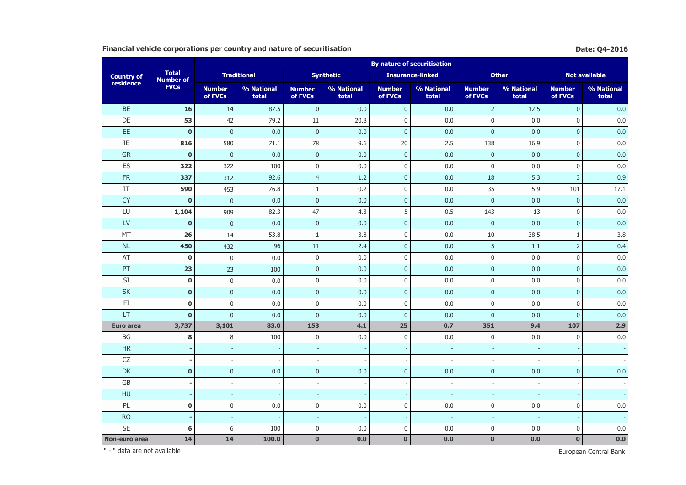## **Financial vehicle corporations per country and nature of securitisation Biography Date: Q4-2016 Date: Q4-2016**

|                   |                                  |                          |                     |                          |                     |                          | <b>By nature of securitisation</b> |                          |                     |                          |                      |
|-------------------|----------------------------------|--------------------------|---------------------|--------------------------|---------------------|--------------------------|------------------------------------|--------------------------|---------------------|--------------------------|----------------------|
| <b>Country of</b> | <b>Total</b><br><b>Number of</b> |                          | <b>Traditional</b>  |                          | <b>Synthetic</b>    |                          | <b>Insurance-linked</b>            |                          | <b>Other</b>        |                          | <b>Not available</b> |
| residence         | <b>FVCs</b>                      | <b>Number</b><br>of FVCs | % National<br>total | <b>Number</b><br>of FVCs | % National<br>total | <b>Number</b><br>of FVCs | % National<br>total                | <b>Number</b><br>of FVCs | % National<br>total | <b>Number</b><br>of FVCs | % National<br>total  |
| <b>BE</b>         | 16                               | 14                       | 87.5                | $\mathbf{0}$             | 0.0                 | $\mathbf 0$              | 0.0                                | $\overline{2}$           | 12.5                | $\pmb{0}$                | 0.0                  |
| DE                | 53                               | 42                       | 79.2                | 11                       | 20.8                | $\mathsf 0$              | 0.0                                | $\mathbf 0$              | 0.0                 | $\bf 0$                  | 0.0                  |
| EE                | $\bf{0}$                         | $\mathbf 0$              | 0.0                 | $\mathbf 0$              | 0.0                 | $\mathbf{0}$             | 0.0                                | $\mathbf 0$              | 0.0                 | $\mathbf 0$              | 0.0                  |
| IE                | 816                              | 580                      | 71.1                | 78                       | 9.6                 | 20                       | 2.5                                | 138                      | 16.9                | $\mathbf{0}$             | 0.0                  |
| <b>GR</b>         | $\mathbf 0$                      | $\mathbf{0}$             | 0.0                 | $\mathbf{0}$             | 0.0                 | $\mathbf{0}$             | 0.0                                | $\mathbf{0}$             | 0.0                 | $\mathbf{0}$             | 0.0                  |
| ES                | 322                              | 322                      | 100                 | $\bf 0$                  | 0.0                 | $\mathbf{0}$             | 0.0                                | $\mathbf 0$              | 0.0                 | $\mathbf{0}$             | 0.0                  |
| <b>FR</b>         | 337                              | 312                      | 92.6                | $\overline{4}$           | 1.2                 | $\overline{0}$           | 0.0                                | 18                       | 5.3                 | $\overline{3}$           | 0.9                  |
| IT                | 590                              | 453                      | 76.8                | $\mathbf{1}$             | 0.2                 | $\mathbf{0}$             | 0.0                                | 35                       | 5.9                 | 101                      | 17.1                 |
| <b>CY</b>         | $\mathbf 0$                      | $\mathbf{0}$             | 0.0                 | $\mathbf 0$              | 0.0                 | $\mathbf{0}$             | 0.0                                | $\mathbf{0}$             | 0.0                 | $\mathbf 0$              | 0.0                  |
| LU                | 1,104                            | 909                      | 82.3                | 47                       | 4.3                 | 5                        | 0.5                                | 143                      | 13                  | $\bf 0$                  | 0.0                  |
| LV                | $\mathbf 0$                      | $\mathbf 0$              | 0.0                 | $\pmb{0}$                | 0.0                 | $\mathbf{0}$             | 0.0                                | $\mathbf 0$              | 0.0                 | $\mathbf{0}$             | 0.0                  |
| MT                | 26                               | 14                       | 53.8                | 1                        | 3.8                 | $\bf 0$                  | 0.0                                | 10                       | 38.5                | $\mathbf{1}$             | 3.8                  |
| <b>NL</b>         | 450                              | 432                      | 96                  | 11                       | 2.4                 | $\overline{0}$           | 0.0                                | 5                        | 1.1                 | $\overline{2}$           | 0.4                  |
| AT                | $\mathbf 0$                      | $\mathbf 0$              | 0.0                 | $\bf 0$                  | 0.0                 | $\mathbf 0$              | 0.0                                | $\mathbf 0$              | $0.0\,$             | $\bf 0$                  | 0.0                  |
| PT                | 23                               | 23                       | 100                 | $\mathbf{0}$             | 0.0                 | $\overline{0}$           | 0.0                                | $\mathbf{0}$             | 0.0                 | $\mathbf{0}$             | 0.0                  |
| SI                | $\pmb{0}$                        | $\boldsymbol{0}$         | 0.0                 | $\boldsymbol{0}$         | 0.0                 | $\mathbf{0}$             | 0.0                                | $\mathbf 0$              | $0.0\,$             | $\mathbf{0}$             | 0.0                  |
| <b>SK</b>         | $\pmb{0}$                        | $\mathbf 0$              | 0.0                 | $\mathbf 0$              | 0.0                 | $\mathbf{0}$             | 0.0                                | $\mathbf{0}$             | 0.0                 | $\mathbf{0}$             | 0.0                  |
| $\mathsf{FI}$     | $\pmb{0}$                        | 0                        | 0.0                 | $\mathbf 0$              | 0.0                 | $\pmb{0}$                | 0.0                                | $\boldsymbol{0}$         | 0.0                 | $\mathbf 0$              | 0.0                  |
| LT                | $\mathbf 0$                      | $\overline{0}$           | 0.0                 | $\mathbf{0}$             | 0.0                 | $\mathbf{0}$             | 0.0                                | $\pmb{0}$                | 0.0                 | $\mathbf 0$              | 0.0                  |
| <b>Euro area</b>  | 3,737                            | 3,101                    | 83.0                | 153                      | 4.1                 | 25                       | 0.7                                | 351                      | 9.4                 | 107                      | 2.9                  |
| BG                | 8                                | 8                        | 100                 | $\mathbf 0$              | 0.0                 | $\mathbf 0$              | 0.0                                | $\boldsymbol{0}$         | 0.0                 | $\mathbf{0}$             | 0.0                  |
| HR                |                                  |                          |                     |                          |                     |                          |                                    |                          |                     |                          |                      |
| CZ                | $\overline{\phantom{a}}$         | $\overline{\phantom{a}}$ |                     |                          |                     |                          |                                    |                          |                     |                          |                      |
| DK                | $\mathbf 0$                      | $\pmb{0}$                | 0.0                 | $\mathbf{0}$             | 0.0                 | $\mathbf{0}$             | 0.0                                | $\mathbf{0}$             | 0.0                 | $\overline{0}$           | 0.0                  |
| GB                |                                  | $\overline{\phantom{a}}$ |                     |                          |                     |                          |                                    |                          |                     |                          |                      |
| HU                |                                  |                          |                     |                          |                     |                          |                                    |                          |                     |                          |                      |
| PL                | $\pmb{0}$                        | $\pmb{0}$                | 0.0                 | $\mathbf 0$              | 0.0                 | $\mathbf 0$              | 0.0                                | $\mathbf 0$              | 0.0                 | $\bf 0$                  | 0.0                  |
| <b>RO</b>         |                                  | $\overline{\phantom{a}}$ |                     |                          |                     |                          |                                    |                          |                     |                          |                      |
| <b>SE</b>         | 6                                | 6                        | 100                 | $\mathbf 0$              | 0.0                 | $\mathbf{0}$             | 0.0                                | $\mathbf 0$              | 0.0                 | $\bf 0$                  | 0.0                  |
| Non-euro area     | 14                               | 14                       | 100.0               | $\bf{0}$                 | 0.0                 | $\mathbf{0}$             | 0.0                                | $\mathbf 0$              | 0.0                 | $\bf{0}$                 | 0.0                  |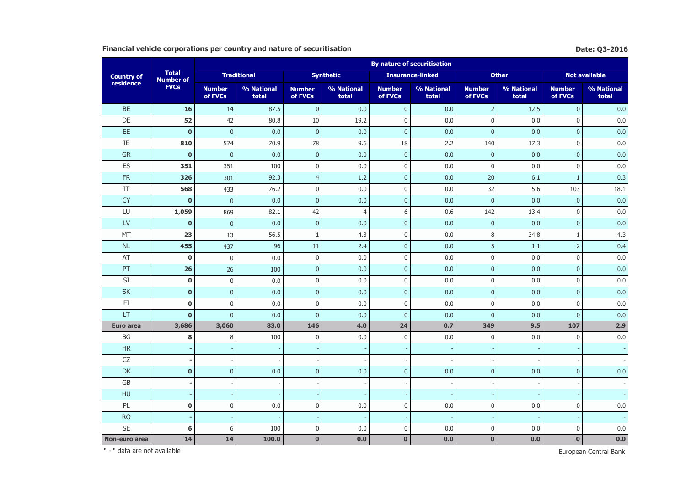## **Financial vehicle corporations per country and nature of securitisation Date:** Q3-2016

|                   |                                  |                          |                     |                          |                     |                          | <b>By nature of securitisation</b> |                          |                     |                          |                      |
|-------------------|----------------------------------|--------------------------|---------------------|--------------------------|---------------------|--------------------------|------------------------------------|--------------------------|---------------------|--------------------------|----------------------|
| <b>Country of</b> | <b>Total</b><br><b>Number of</b> |                          | <b>Traditional</b>  |                          | <b>Synthetic</b>    |                          | <b>Insurance-linked</b>            |                          | <b>Other</b>        |                          | <b>Not available</b> |
| residence         | <b>FVCs</b>                      | <b>Number</b><br>of FVCs | % National<br>total | <b>Number</b><br>of FVCs | % National<br>total | <b>Number</b><br>of FVCs | % National<br>total                | <b>Number</b><br>of FVCs | % National<br>total | <b>Number</b><br>of FVCs | % National<br>total  |
| <b>BE</b>         | 16                               | 14                       | 87.5                | $\mathbf{0}$             | 0.0                 | $\mathbf{0}$             | 0.0                                | $\overline{2}$           | 12.5                | $\mathbf{0}$             | 0.0                  |
| DE                | 52                               | 42                       | 80.8                | $10\,$                   | 19.2                | $\mathbf 0$              | $0.0\,$                            | $\boldsymbol{0}$         | 0.0                 | $\mathbf 0$              | 0.0                  |
| EE.               | $\mathbf 0$                      | $\mathbf 0$              | 0.0                 | $\mathbf 0$              | 0.0                 | $\mathbf 0$              | 0.0                                | $\mathbf{0}$             | 0.0                 | $\mathbf{0}$             | 0.0                  |
| IE                | 810                              | 574                      | 70.9                | 78                       | 9.6                 | 18                       | 2.2                                | 140                      | 17.3                | $\mathbf 0$              | 0.0                  |
| <b>GR</b>         | $\mathbf 0$                      | $\mathbf{0}$             | 0.0                 | $\mathbf 0$              | 0.0                 | $\mathbf{0}$             | 0.0                                | $\mathbf 0$              | 0.0                 | $\mathbf{0}$             | 0.0                  |
| ES                | 351                              | 351                      | 100                 | $\mathbf 0$              | 0.0                 | $\boldsymbol{0}$         | 0.0                                | $\mathbf 0$              | 0.0                 | $\mathbf 0$              | $0.0\,$              |
| <b>FR</b>         | 326                              | 301                      | 92.3                | $\overline{4}$           | 1.2                 | $\mathbf{0}$             | 0.0                                | 20                       | 6.1                 | $\mathbf{1}$             | 0.3                  |
| IT                | 568                              | 433                      | 76.2                | $\mathbf 0$              | 0.0                 | 0                        | 0.0                                | 32                       | 5.6                 | 103                      | 18.1                 |
| <b>CY</b>         | $\mathbf 0$                      | $\mathbf{0}$             | 0.0                 | $\mathbf{0}$             | 0.0                 | $\mathbf{0}$             | 0.0                                | $\overline{0}$           | 0.0                 | $\mathbf{0}$             | 0.0                  |
| LU                | 1,059                            | 869                      | 82.1                | 42                       | $\overline{4}$      | 6                        | 0.6                                | 142                      | 13.4                | $\mathbf 0$              | 0.0                  |
| LV                | $\mathbf 0$                      | $\mathbf 0$              | 0.0                 | $\mathbf{0}$             | 0.0                 | $\overline{0}$           | 0.0                                | $\overline{0}$           | 0.0                 | $\mathbf{0}$             | 0.0                  |
| MT                | 23                               | 13                       | 56.5                | $\mathbf{1}$             | 4.3                 | $\mathbf 0$              | 0.0                                | 8                        | 34.8                | 1                        | 4.3                  |
| NL                | 455                              | 437                      | 96                  | $11\,$                   | 2.4                 | $\mathbf{0}$             | 0.0                                | 5                        | 1.1                 | $\overline{2}$           | 0.4                  |
| AT                | $\mathbf 0$                      | $\bf 0$                  | 0.0                 | $\mathbf 0$              | 0.0                 | $\boldsymbol{0}$         | $0.0\,$                            | $\boldsymbol{0}$         | 0.0                 | $\mathbf 0$              | $0.0\,$              |
| PT                | 26                               | 26                       | 100                 | $\mathbf 0$              | 0.0                 | $\mathbf{0}$             | 0.0                                | $\mathbf{0}$             | 0.0                 | $\mathbf{0}$             | 0.0                  |
| SI                | $\pmb{0}$                        | $\boldsymbol{0}$         | $0.0\,$             | $\mathbf 0$              | 0.0                 | $\mathbf{0}$             | 0.0                                | $\boldsymbol{0}$         | 0.0                 | $\mathbf 0$              | 0.0                  |
| <b>SK</b>         | $\mathbf 0$                      | $\mathbf 0$              | 0.0                 | $\mathbf 0$              | 0.0                 | $\mathbf 0$              | 0.0                                | $\mathbf 0$              | 0.0                 | $\mathbf{0}$             | 0.0                  |
| FI                | $\bf{0}$                         | $\boldsymbol{0}$         | 0.0                 | $\mathbf 0$              | 0.0                 | 0                        | 0.0                                | $\mathbf 0$              | 0.0                 | $\mathbf 0$              | 0.0                  |
| LT                | $\mathbf 0$                      | $\overline{0}$           | 0.0                 | $\mathbf{0}$             | 0.0                 | $\mathbf{0}$             | 0.0                                | $\overline{0}$           | 0.0                 | $\mathbf{0}$             | 0.0                  |
| <b>Euro area</b>  | 3,686                            | 3,060                    | 83.0                | 146                      | 4.0                 | 24                       | 0.7                                | 349                      | 9.5                 | 107                      | 2.9                  |
| BG                | 8                                | 8                        | 100                 | $\mathbf 0$              | 0.0                 | $\mathbf 0$              | 0.0                                | $\mathbf 0$              | 0.0                 | $\mathbf 0$              | 0.0                  |
| HR                |                                  |                          |                     |                          |                     |                          |                                    |                          |                     |                          |                      |
| CZ                |                                  | $\overline{\phantom{a}}$ |                     |                          |                     |                          |                                    |                          |                     |                          |                      |
| DK                | $\mathbf 0$                      | $\overline{0}$           | 0.0                 | $\mathbf{0}$             | 0.0                 | $\mathbf{0}$             | 0.0                                | $\overline{0}$           | 0.0                 | $\mathbf{0}$             | 0.0                  |
| GB                |                                  | $\overline{\phantom{a}}$ |                     | $\overline{\phantom{a}}$ |                     |                          |                                    |                          |                     |                          |                      |
| HU                |                                  |                          |                     |                          |                     |                          |                                    |                          |                     |                          |                      |
| PL                | $\pmb{0}$                        | $\boldsymbol{0}$         | 0.0                 | $\mathbf 0$              | $0.0\,$             | $\boldsymbol{0}$         | 0.0                                | $\boldsymbol{0}$         | 0.0                 | $\mathbf 0$              | $0.0\,$              |
| <b>RO</b>         |                                  | <b>.</b>                 |                     | $\overline{\phantom{a}}$ |                     |                          |                                    |                          |                     |                          |                      |
| <b>SE</b>         | 6                                | 6                        | 100                 | $\mathbf 0$              | 0.0                 | $\boldsymbol{0}$         | 0.0                                | $\boldsymbol{0}$         | 0.0                 | $\mathbf 0$              | 0.0                  |
| Non-euro area     | 14                               | 14                       | 100.0               | $\mathbf 0$              | 0.0                 | $\mathbf{0}$             | 0.0                                | $\mathbf 0$              | 0.0                 | $\bf{0}$                 | $0.0\,$              |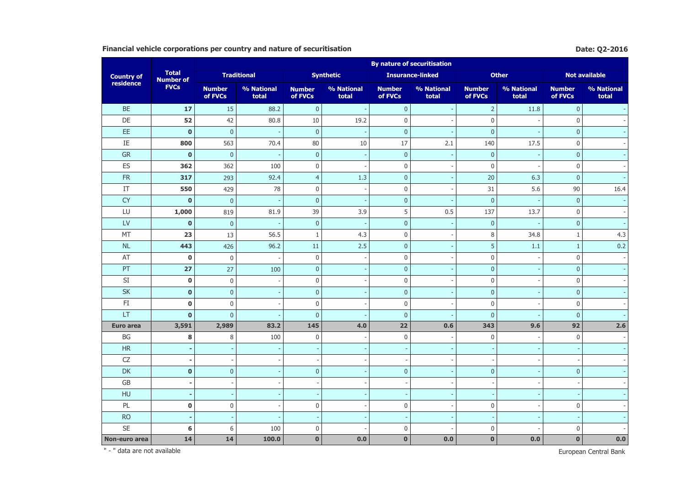## **Financial vehicle corporations per country and nature of securitisation Date: Q2-2016 Date: Q2-2016**

|                          |                                  |                          |                          |                          |                          |                          | <b>By nature of securitisation</b> |                          |                     |                          |                          |
|--------------------------|----------------------------------|--------------------------|--------------------------|--------------------------|--------------------------|--------------------------|------------------------------------|--------------------------|---------------------|--------------------------|--------------------------|
| <b>Country of</b>        | <b>Total</b><br><b>Number of</b> |                          | <b>Traditional</b>       |                          | <b>Synthetic</b>         |                          | <b>Insurance-linked</b>            |                          | <b>Other</b>        |                          | <b>Not available</b>     |
| residence                | <b>FVCs</b>                      | <b>Number</b><br>of FVCs | % National<br>total      | <b>Number</b><br>of FVCs | % National<br>total      | <b>Number</b><br>of FVCs | % National<br>total                | <b>Number</b><br>of FVCs | % National<br>total | <b>Number</b><br>of FVCs | % National<br>total      |
| <b>BE</b>                | 17                               | 15                       | 88.2                     | $\mathbf{0}$             |                          | $\pmb{0}$                |                                    | $\overline{2}$           | 11.8                | $\mathbf 0$              |                          |
| DE                       | 52                               | 42                       | 80.8                     | $10\,$                   | 19.2                     | $\boldsymbol{0}$         |                                    | $\boldsymbol{0}$         |                     | $\mathbf 0$              |                          |
| EE                       | $\mathbf 0$                      | $\mathbf{0}$             | $\overline{\phantom{a}}$ | $\mathbf{0}$             | $\overline{\phantom{a}}$ | $\pmb{0}$                |                                    | $\overline{0}$           |                     | $\mathbf{0}$             |                          |
| IE                       | 800                              | 563                      | 70.4                     | 80                       | 10                       | $17\,$                   | 2.1                                | 140                      | 17.5                | $\mathbf 0$              |                          |
| <b>GR</b>                | $\mathbf{0}$                     | $\mathbf{0}$             |                          | $\mathbf{0}$             |                          | $\mathbf{0}$             |                                    | $\mathbf{0}$             |                     | $\mathbf{0}$             |                          |
| ES                       | 362                              | 362                      | 100                      | $\mathbf 0$              |                          | $\mathbf 0$              |                                    | $\mathbf{0}$             |                     | $\mathbf 0$              |                          |
| FR                       | 317                              | 293                      | 92.4                     | $\overline{4}$           | 1.3                      | $\mathbf{0}$             |                                    | 20                       | 6.3                 | $\mathbf{0}$             |                          |
| $\ensuremath{\text{IT}}$ | 550                              | 429                      | 78                       | $\mathbf 0$              |                          | $\pmb{0}$                |                                    | 31                       | 5.6                 | 90                       | 16.4                     |
| <b>CY</b>                | $\mathbf 0$                      | $\overline{0}$           |                          | $\mathbf 0$              |                          | $\pmb{0}$                |                                    | $\pmb{0}$                |                     | $\mathbf{0}$             | $\sim$                   |
| LU                       | 1,000                            | 819                      | 81.9                     | 39                       | 3.9                      | 5                        | 0.5                                | 137                      | 13.7                | $\mathsf 0$              | $\overline{\phantom{a}}$ |
| LV                       | $\mathbf 0$                      | $\overline{0}$           |                          | $\mathbf{0}$             |                          | $\pmb{0}$                |                                    | $\pmb{0}$                |                     | $\mathbf{0}$             |                          |
| MT                       | 23                               | 13                       | 56.5                     | $\mathbf{1}$             | 4.3                      | $\mathbf 0$              |                                    | 8                        | 34.8                | $\mathbf{1}$             | 4.3                      |
| <b>NL</b>                | 443                              | 426                      | 96.2                     | 11                       | 2.5                      | $\overline{0}$           |                                    | 5                        | 1.1                 | $\mathbf{1}$             | 0.2                      |
| AT                       | $\mathbf 0$                      | $\mathbf 0$              | $\overline{a}$           | $\mathbf 0$              |                          | $\mathbf 0$              |                                    | $\boldsymbol{0}$         |                     | $\mathbf 0$              | $\bar{\phantom{a}}$      |
| PT                       | 27                               | 27                       | 100                      | $\mathbf{0}$             |                          | $\overline{0}$           |                                    | $\overline{0}$           |                     | $\mathbf{0}$             | $\sim$                   |
| SI                       | $\pmb{0}$                        | $\boldsymbol{0}$         |                          | $\boldsymbol{0}$         |                          | $\boldsymbol{0}$         |                                    | $\mathbf 0$              |                     | $\mathsf 0$              |                          |
| SK                       | $\bf{0}$                         | $\pmb{0}$                |                          | $\mathbf 0$              |                          | $\mathbf{0}$             |                                    | $\mathbf 0$              |                     | $\mathbf{0}$             | $\sim$                   |
| FI                       | $\mathbf 0$                      | $\bf 0$                  |                          | $\mathbf 0$              |                          | $\mathbf 0$              |                                    | $\mathbf 0$              |                     | $\mathbf 0$              | $\sim$                   |
| LT                       | $\mathbf 0$                      | $\mathbf 0$              |                          | $\mathbf 0$              |                          | $\pmb{0}$                |                                    | $\mathbf 0$              |                     | $\mathbf{0}$             |                          |
| <b>Euro area</b>         | 3,591                            | 2,989                    | 83.2                     | 145                      | 4.0                      | 22                       | 0.6                                | 343                      | 9.6                 | 92                       | 2.6                      |
| BG                       | 8                                | 8                        | 100                      | $\mathbf 0$              |                          | $\boldsymbol{0}$         |                                    | $\mathbf 0$              |                     | $\mathbf 0$              |                          |
| HR                       |                                  |                          |                          |                          |                          |                          |                                    |                          |                     |                          |                          |
| ${\sf CZ}$               |                                  |                          |                          | $\overline{\phantom{a}}$ |                          |                          |                                    |                          |                     |                          |                          |
| DK                       | $\pmb{0}$                        | $\mathbf 0$              |                          | $\mathbf 0$              |                          | $\overline{0}$           |                                    | $\pmb{0}$                |                     | $\mathbf{0}$             |                          |
| $\mathsf{G}\mathsf{B}$   |                                  | $\overline{\phantom{a}}$ |                          |                          |                          |                          |                                    |                          |                     |                          |                          |
| HU                       |                                  |                          |                          |                          |                          |                          |                                    |                          |                     |                          |                          |
| PL                       | $\mathbf 0$                      | $\bf 0$                  |                          | $\mathbf 0$              |                          | $\pmb{0}$                |                                    | $\boldsymbol{0}$         |                     | $\bf{0}$                 | $\sim$                   |
| <b>RO</b>                |                                  |                          |                          |                          |                          |                          |                                    |                          |                     |                          |                          |
| <b>SE</b>                | 6                                | 6                        | 100                      | $\mathbf 0$              |                          | $\pmb{0}$                |                                    | $\mathbf 0$              |                     | $\mathbf 0$              |                          |
| Non-euro area            | 14                               | 14                       | 100.0                    | $\bf{0}$                 | 0.0                      | $\mathbf{0}$             | 0.0                                | $\pmb{0}$                | 0.0                 | $\mathbf 0$              | 0.0                      |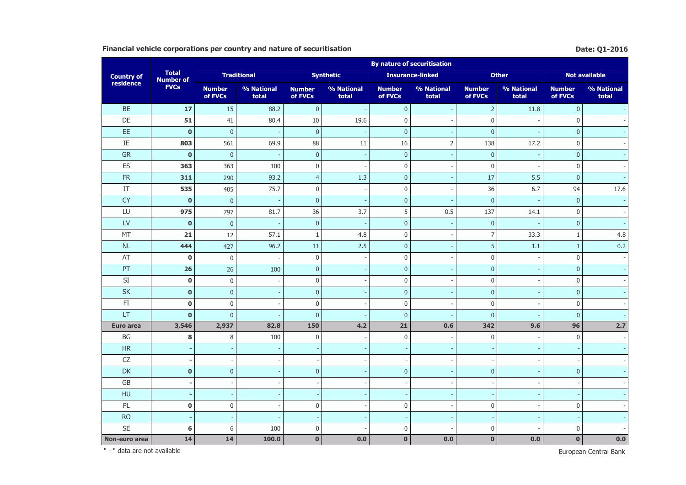## **Financial vehicle corporations per country and nature of securitisation Date:** Q1-2016

|                        |                                  | <b>By nature of securitisation</b> |                          |                          |                     |                          |                         |                          |                     |                          |                          |  |  |
|------------------------|----------------------------------|------------------------------------|--------------------------|--------------------------|---------------------|--------------------------|-------------------------|--------------------------|---------------------|--------------------------|--------------------------|--|--|
| <b>Country of</b>      | <b>Total</b><br><b>Number of</b> |                                    | <b>Traditional</b>       |                          | <b>Synthetic</b>    |                          | <b>Insurance-linked</b> |                          | <b>Other</b>        |                          | Not available            |  |  |
| residence              | <b>FVCs</b>                      | <b>Number</b><br>of FVCs           | % National<br>total      | <b>Number</b><br>of FVCs | % National<br>total | <b>Number</b><br>of FVCs | % National<br>total     | <b>Number</b><br>of FVCs | % National<br>total | <b>Number</b><br>of FVCs | % National<br>total      |  |  |
| <b>BE</b>              | 17                               | 15                                 | 88.2                     | $\mathbf{0}$             | $\overline{a}$      | $\mathbf{0}$             |                         | $\overline{2}$           | 11.8                | $\mathbf{0}$             |                          |  |  |
| DE                     | 51                               | 41                                 | 80.4                     | 10                       | 19.6                | $\boldsymbol{0}$         |                         | $\boldsymbol{0}$         |                     | $\mathbf 0$              |                          |  |  |
| EE                     | $\mathbf 0$                      | $\mathbf 0$                        |                          | $\mathbf{0}$             |                     | $\mathbf 0$              |                         | $\overline{0}$           |                     | $\mathbf 0$              |                          |  |  |
| IE                     | 803                              | 561                                | 69.9                     | 88                       | 11                  | 16                       | $\overline{2}$          | 138                      | 17.2                | $\mathbf 0$              |                          |  |  |
| <b>GR</b>              | $\mathbf{0}$                     | $\mathbf{0}$                       | $\overline{\phantom{a}}$ | $\mathbf{0}$             |                     | $\overline{0}$           |                         | $\mathbf 0$              |                     | $\mathbf{0}$             |                          |  |  |
| ES                     | 363                              | 363                                | 100                      | $\mathbf 0$              |                     | $\mathbf 0$              |                         | $\mathbf{0}$             |                     | 0                        |                          |  |  |
| ${\sf FR}$             | 311                              | 290                                | 93.2                     | $\overline{4}$           | 1.3                 | $\overline{0}$           |                         | 17                       | 5.5                 | $\mathbf{0}$             |                          |  |  |
| IT                     | 535                              | 405                                | 75.7                     | $\mathbf 0$              |                     | $\mathbf 0$              |                         | 36                       | 6.7                 | 94                       | 17.6                     |  |  |
| <b>CY</b>              | $\bf{0}$                         | $\overline{0}$                     |                          | $\mathbf 0$              |                     | $\mathbf 0$              |                         | $\mathbf 0$              |                     | $\mathbf{0}$             | $\sim$                   |  |  |
| LU                     | 975                              | 797                                | 81.7                     | 36                       | 3.7                 | 5                        | 0.5                     | 137                      | 14.1                | $\boldsymbol{0}$         | $\overline{\phantom{a}}$ |  |  |
| LV                     | $\mathbf 0$                      | $\pmb{0}$                          | ÷,                       | $\mathbf 0$              |                     | $\pmb{0}$                |                         | $\mathbf 0$              |                     | $\mathbf 0$              |                          |  |  |
| MT                     | 21                               | 12                                 | 57.1                     | 1                        | 4.8                 | $\boldsymbol{0}$         |                         | $\overline{7}$           | 33.3                | 1                        | 4.8                      |  |  |
| <b>NL</b>              | 444                              | 427                                | 96.2                     | $11\,$                   | 2.5                 | $\mathbf{0}$             |                         | 5                        | 1.1                 | $\mathbf{1}$             | 0.2                      |  |  |
| AT                     | $\mathbf 0$                      | $\bf 0$                            | $\overline{a}$           | $\mathbf 0$              |                     | $\mathbf 0$              |                         | $\boldsymbol{0}$         |                     | $\mathbf 0$              | $\mathcal{L}$            |  |  |
| PT                     | 26                               | 26                                 | 100                      | $\mathbf 0$              |                     | $\overline{0}$           |                         | $\mathbf{0}$             |                     | $\mathbf{0}$             | $\omega$                 |  |  |
| SI                     | $\pmb{0}$                        | $\boldsymbol{0}$                   |                          | $\boldsymbol{0}$         |                     | $\mathbf 0$              |                         | $\boldsymbol{0}$         |                     | $\mathbf 0$              | $\sim$                   |  |  |
| SK                     | $\bf{0}$                         | $\mathbf 0$                        |                          | $\mathbf 0$              |                     | $\pmb{0}$                |                         | $\mathbf 0$              |                     | $\mathbf 0$              |                          |  |  |
| $\mathsf{F}\mathbf{I}$ | $\mathbf 0$                      | $\bf 0$                            |                          | $\mathbf 0$              |                     | $\mathbf 0$              |                         | $\mathbf 0$              |                     | 0                        | $\sim$                   |  |  |
| LT                     | $\mathbf 0$                      | $\mathbf{0}$                       |                          | $\mathbf 0$              |                     | $\pmb{0}$                |                         | $\mathbf{0}$             |                     | $\mathbf{0}$             |                          |  |  |
| <b>Euro area</b>       | 3,546                            | 2,937                              | 82.8                     | 150                      | 4.2                 | 21                       | 0.6                     | 342                      | 9.6                 | 96                       | 2.7                      |  |  |
| BG                     | 8                                | $\, 8$                             | 100                      | $\mathbf 0$              |                     | $\boldsymbol{0}$         |                         | $\boldsymbol{0}$         |                     | $\mathbf 0$              |                          |  |  |
| $\sf HR$               |                                  |                                    |                          |                          |                     |                          |                         |                          |                     |                          |                          |  |  |
| ${\sf CZ}$             |                                  |                                    |                          |                          |                     |                          |                         |                          |                     |                          | $\sim$                   |  |  |
| <b>DK</b>              | $\mathbf 0$                      | $\mathbf{0}$                       |                          | $\mathbf 0$              |                     | $\overline{0}$           |                         | $\mathbf{0}$             |                     | $\mathbf{0}$             |                          |  |  |
| $\mathsf{G}\mathsf{B}$ |                                  | $\overline{\phantom{a}}$           |                          |                          |                     |                          |                         |                          |                     |                          |                          |  |  |
| HU                     |                                  |                                    |                          |                          |                     |                          |                         |                          |                     |                          |                          |  |  |
| PL                     | $\pmb{0}$                        | $\bf 0$                            |                          | $\boldsymbol{0}$         |                     | $\boldsymbol{0}$         |                         | $\mathbf 0$              |                     | $\mathbf 0$              |                          |  |  |
| <b>RO</b>              |                                  |                                    |                          |                          |                     |                          |                         |                          |                     |                          |                          |  |  |
| <b>SE</b>              | 6                                | 6                                  | 100                      | $\mathbf 0$              |                     | $\pmb{0}$                |                         | $\mathbf 0$              |                     | $\Omega$                 |                          |  |  |
| Non-euro area          | 14                               | 14                                 | 100.0                    | $\bf{0}$                 | 0.0                 | $\mathbf{0}$             | 0.0                     | $\mathbf 0$              | 0.0                 | $\mathbf 0$              | 0.0                      |  |  |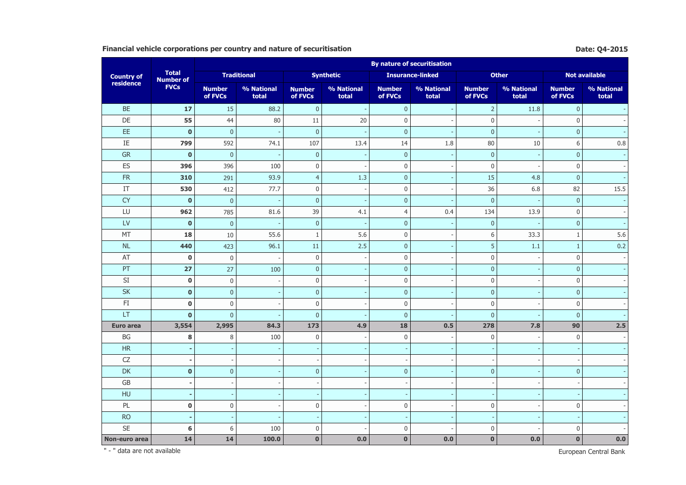## **Financial vehicle corporations per country and nature of securitisation Date: Q4-2015 Date: Q4-2015**

|                            |                                  | <b>By nature of securitisation</b> |                     |                          |                     |                          |                         |                          |                     |                          |                      |  |  |
|----------------------------|----------------------------------|------------------------------------|---------------------|--------------------------|---------------------|--------------------------|-------------------------|--------------------------|---------------------|--------------------------|----------------------|--|--|
| <b>Country of</b>          | <b>Total</b><br><b>Number of</b> |                                    | <b>Traditional</b>  |                          | <b>Synthetic</b>    |                          | <b>Insurance-linked</b> |                          | <b>Other</b>        |                          | <b>Not available</b> |  |  |
| residence                  | <b>FVCs</b>                      | <b>Number</b><br>of FVCs           | % National<br>total | <b>Number</b><br>of FVCs | % National<br>total | <b>Number</b><br>of FVCs | % National<br>total     | <b>Number</b><br>of FVCs | % National<br>total | <b>Number</b><br>of FVCs | % National<br>total  |  |  |
| <b>BE</b>                  | 17                               | 15                                 | 88.2                | $\boldsymbol{0}$         |                     | $\mathbf{0}$             |                         | $\overline{2}$           | 11.8                | $\mathbf 0$              |                      |  |  |
| DE                         | 55                               | 44                                 | 80                  | 11                       | 20                  | $\mathbf 0$              |                         | $\boldsymbol{0}$         |                     | $\bf 0$                  |                      |  |  |
| EE                         | $\bf{0}$                         | $\mathbf 0$                        |                     | $\overline{0}$           |                     | $\mathbf{0}$             |                         | $\mathbf 0$              |                     | $\mathbf 0$              |                      |  |  |
| IE                         | 799                              | 592                                | 74.1                | 107                      | 13.4                | 14                       | 1.8                     | 80                       | 10                  | 6                        | 0.8                  |  |  |
| ${\sf GR}$                 | $\mathbf 0$                      | $\mathbf 0$                        |                     | $\mathbf{0}$             |                     | $\mathbf{0}$             |                         | $\mathbf 0$              |                     | $\mathbf{0}$             |                      |  |  |
| ES                         | 396                              | 396                                | 100                 | $\mathbf 0$              |                     | $\boldsymbol{0}$         |                         | $\mathbf 0$              |                     | $\bf 0$                  |                      |  |  |
| FR                         | 310                              | 291                                | 93.9                | $\overline{4}$           | 1.3                 | $\mathbf{0}$             |                         | 15                       | 4.8                 | $\mathbf{0}$             |                      |  |  |
| $\ensuremath{\mathsf{IT}}$ | 530                              | 412                                | 77.7                | $\boldsymbol{0}$         |                     | $\mathbf 0$              |                         | 36                       | 6.8                 | 82                       | 15.5                 |  |  |
| <b>CY</b>                  | $\mathbf 0$                      | $\pmb{0}$                          |                     | $\mathbf{0}$             |                     | $\mathbf 0$              |                         | $\pmb{0}$                |                     | $\mathbf{0}$             |                      |  |  |
| LU                         | 962                              | 785                                | 81.6                | 39                       | 4.1                 | $\overline{4}$           | 0.4                     | 134                      | 13.9                | $\mathbf 0$              |                      |  |  |
| LV                         | $\pmb{0}$                        | $\mathbf 0$                        |                     | $\mathbf 0$              |                     | $\pmb{0}$                |                         | $\mathbf 0$              |                     | $\mathbf 0$              |                      |  |  |
| MT                         | 18                               | 10                                 | 55.6                | $\mathbf{1}$             | 5.6                 | 0                        |                         | 6                        | 33.3                | $\mathbf{1}$             | 5.6                  |  |  |
| <b>NL</b>                  | 440                              | 423                                | 96.1                | 11                       | 2.5                 | $\mathbf{0}$             |                         | 5                        | 1.1                 | 1                        | 0.2                  |  |  |
| AT                         | $\mathbf 0$                      | $\mathbf 0$                        |                     | $\pmb{0}$                |                     | $\mathbf 0$              |                         | $\boldsymbol{0}$         |                     | $\mathbf 0$              |                      |  |  |
| PT                         | 27                               | 27                                 | 100                 | $\mathbf{0}$             |                     | $\mathbf{0}$             |                         | $\overline{0}$           |                     | $\mathbf{0}$             |                      |  |  |
| SI                         | $\pmb{0}$                        | $\boldsymbol{0}$                   |                     | $\boldsymbol{0}$         |                     | $\mathbf 0$              |                         | $\boldsymbol{0}$         |                     | $\mathbf 0$              |                      |  |  |
| <b>SK</b>                  | $\pmb{0}$                        | $\mathbf 0$                        |                     | $\mathbf{0}$             |                     | $\mathbf 0$              |                         | $\mathbf 0$              |                     | $\mathbf 0$              |                      |  |  |
| $\mathsf{F}\mathbf{I}$     | $\bf{0}$                         | $\pmb{0}$                          |                     | $\mathbf 0$              |                     | 0                        |                         | $\boldsymbol{0}$         |                     | $\mathbf 0$              |                      |  |  |
| LT                         | $\mathbf 0$                      | $\pmb{0}$                          |                     | $\mathbf{0}$             |                     | $\mathbf{0}$             |                         | $\mathbf 0$              |                     | $\mathbf{0}$             |                      |  |  |
| <b>Euro area</b>           | 3,554                            | 2,995                              | 84.3                | 173                      | 4.9                 | 18                       | 0.5                     | 278                      | 7.8                 | 90                       | 2.5                  |  |  |
| $\mathsf{B}\mathsf{G}$     | 8                                | 8                                  | 100                 | $\mathbf 0$              |                     | $\boldsymbol{0}$         |                         | $\boldsymbol{0}$         |                     | $\mathbf 0$              |                      |  |  |
| HR                         |                                  |                                    |                     |                          |                     |                          |                         |                          |                     |                          |                      |  |  |
| CZ                         |                                  |                                    |                     |                          |                     |                          |                         |                          |                     |                          |                      |  |  |
| DK                         | $\mathbf 0$                      | $\pmb{0}$                          |                     | $\overline{0}$           |                     | $\mathbf{0}$             |                         | $\overline{0}$           |                     | $\mathbf{0}$             |                      |  |  |
| GB                         |                                  |                                    |                     |                          |                     |                          |                         |                          |                     |                          |                      |  |  |
| HU                         |                                  |                                    |                     |                          |                     |                          |                         |                          |                     |                          |                      |  |  |
| PL                         | $\pmb{0}$                        | $\boldsymbol{0}$                   |                     | $\mathbf 0$              |                     | 0                        |                         | $\boldsymbol{0}$         |                     | $\mathbf 0$              |                      |  |  |
| <b>RO</b>                  |                                  |                                    |                     |                          |                     |                          |                         |                          |                     |                          |                      |  |  |
| SE                         | 6                                | 6                                  | 100                 | $\mathbf 0$              |                     | 0                        |                         | $\boldsymbol{0}$         |                     | $\mathbf 0$              |                      |  |  |
| Non-euro area              | 14                               | 14                                 | 100.0               | $\mathbf 0$              | 0.0                 | $\mathbf{0}$             | 0.0                     | $\mathbf 0$              | 0.0                 | $\bf{0}$                 | $0.0\,$              |  |  |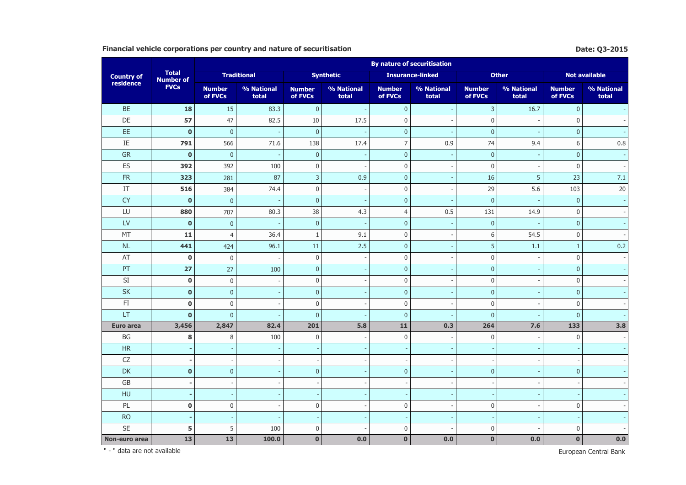## **Financial vehicle corporations per country and nature of securitisation Date: Q3-2015 Date: Q3-2015**

|                        |                                  | <b>By nature of securitisation</b> |                          |                          |                     |                          |                         |                          |                     |                          |                          |  |  |
|------------------------|----------------------------------|------------------------------------|--------------------------|--------------------------|---------------------|--------------------------|-------------------------|--------------------------|---------------------|--------------------------|--------------------------|--|--|
| <b>Country of</b>      | <b>Total</b><br><b>Number of</b> |                                    | <b>Traditional</b>       |                          | <b>Synthetic</b>    |                          | <b>Insurance-linked</b> |                          | <b>Other</b>        |                          | <b>Not available</b>     |  |  |
| residence              | <b>FVCs</b>                      | <b>Number</b><br>of FVCs           | % National<br>total      | <b>Number</b><br>of FVCs | % National<br>total | <b>Number</b><br>of FVCs | % National<br>total     | <b>Number</b><br>of FVCs | % National<br>total | <b>Number</b><br>of FVCs | % National<br>total      |  |  |
| <b>BE</b>              | 18                               | 15                                 | 83.3                     | $\mathbf{0}$             |                     | $\mathbf{0}$             |                         | $\overline{3}$           | 16.7                | $\mathbf{0}$             |                          |  |  |
| DE                     | 57                               | 47                                 | 82.5                     | $10\,$                   | 17.5                | $\boldsymbol{0}$         |                         | $\boldsymbol{0}$         |                     | $\mathbf 0$              |                          |  |  |
| EE                     | $\mathbf 0$                      | $\mathbf 0$                        |                          | $\mathbf 0$              |                     | $\mathbf 0$              |                         | $\pmb{0}$                |                     | $\mathbf{0}$             |                          |  |  |
| IE                     | 791                              | 566                                | 71.6                     | 138                      | 17.4                | $\overline{7}$           | 0.9                     | 74                       | 9.4                 | 6                        | 0.8                      |  |  |
| <b>GR</b>              | $\mathbf 0$                      | $\mathbf{0}$                       | $\overline{\phantom{a}}$ | $\mathbf{0}$             |                     | $\overline{0}$           |                         | $\mathbf 0$              |                     | $\mathbf{0}$             | $\omega$                 |  |  |
| ES                     | 392                              | 392                                | 100                      | $\mathbf 0$              |                     | $\mathbf 0$              |                         | $\mathbf 0$              |                     | $\mathbf 0$              | $\mathcal{L}$            |  |  |
| ${\sf FR}$             | 323                              | 281                                | 87                       | $\overline{3}$           | 0.9                 | $\overline{0}$           |                         | 16                       | 5                   | 23                       | 7.1                      |  |  |
| IT                     | 516                              | 384                                | 74.4                     | $\mathbf 0$              |                     | $\mathbf 0$              |                         | 29                       | 5.6                 | 103                      | $20\,$                   |  |  |
| <b>CY</b>              | $\bf{0}$                         | $\pmb{0}$                          |                          | $\mathbf 0$              |                     | $\mathbf 0$              |                         | $\mathbf 0$              |                     | $\mathbf{0}$             | $\sim$                   |  |  |
| LU                     | 880                              | 707                                | 80.3                     | 38                       | 4.3                 | $\overline{4}$           | 0.5                     | 131                      | 14.9                | $\mathbf 0$              | $\overline{\phantom{a}}$ |  |  |
| LV                     | $\mathbf 0$                      | $\mathbf{0}$                       |                          | $\mathbf 0$              |                     | $\pmb{0}$                |                         | $\mathbf 0$              |                     | $\mathbf 0$              | $\omega$                 |  |  |
| MT                     | 11                               | $\overline{4}$                     | 36.4                     | 1                        | 9.1                 | $\boldsymbol{0}$         |                         | 6                        | 54.5                | $\mathbf 0$              | $\mathcal{L}$            |  |  |
| <b>NL</b>              | 441                              | 424                                | 96.1                     | $11\,$                   | 2.5                 | $\mathbf{0}$             |                         | 5                        | 1.1                 | $\mathbf{1}$             | 0.2                      |  |  |
| AT                     | $\mathbf 0$                      | $\bf 0$                            | $\overline{a}$           | $\mathbf 0$              |                     | $\mathbf 0$              |                         | $\boldsymbol{0}$         |                     | $\mathbf 0$              | $\mathcal{L}$            |  |  |
| PT                     | 27                               | 27                                 | 100                      | $\mathbf 0$              |                     | $\overline{0}$           |                         | $\mathbf{0}$             |                     | $\mathbf{0}$             | $\omega$                 |  |  |
| SI                     | $\pmb{0}$                        | $\boldsymbol{0}$                   |                          | $\boldsymbol{0}$         |                     | $\mathbf 0$              |                         | $\boldsymbol{0}$         |                     | $\mathbf 0$              | $\sim$                   |  |  |
| SK                     | $\bf{0}$                         | $\mathbf 0$                        |                          | $\mathbf 0$              |                     | $\pmb{0}$                |                         | $\mathbf 0$              |                     | $\mathbf 0$              |                          |  |  |
| $\mathsf{F}\mathbf{I}$ | $\mathbf 0$                      | $\bf 0$                            |                          | $\mathbf 0$              |                     | $\mathbf 0$              |                         | $\mathbf 0$              |                     | 0                        | $\sim$                   |  |  |
| LT                     | $\mathbf 0$                      | $\mathbf 0$                        |                          | $\mathbf 0$              |                     | $\pmb{0}$                |                         | $\mathbf{0}$             |                     | $\mathbf{0}$             |                          |  |  |
| <b>Euro area</b>       | 3,456                            | 2,847                              | 82.4                     | 201                      | 5.8                 | 11                       | 0.3                     | 264                      | 7.6                 | 133                      | 3.8                      |  |  |
| BG                     | 8                                | $\, 8$                             | 100                      | $\mathbf 0$              |                     | $\mathbf 0$              |                         | $\boldsymbol{0}$         |                     | $\mathbf 0$              |                          |  |  |
| $\sf HR$               |                                  |                                    |                          |                          |                     |                          |                         |                          |                     |                          |                          |  |  |
| ${\sf CZ}$             |                                  |                                    |                          |                          |                     |                          |                         |                          |                     |                          |                          |  |  |
| <b>DK</b>              | $\mathbf 0$                      | $\mathbf 0$                        |                          | $\mathbf 0$              |                     | $\overline{0}$           |                         | $\mathbf{0}$             |                     | $\overline{0}$           |                          |  |  |
| $\mathsf{G}\mathsf{B}$ |                                  | $\overline{\phantom{a}}$           |                          |                          |                     |                          |                         |                          |                     |                          |                          |  |  |
| HU                     |                                  |                                    |                          |                          |                     |                          |                         |                          |                     |                          |                          |  |  |
| PL                     | $\pmb{0}$                        | $\bf 0$                            |                          | $\boldsymbol{0}$         |                     | $\boldsymbol{0}$         |                         | $\mathbf 0$              |                     | $\mathbf 0$              |                          |  |  |
| <b>RO</b>              |                                  | <b>.</b>                           |                          |                          |                     |                          |                         |                          |                     |                          |                          |  |  |
| <b>SE</b>              | 5                                | 5                                  | 100                      | $\mathbf 0$              |                     | $\pmb{0}$                |                         | $\mathbf 0$              |                     | $\Omega$                 |                          |  |  |
| Non-euro area          | 13                               | 13                                 | 100.0                    | $\bf{0}$                 | 0.0                 | $\mathbf{0}$             | 0.0                     | $\mathbf 0$              | 0.0                 | $\mathbf 0$              | 0.0                      |  |  |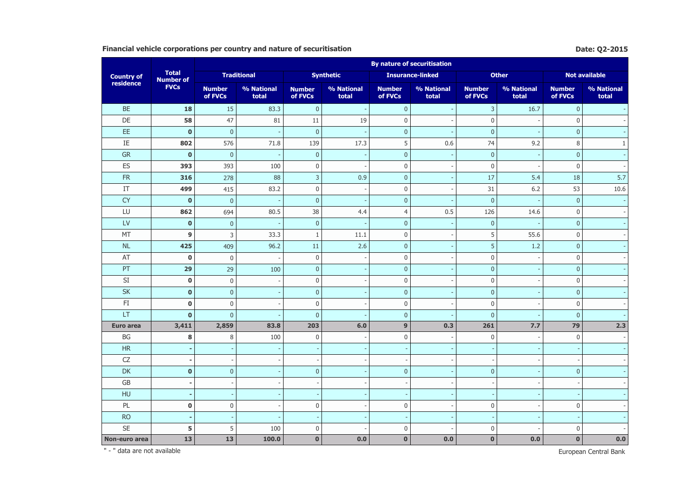## **Financial vehicle corporations per country and nature of securitisation Date: Q2-2015 Date: Q2-2015**

|                        |                                  | <b>By nature of securitisation</b> |                          |                          |                     |                          |                         |                          |                     |                          |                      |  |  |
|------------------------|----------------------------------|------------------------------------|--------------------------|--------------------------|---------------------|--------------------------|-------------------------|--------------------------|---------------------|--------------------------|----------------------|--|--|
| <b>Country of</b>      | <b>Total</b><br><b>Number of</b> |                                    | <b>Traditional</b>       |                          | <b>Synthetic</b>    |                          | <b>Insurance-linked</b> |                          | <b>Other</b>        |                          | <b>Not available</b> |  |  |
| residence              | <b>FVCs</b>                      | <b>Number</b><br>of FVCs           | % National<br>total      | <b>Number</b><br>of FVCs | % National<br>total | <b>Number</b><br>of FVCs | % National<br>total     | <b>Number</b><br>of FVCs | % National<br>total | <b>Number</b><br>of FVCs | % National<br>total  |  |  |
| <b>BE</b>              | 18                               | 15                                 | 83.3                     | $\mathbf{0}$             |                     | $\mathbf{0}$             |                         | $\overline{3}$           | 16.7                | $\mathbf{0}$             |                      |  |  |
| DE                     | 58                               | 47                                 | 81                       | 11                       | 19                  | $\mathbf 0$              |                         | $\boldsymbol{0}$         |                     | $\mathbf{0}$             |                      |  |  |
| EE                     | $\mathbf 0$                      | $\mathbf 0$                        |                          | $\mathbf 0$              |                     | $\mathbf{0}$             |                         | $\mathbf{0}$             |                     | $\mathbf 0$              |                      |  |  |
| IE                     | 802                              | 576                                | 71.8                     | 139                      | 17.3                | 5                        | 0.6                     | 74                       | 9.2                 | 8                        | $\mathbf{1}$         |  |  |
| <b>GR</b>              | $\mathbf{0}$                     | $\mathbf{0}$                       | $\overline{\phantom{a}}$ | $\mathbf{0}$             |                     | $\overline{0}$           |                         | $\mathbf 0$              |                     | $\mathbf{0}$             | $\omega$             |  |  |
| ES                     | 393                              | 393                                | 100                      | $\boldsymbol{0}$         |                     | $\mathbf 0$              |                         | $\mathbf 0$              |                     | $\mathbf 0$              | $\sim$               |  |  |
| ${\sf FR}$             | 316                              | 278                                | 88                       | $\mathsf 3$              | 0.9                 | $\pmb{0}$                |                         | 17                       | 5.4                 | 18                       | 5.7                  |  |  |
| IT                     | 499                              | 415                                | 83.2                     | $\mathbf 0$              |                     | $\boldsymbol{0}$         |                         | 31                       | 6.2                 | 53                       | 10.6                 |  |  |
| <b>CY</b>              | $\mathbf 0$                      | $\overline{0}$                     |                          | $\mathbf 0$              |                     | $\mathbf{0}$             |                         | $\mathbf{0}$             |                     | $\mathbf{0}$             | $\omega$             |  |  |
| LU                     | 862                              | 694                                | 80.5                     | 38                       | 4.4                 | $\overline{4}$           | 0.5                     | 126                      | 14.6                | $\mathbf 0$              |                      |  |  |
| LV                     | $\bf{0}$                         | $\mathbf 0$                        | ÷.                       | $\mathbf{0}$             |                     | $\overline{0}$           |                         | $\mathbf 0$              |                     | $\mathbf{0}$             |                      |  |  |
| MT                     | $\boldsymbol{9}$                 | 3                                  | 33.3                     | $\mathbf{1}$             | 11.1                | $\mathbf 0$              |                         | 5                        | 55.6                | $\mathbf 0$              |                      |  |  |
| NL                     | 425                              | 409                                | 96.2                     | 11                       | 2.6                 | $\mathbf{0}$             |                         | $\sqrt{5}$               | 1.2                 | $\mathbf 0$              |                      |  |  |
| AT                     | $\mathbf 0$                      | $\boldsymbol{0}$                   | $\overline{\phantom{a}}$ | $\boldsymbol{0}$         |                     | $\boldsymbol{0}$         |                         | $\boldsymbol{0}$         |                     | $\mathbf 0$              |                      |  |  |
| PT                     | 29                               | 29                                 | 100                      | $\mathbf 0$              |                     | $\mathbf{0}$             |                         | $\mathbf{0}$             |                     | $\mathbf{0}$             |                      |  |  |
| SI                     | $\pmb{0}$                        | $\bf 0$                            |                          | $\mathbf 0$              |                     | $\mathbf 0$              |                         | $\boldsymbol{0}$         |                     | 0                        |                      |  |  |
| SK                     | $\bf{0}$                         | $\mathbf 0$                        |                          | $\mathbf 0$              |                     | $\overline{0}$           |                         | $\mathbf 0$              |                     | $\mathbf 0$              |                      |  |  |
| FI                     | $\mathbf 0$                      | $\bf 0$                            |                          | $\mathbf 0$              |                     | $\mathbf 0$              |                         | $\mathbf{0}$             |                     | $\mathbf 0$              | $\mathcal{L}$        |  |  |
| LT                     | $\mathbf 0$                      | $\overline{0}$                     |                          | $\mathbf{0}$             |                     | $\overline{0}$           |                         | $\overline{0}$           |                     | $\overline{0}$           |                      |  |  |
| <b>Euro area</b>       | 3,411                            | 2,859                              | 83.8                     | 203                      | 6.0                 | 9                        | 0.3                     | 261                      | 7.7                 | 79                       | 2.3                  |  |  |
| $\mathsf{B}\mathsf{G}$ | 8                                | $\, 8$                             | 100                      | $\mathbf 0$              |                     | $\boldsymbol{0}$         |                         | $\boldsymbol{0}$         |                     | $\mathbf 0$              | $\sim$               |  |  |
| HR                     |                                  |                                    |                          |                          |                     |                          |                         |                          |                     |                          |                      |  |  |
| ${\sf CZ}$             |                                  | $\overline{\phantom{a}}$           |                          |                          |                     |                          |                         |                          |                     |                          | $\sim$               |  |  |
| DK                     | $\mathbf 0$                      | $\mathbf 0$                        |                          | $\mathbf 0$              |                     | $\mathbf{0}$             |                         | $\mathbf 0$              |                     | $\mathbf{0}$             |                      |  |  |
| $\mathsf{G}\mathsf{B}$ |                                  |                                    |                          |                          |                     |                          |                         |                          |                     |                          |                      |  |  |
| HU                     |                                  |                                    |                          |                          |                     |                          |                         |                          |                     |                          |                      |  |  |
| PL                     | $\pmb{0}$                        | $\boldsymbol{0}$                   |                          | $\boldsymbol{0}$         |                     | $\mathbf 0$              |                         | $\boldsymbol{0}$         |                     | $\mathbf 0$              |                      |  |  |
| <b>RO</b>              |                                  |                                    |                          |                          |                     |                          |                         |                          |                     |                          |                      |  |  |
| <b>SE</b>              | 5                                | 5                                  | 100                      | $\mathbf 0$              |                     | $\mathbf 0$              |                         | $\mathbf{0}$             |                     | $\mathbf{0}$             |                      |  |  |
| Non-euro area          | 13                               | 13                                 | 100.0                    | $\bf{0}$                 | 0.0                 | $\mathbf{0}$             | 0.0                     | $\bf{0}$                 | 0.0                 | $\bf{0}$                 | 0.0                  |  |  |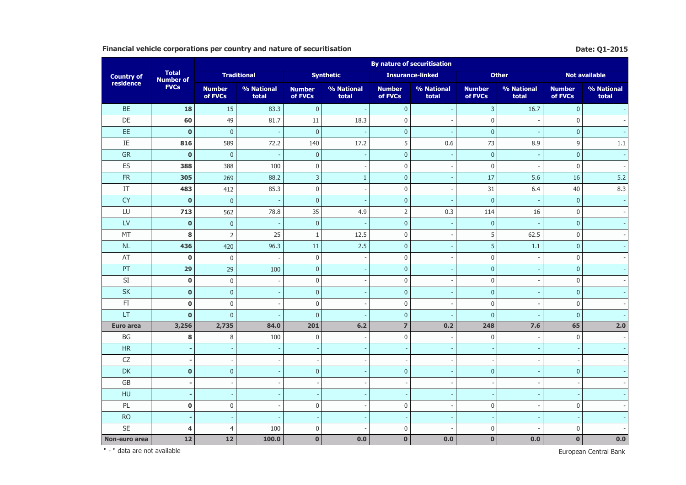## **Financial vehicle corporations per country and nature of securitisation Date: Q1-2015 Date: Q1-2015**

|                        |                                  | <b>By nature of securitisation</b> |                          |                          |                          |                          |                         |                          |                     |                          |                     |  |  |
|------------------------|----------------------------------|------------------------------------|--------------------------|--------------------------|--------------------------|--------------------------|-------------------------|--------------------------|---------------------|--------------------------|---------------------|--|--|
| <b>Country of</b>      | <b>Total</b><br><b>Number of</b> |                                    | <b>Traditional</b>       |                          | <b>Synthetic</b>         |                          | <b>Insurance-linked</b> |                          | <b>Other</b>        |                          | Not available       |  |  |
| residence              | <b>FVCs</b>                      | <b>Number</b><br>of FVCs           | % National<br>total      | <b>Number</b><br>of FVCs | % National<br>total      | <b>Number</b><br>of FVCs | % National<br>total     | <b>Number</b><br>of FVCs | % National<br>total | <b>Number</b><br>of FVCs | % National<br>total |  |  |
| <b>BE</b>              | 18                               | 15                                 | 83.3                     | $\mathbf{0}$             | $\overline{\phantom{a}}$ | $\mathbf{0}$             |                         | $\overline{3}$           | 16.7                | $\mathbf{0}$             |                     |  |  |
| DE                     | 60                               | 49                                 | 81.7                     | 11                       | 18.3                     | $\mathbf 0$              |                         | $\boldsymbol{0}$         |                     | $\mathbf{0}$             |                     |  |  |
| EE                     | $\mathbf 0$                      | $\mathbf{0}$                       |                          | $\mathbf 0$              |                          | $\mathbf{0}$             |                         | $\mathbf{0}$             |                     | $\mathbf{0}$             |                     |  |  |
| IE                     | 816                              | 589                                | 72.2                     | 140                      | 17.2                     | 5                        | 0.6                     | 73                       | 8.9                 | 9                        | $1.1\,$             |  |  |
| <b>GR</b>              | $\mathbf{0}$                     | $\mathbf{0}$                       | $\overline{\phantom{a}}$ | $\mathbf{0}$             |                          | $\overline{0}$           |                         | $\mathbf 0$              |                     | $\mathbf{0}$             | $\omega$            |  |  |
| ES                     | 388                              | 388                                | 100                      | $\boldsymbol{0}$         |                          | $\mathbf 0$              |                         | $\mathbf 0$              |                     | $\mathbf 0$              | $\sim$              |  |  |
| ${\sf FR}$             | 305                              | 269                                | 88.2                     | $\mathsf 3$              | $\mathbf{1}$             | $\pmb{0}$                |                         | 17                       | 5.6                 | 16                       | 5.2                 |  |  |
| IT                     | 483                              | 412                                | 85.3                     | $\mathbf 0$              |                          | $\boldsymbol{0}$         |                         | 31                       | 6.4                 | 40                       | 8.3                 |  |  |
| <b>CY</b>              | $\mathbf 0$                      | $\overline{0}$                     |                          | $\mathbf 0$              |                          | $\mathbf{0}$             |                         | $\mathbf{0}$             |                     | $\mathbf{0}$             | $\omega$            |  |  |
| LU                     | 713                              | 562                                | 78.8                     | 35                       | 4.9                      | $\overline{2}$           | 0.3                     | 114                      | 16                  | $\mathbf 0$              | $\bar{\phantom{a}}$ |  |  |
| LV                     | $\mathbf 0$                      | $\mathbf 0$                        |                          | $\mathbf{0}$             |                          | $\overline{0}$           |                         | $\mathbf 0$              |                     | $\mathbf 0$              |                     |  |  |
| MT                     | 8                                | $\overline{2}$                     | 25                       | $\mathbf{1}$             | 12.5                     | $\mathbf 0$              |                         | 5                        | 62.5                | $\mathbf 0$              |                     |  |  |
| NL                     | 436                              | 420                                | 96.3                     | $11\,$                   | 2.5                      | $\mathbf{0}$             |                         | $\sqrt{5}$               | 1.1                 | $\mathbf 0$              |                     |  |  |
| AT                     | $\mathbf 0$                      | $\boldsymbol{0}$                   |                          | $\boldsymbol{0}$         |                          | $\boldsymbol{0}$         |                         | $\boldsymbol{0}$         |                     | $\mathbf 0$              |                     |  |  |
| PT                     | 29                               | 29                                 | 100                      | $\mathbf 0$              |                          | $\mathbf{0}$             |                         | $\mathbf{0}$             |                     | $\mathbf{0}$             |                     |  |  |
| SI                     | $\mathbf 0$                      | $\bf 0$                            |                          | $\mathbf 0$              |                          | $\mathbf 0$              |                         | $\boldsymbol{0}$         |                     | 0                        |                     |  |  |
| SK                     | $\mathbf 0$                      | $\mathbf 0$                        |                          | $\mathbf 0$              |                          | $\overline{0}$           |                         | $\pmb{0}$                |                     | $\mathbf 0$              |                     |  |  |
| FI                     | $\bf{0}$                         | $\bf 0$                            |                          | $\mathbf 0$              |                          | $\mathbf 0$              |                         | $\mathbf{0}$             |                     | $\mathbf 0$              | $\sim$              |  |  |
| LT                     | $\mathbf 0$                      | $\overline{0}$                     |                          | $\mathbf{0}$             |                          | $\overline{0}$           |                         | $\overline{0}$           |                     | $\overline{0}$           |                     |  |  |
| <b>Euro area</b>       | 3,256                            | 2,735                              | 84.0                     | 201                      | $6.2$                    | $\overline{7}$           | 0.2                     | 248                      | 7.6                 | 65                       | 2.0                 |  |  |
| $\mathsf{B}\mathsf{G}$ | 8                                | $\, 8$                             | 100                      | $\mathbf 0$              |                          | $\boldsymbol{0}$         |                         | $\boldsymbol{0}$         |                     | $\mathbf 0$              | $\sim$              |  |  |
| HR                     |                                  |                                    |                          |                          |                          |                          |                         |                          |                     |                          |                     |  |  |
| ${\sf CZ}$             |                                  |                                    |                          |                          |                          |                          |                         |                          |                     |                          | $\sim$              |  |  |
| DK                     | $\mathbf 0$                      | $\mathbf 0$                        |                          | $\mathbf 0$              |                          | $\mathbf{0}$             |                         | $\mathbf{0}$             |                     | $\mathbf{0}$             |                     |  |  |
| $\mathsf{G}\mathsf{B}$ |                                  |                                    |                          |                          |                          |                          |                         |                          |                     |                          |                     |  |  |
| HU                     |                                  |                                    |                          |                          |                          |                          |                         |                          |                     |                          |                     |  |  |
| PL                     | $\pmb{0}$                        | $\boldsymbol{0}$                   |                          | $\boldsymbol{0}$         |                          | $\mathbf 0$              |                         | $\boldsymbol{0}$         |                     | $\mathbf{0}$             |                     |  |  |
| <b>RO</b>              |                                  |                                    |                          |                          |                          |                          |                         |                          |                     |                          |                     |  |  |
| <b>SE</b>              | $\overline{4}$                   | $\overline{4}$                     | 100                      | $\mathbf 0$              |                          | $\mathbf 0$              |                         | $\mathbf{0}$             |                     | $\mathbf{0}$             |                     |  |  |
| Non-euro area          | 12                               | 12                                 | 100.0                    | $\bf{0}$                 | 0.0                      | $\mathbf{0}$             | 0.0                     | $\bf{0}$                 | 0.0                 | $\bf{0}$                 | 0.0                 |  |  |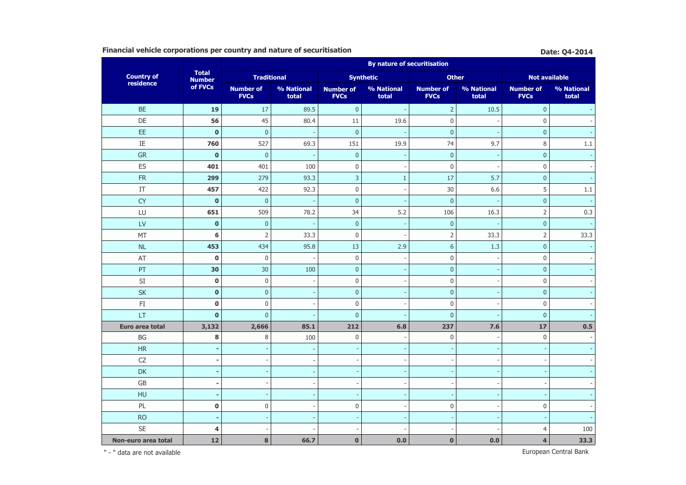## **Financial vehicle corporations per country and nature of securitisation Biography Date: Q4-2014**

|                        |                               |                                 |                          |                                 | <b>By nature of securitisation</b> |                                 |                     |                                 |                     |
|------------------------|-------------------------------|---------------------------------|--------------------------|---------------------------------|------------------------------------|---------------------------------|---------------------|---------------------------------|---------------------|
| <b>Country of</b>      | <b>Total</b><br><b>Number</b> | <b>Traditional</b>              |                          |                                 | <b>Synthetic</b>                   | <b>Other</b>                    |                     | <b>Not available</b>            |                     |
| residence              | of FVCs                       | <b>Number of</b><br><b>FVCs</b> | % National<br>total      | <b>Number of</b><br><b>FVCs</b> | % National<br>total                | <b>Number of</b><br><b>FVCs</b> | % National<br>total | <b>Number of</b><br><b>FVCs</b> | % National<br>total |
| <b>BE</b>              | 19                            | 17                              | 89.5                     | $\pmb{0}$                       |                                    | $\mathsf{2}$                    | 10.5                | $\mathbf{0}$                    |                     |
| DE                     | 56                            | 45                              | 80.4                     | $11\,$                          | 19.6                               | $\boldsymbol{0}$                |                     | $\mathsf 0$                     |                     |
| EE                     | $\mathbf{0}$                  | $\mathbf{0}$                    |                          | $\mathbf{0}$                    |                                    | $\mathbf{0}$                    |                     | $\mathbf{0}$                    |                     |
| IE                     | 760                           | 527                             | 69.3                     | 151                             | 19.9                               | 74                              | 9.7                 | $\,8\,$                         | 1.1                 |
| GR                     | $\pmb{0}$                     | $\mathbf{0}$                    |                          | $\pmb{0}$                       |                                    | $\pmb{0}$                       |                     | $\pmb{0}$                       |                     |
| ES                     | 401                           | 401                             | 100                      | $\boldsymbol{0}$                |                                    | $\boldsymbol{0}$                |                     | $\mathbf 0$                     |                     |
| ${\sf FR}$             | 299                           | 279                             | 93.3                     | 3                               | $\mathbf{1}$                       | 17                              | 5.7                 | $\mathbf{0}$                    |                     |
| IT                     | 457                           | 422                             | 92.3                     | $\mathbf 0$                     |                                    | 30                              | 6.6                 | 5                               | 1.1                 |
| <b>CY</b>              | $\mathbf 0$                   | $\pmb{0}$                       |                          | $\pmb{0}$                       |                                    | $\mathbf 0$                     |                     | $\pmb{0}$                       |                     |
| LU                     | 651                           | 509                             | 78.2                     | 34                              | 5.2                                | 106                             | 16.3                | $\mathsf{2}$                    | 0.3                 |
| LV                     | $\bf{0}$                      | $\mathbf 0$                     |                          | $\mathbf 0$                     |                                    | $\mathbf 0$                     |                     | $\mathbf{0}$                    |                     |
| MT                     | 6                             | $\overline{2}$                  | 33.3                     | $\mathbf 0$                     |                                    | $\mathsf{2}$                    | 33.3                | $\overline{2}$                  | 33.3                |
| NL                     | 453                           | 434                             | 95.8                     | 13                              | 2.9                                | $6\phantom{1}$                  | 1.3                 | $\overline{0}$                  |                     |
| AT                     | $\pmb{0}$                     | $\boldsymbol{0}$                |                          | $\mathbf 0$                     |                                    | $\boldsymbol{0}$                |                     | $\boldsymbol{0}$                |                     |
| PT                     | 30                            | 30                              | 100                      | $\pmb{0}$                       |                                    | $\mathbf 0$                     |                     | $\mathbf{0}$                    |                     |
| $\mathsf{SI}$          | $\mathbf 0$                   | $\boldsymbol{0}$                | $\overline{\phantom{m}}$ | $\boldsymbol{0}$                |                                    | $\mathbf 0$                     |                     | $\mathbf 0$                     |                     |
| SK                     | $\mathbf 0$                   | $\mathbf{0}$                    |                          | $\pmb{0}$                       |                                    | $\mathbf 0$                     |                     | $\mathbf 0$                     |                     |
| $\mathsf{F}\mathbf{I}$ | $\bf{0}$                      | $\boldsymbol{0}$                |                          | $\mathbf 0$                     |                                    | $\boldsymbol{0}$                |                     | $\mathbf 0$                     |                     |
| LT                     | $\mathbf 0$                   | $\mathbf{0}$                    |                          | $\pmb{0}$                       |                                    | $\overline{0}$                  |                     | $\overline{0}$                  |                     |
| Euro area total        | 3,132                         | 2,666                           | 85.1                     | 212                             | 6.8                                | 237                             | 7.6                 | 17                              | 0.5                 |
| BG                     | 8                             | $\,8\,$                         | 100                      | $\boldsymbol{0}$                |                                    | $\mathbf{0}$                    |                     | $\mathbf 0$                     |                     |
| <b>HR</b>              |                               |                                 |                          | ÷,                              |                                    |                                 |                     |                                 |                     |
| CZ                     | ٠                             |                                 |                          | ٠                               |                                    |                                 |                     |                                 |                     |
| DK                     |                               |                                 |                          | $\overline{\phantom{a}}$        |                                    |                                 |                     |                                 |                     |
| $\mathsf{G}\mathsf{B}$ | $\overline{\phantom{a}}$      |                                 |                          | $\overline{\phantom{a}}$        |                                    |                                 |                     |                                 |                     |
| HU                     |                               |                                 |                          |                                 |                                    |                                 |                     |                                 |                     |
| PL                     | $\mathbf 0$                   | $\bf 0$                         |                          | $\mathbf 0$                     |                                    | $\boldsymbol{0}$                |                     | $\mathbf 0$                     |                     |
| <b>RO</b>              |                               |                                 |                          |                                 |                                    |                                 |                     |                                 |                     |
| <b>SE</b>              | 4                             |                                 |                          |                                 |                                    |                                 |                     | 4                               | 100                 |
| Non-euro area total    | 12                            | 8                               | 66.7                     | $\mathbf 0$                     | 0.0                                | $\bf{0}$                        | 0.0                 | $\overline{\mathbf{4}}$         | 33.3                |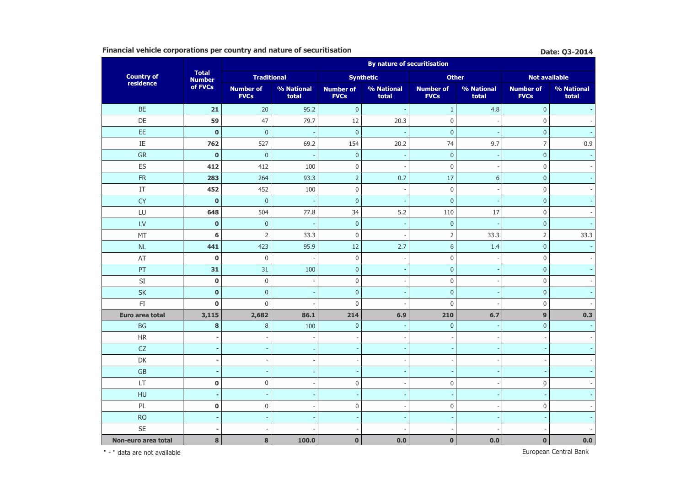## **Financial vehicle corporations per country and nature of securitisation Biography Date: 03-2014**

|                                 |                               |                                 |                          |                                 | <b>By nature of securitisation</b> |                                 |                     |                                 |                     |
|---------------------------------|-------------------------------|---------------------------------|--------------------------|---------------------------------|------------------------------------|---------------------------------|---------------------|---------------------------------|---------------------|
| <b>Country of<br/>residence</b> | <b>Total</b><br><b>Number</b> | <b>Traditional</b>              |                          |                                 | <b>Synthetic</b>                   | <b>Other</b>                    |                     | <b>Not available</b>            |                     |
|                                 | of FVCs                       | <b>Number of</b><br><b>FVCs</b> | % National<br>total      | <b>Number of</b><br><b>FVCs</b> | % National<br>total                | <b>Number of</b><br><b>FVCs</b> | % National<br>total | <b>Number of</b><br><b>FVCs</b> | % National<br>total |
| <b>BE</b>                       | 21                            | 20                              | 95.2                     | $\pmb{0}$                       |                                    | $\mathbf{1}$                    | 4.8                 | $\pmb{0}$                       |                     |
| DE                              | 59                            | 47                              | 79.7                     | 12                              | 20.3                               | $\boldsymbol{0}$                |                     | $\mathbf{0}$                    |                     |
| EE                              | $\mathbf 0$                   | $\mathbf{0}$                    |                          | $\mathbf{0}$                    |                                    | $\overline{0}$                  |                     | $\mathbf{0}$                    |                     |
| IE                              | 762                           | 527                             | 69.2                     | 154                             | 20.2                               | 74                              | 9.7                 | $\overline{7}$                  | 0.9                 |
| <b>GR</b>                       | $\bf{0}$                      | $\mathbf 0$                     |                          | $\pmb{0}$                       |                                    | $\mathbf{0}$                    |                     | $\mathbf{0}$                    |                     |
| ES                              | 412                           | 412                             | 100                      | $\mathbf 0$                     |                                    | $\boldsymbol{0}$                |                     | $\mathsf 0$                     |                     |
| ${\sf FR}$                      | 283                           | 264                             | 93.3                     | $\overline{2}$                  | 0.7                                | 17                              | 6                   | $\overline{0}$                  |                     |
| IT                              | 452                           | 452                             | 100                      | $\mathbf 0$                     |                                    | $\mathbf 0$                     |                     | $\mathbf 0$                     |                     |
| <b>CY</b>                       | $\bf{0}$                      | $\mathbf{0}$                    |                          | $\pmb{0}$                       |                                    | $\overline{0}$                  |                     | $\mathbf{0}$                    |                     |
| LU                              | 648                           | 504                             | 77.8                     | 34                              | 5.2                                | 110                             | 17                  | $\mathbf 0$                     |                     |
| LV                              | $\bf{0}$                      | $\pmb{0}$                       | $\overline{\phantom{a}}$ | $\pmb{0}$                       |                                    | $\mathbf 0$                     |                     | $\mathbf{0}$                    |                     |
| <b>MT</b>                       | 6                             | $\overline{2}$                  | 33.3                     | $\mathbf 0$                     |                                    | $\overline{2}$                  | 33.3                | $\overline{2}$                  | 33.3                |
| $\sf NL$                        | 441                           | 423                             | 95.9                     | 12                              | 2.7                                | $6\phantom{1}$                  | 1.4                 | $\overline{0}$                  |                     |
| AT                              | $\bf{0}$                      | $\mathbf 0$                     |                          | $\boldsymbol{0}$                |                                    | $\boldsymbol{0}$                |                     | $\mathbf 0$                     |                     |
| PT                              | 31                            | 31                              | 100                      | $\pmb{0}$                       |                                    | $\mathbf 0$                     |                     | $\mathbf{0}$                    |                     |
| $\mathsf{SI}$                   | $\mathbf 0$                   | $\boldsymbol{0}$                |                          | $\mathbf 0$                     |                                    | $\mathbf 0$                     |                     | $\mathbf 0$                     |                     |
| <b>SK</b>                       | $\mathbf{0}$                  | $\mathbf{0}$                    |                          | $\mathbf 0$                     |                                    | $\mathbf{0}$                    |                     | $\mathbf{0}$                    |                     |
| $\mathsf{F}\mathbf{I}$          | $\bf{0}$                      | $\mathbf{0}$                    |                          | $\mathbf 0$                     |                                    | $\mathbf 0$                     |                     | $\mathbf 0$                     |                     |
| Euro area total                 | 3,115                         | 2,682                           | 86.1                     | 214                             | 6.9                                | 210                             | 6.7                 | 9                               | 0.3                 |
| <b>BG</b>                       | 8                             | $\,8\,$                         | 100                      | $\pmb{0}$                       |                                    | $\mathbf{0}$                    |                     | $\mathbf 0$                     |                     |
| HR                              |                               |                                 |                          |                                 |                                    |                                 |                     |                                 |                     |
| CZ                              | ٠                             |                                 |                          | $\overline{\phantom{a}}$        |                                    |                                 |                     |                                 |                     |
| DK                              | ä,                            |                                 |                          | L.                              |                                    |                                 |                     |                                 |                     |
| GB                              |                               |                                 |                          | $\overline{\phantom{a}}$        |                                    |                                 |                     |                                 |                     |
| LT                              | $\mathbf 0$                   | $\boldsymbol{0}$                |                          | $\mathbf 0$                     |                                    | $\mathbf 0$                     |                     | $\mathbf 0$                     |                     |
| HU                              |                               |                                 |                          |                                 |                                    |                                 |                     |                                 |                     |
| PL                              | $\bf{0}$                      | $\boldsymbol{0}$                |                          | $\mathbf 0$                     |                                    | $\mathbf 0$                     |                     | $\mathbf 0$                     |                     |
| <b>RO</b>                       |                               |                                 |                          |                                 |                                    |                                 |                     |                                 |                     |
| <b>SE</b>                       |                               |                                 |                          |                                 |                                    |                                 |                     |                                 |                     |
| Non-euro area total             | 8                             | 8                               | 100.0                    | $\mathbf{0}$                    | 0.0                                | $\mathbf{0}$                    | 0.0                 | $\mathbf{0}$                    | 0.0                 |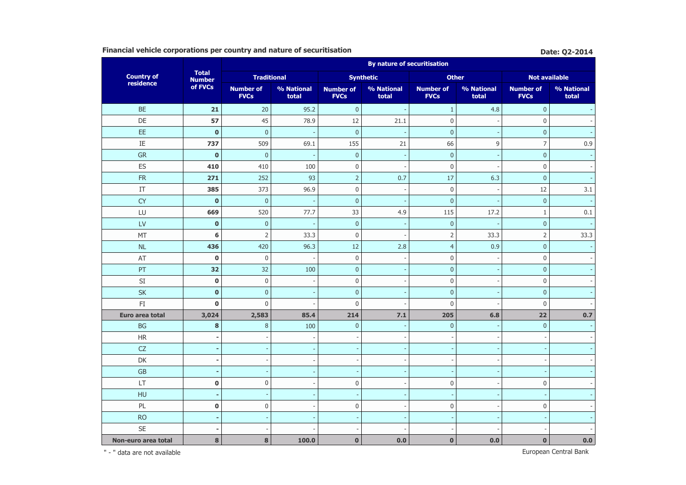## **Financial vehicle corporations per country and nature of securitisation Biography Date: Q2-2014**

|                                 | <b>By nature of securitisation</b> |                                 |                          |                                 |                     |                                 |                     |                                 |                     |
|---------------------------------|------------------------------------|---------------------------------|--------------------------|---------------------------------|---------------------|---------------------------------|---------------------|---------------------------------|---------------------|
| <b>Country of<br/>residence</b> | <b>Total</b><br><b>Number</b>      | <b>Traditional</b>              |                          |                                 | <b>Synthetic</b>    | <b>Other</b>                    |                     | <b>Not available</b>            |                     |
|                                 | of FVCs                            | <b>Number of</b><br><b>FVCs</b> | % National<br>total      | <b>Number of</b><br><b>FVCs</b> | % National<br>total | <b>Number of</b><br><b>FVCs</b> | % National<br>total | <b>Number of</b><br><b>FVCs</b> | % National<br>total |
| <b>BE</b>                       | 21                                 | 20                              | 95.2                     | $\pmb{0}$                       |                     | $\mathbf{1}$                    | 4.8                 | $\pmb{0}$                       |                     |
| DE                              | 57                                 | 45                              | 78.9                     | 12                              | 21.1                | $\boldsymbol{0}$                |                     | $\mathbf 0$                     |                     |
| EE                              | $\mathbf 0$                        | $\mathbf{0}$                    |                          | $\mathbf{0}$                    |                     | $\overline{0}$                  |                     | $\overline{0}$                  |                     |
| IE                              | 737                                | 509                             | 69.1                     | 155                             | 21                  | 66                              | 9                   | $\overline{7}$                  | 0.9                 |
| <b>GR</b>                       | $\bf{0}$                           | $\mathbf 0$                     |                          | $\pmb{0}$                       |                     | $\mathbf 0$                     |                     | $\mathbf{0}$                    |                     |
| ES                              | 410                                | 410                             | 100                      | $\mathbf 0$                     |                     | $\boldsymbol{0}$                |                     | $\mathsf 0$                     |                     |
| ${\sf FR}$                      | 271                                | 252                             | 93                       | $\overline{2}$                  | 0.7                 | 17                              | 6.3                 | $\overline{0}$                  |                     |
| IT                              | 385                                | 373                             | 96.9                     | $\mathbf 0$                     |                     | $\mathbf 0$                     |                     | 12                              | 3.1                 |
| <b>CY</b>                       | $\bf{0}$                           | $\mathbf{0}$                    |                          | $\pmb{0}$                       |                     | $\overline{0}$                  |                     | $\mathbf{0}$                    |                     |
| LU                              | 669                                | 520                             | 77.7                     | 33                              | 4.9                 | 115                             | 17.2                | $\mathbf{1}$                    | 0.1                 |
| LV                              | $\bf{0}$                           | $\pmb{0}$                       | $\overline{\phantom{a}}$ | $\pmb{0}$                       |                     | $\mathbf 0$                     |                     | $\mathbf{0}$                    |                     |
| <b>MT</b>                       | 6                                  | $\overline{2}$                  | 33.3                     | $\mathbf 0$                     |                     | $\overline{2}$                  | 33.3                | $\overline{2}$                  | 33.3                |
| $\sf NL$                        | 436                                | 420                             | 96.3                     | 12                              | 2.8                 | $\overline{4}$                  | 0.9                 | $\overline{0}$                  |                     |
| AT                              | $\bf{0}$                           | $\mathbf 0$                     |                          | $\boldsymbol{0}$                |                     | $\boldsymbol{0}$                |                     | $\mathbf 0$                     |                     |
| PT                              | 32                                 | 32                              | 100                      | $\pmb{0}$                       |                     | $\mathbf 0$                     |                     | $\mathbf{0}$                    |                     |
| $\mathsf{SI}$                   | $\mathbf 0$                        | $\boldsymbol{0}$                |                          | $\mathbf 0$                     |                     | $\mathbf 0$                     |                     | $\mathbf 0$                     |                     |
| <b>SK</b>                       | $\mathbf{0}$                       | $\mathbf{0}$                    |                          | $\mathbf 0$                     |                     | $\mathbf{0}$                    |                     | $\mathbf{0}$                    |                     |
| $\mathsf{F}\mathbf{I}$          | $\bf{0}$                           | $\mathbf 0$                     |                          | $\mathbf 0$                     |                     | $\mathbf 0$                     |                     | $\mathbf{0}$                    |                     |
| Euro area total                 | 3,024                              | 2,583                           | 85.4                     | 214                             | 7.1                 | 205                             | 6.8                 | 22                              | 0.7                 |
| <b>BG</b>                       | 8                                  | $\,8\,$                         | 100                      | $\pmb{0}$                       |                     | $\mathbf 0$                     |                     | $\mathbf{0}$                    |                     |
| HR                              |                                    |                                 |                          |                                 |                     |                                 |                     |                                 |                     |
| CZ                              | ٠                                  |                                 |                          | $\overline{\phantom{a}}$        |                     |                                 |                     |                                 |                     |
| DK                              | ä,                                 |                                 |                          | L.                              |                     |                                 |                     |                                 |                     |
| GB                              |                                    |                                 |                          | $\overline{\phantom{a}}$        |                     |                                 |                     |                                 |                     |
| LT                              | $\mathbf 0$                        | $\boldsymbol{0}$                |                          | $\mathbf 0$                     |                     | $\mathbf 0$                     |                     | $\mathbf 0$                     |                     |
| HU                              |                                    |                                 |                          |                                 |                     |                                 |                     |                                 |                     |
| PL                              | $\bf{0}$                           | $\boldsymbol{0}$                |                          | $\mathbf 0$                     |                     | $\mathbf 0$                     |                     | $\mathbf 0$                     |                     |
| <b>RO</b>                       |                                    |                                 |                          |                                 |                     |                                 |                     |                                 |                     |
| <b>SE</b>                       |                                    |                                 |                          |                                 |                     |                                 |                     |                                 |                     |
| Non-euro area total             | 8                                  | 8                               | 100.0                    | $\mathbf{0}$                    | 0.0                 | $\mathbf{0}$                    | 0.0                 | $\mathbf{0}$                    | 0.0                 |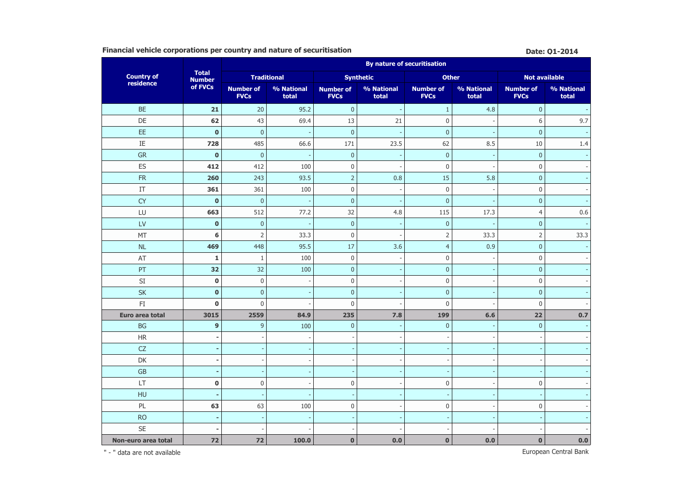## **Financial vehicle corporations per country and nature of securitisation Date: 01-2014 Date: 01-2014**

|                        |                               | <b>By nature of securitisation</b> |                          |                                 |                          |                                 |                     |                                 |                     |  |  |  |
|------------------------|-------------------------------|------------------------------------|--------------------------|---------------------------------|--------------------------|---------------------------------|---------------------|---------------------------------|---------------------|--|--|--|
| <b>Country of</b>      | <b>Total</b><br><b>Number</b> |                                    | <b>Traditional</b>       |                                 | <b>Synthetic</b>         | <b>Other</b>                    |                     | <b>Not available</b>            |                     |  |  |  |
| residence              | of FVCs                       | <b>Number of</b><br><b>FVCs</b>    | % National<br>total      | <b>Number of</b><br><b>FVCs</b> | % National<br>total      | <b>Number of</b><br><b>FVCs</b> | % National<br>total | <b>Number of</b><br><b>FVCs</b> | % National<br>total |  |  |  |
| <b>BE</b>              | 21                            | 20                                 | 95.2                     | $\mathbf 0$                     |                          | $1\,$                           | 4.8                 | $\mathbf{0}$                    |                     |  |  |  |
| DE                     | 62                            | 43                                 | 69.4                     | 13                              | 21                       | $\boldsymbol{0}$                |                     | 6                               | 9.7                 |  |  |  |
| EE                     | $\mathbf 0$                   | $\pmb{0}$                          | $\overline{\phantom{a}}$ | $\overline{0}$                  |                          | $\overline{0}$                  |                     | $\overline{0}$                  |                     |  |  |  |
| IE                     | 728                           | 485                                | 66.6                     | 171                             | 23.5                     | 62                              | 8.5                 | 10                              | 1.4                 |  |  |  |
| GR                     | $\bf{0}$                      | $\pmb{0}$                          |                          | $\pmb{0}$                       |                          | $\pmb{0}$                       |                     | $\mathbf 0$                     |                     |  |  |  |
| ES                     | 412                           | 412                                | 100                      | $\boldsymbol{0}$                |                          | $\boldsymbol{0}$                | $\overline{a}$      | $\mathbf 0$                     |                     |  |  |  |
| <b>FR</b>              | 260                           | 243                                | 93.5                     | $\overline{2}$                  | 0.8                      | 15                              | 5.8                 | $\mathbf{0}$                    |                     |  |  |  |
| IT                     | 361                           | 361                                | 100                      | $\boldsymbol{0}$                |                          | $\mathbf 0$                     | J.                  | $\mathbf{0}$                    |                     |  |  |  |
| <b>CY</b>              | $\mathbf 0$                   | $\pmb{0}$                          |                          | $\pmb{0}$                       |                          | $\overline{0}$                  | ÷,                  | $\mathbf 0$                     |                     |  |  |  |
| LU                     | 663                           | 512                                | 77.2                     | 32                              | 4.8                      | 115                             | 17.3                | $\overline{4}$                  | 0.6                 |  |  |  |
| LV                     | $\bf{0}$                      | $\mathbf{0}$                       |                          | $\mathbf 0$                     |                          | $\boldsymbol{0}$                | ÷,                  | $\mathbf{0}$                    |                     |  |  |  |
| MT                     | 6                             | $\overline{2}$                     | 33.3                     | $\mathbf 0$                     |                          | $\mathsf{2}$                    | 33.3                | $\overline{2}$                  | 33.3                |  |  |  |
| <b>NL</b>              | 469                           | 448                                | 95.5                     | 17                              | 3.6                      | $\overline{4}$                  | 0.9                 | $\overline{0}$                  |                     |  |  |  |
| AT                     | $\mathbf 1$                   | $\mathbf{1}$                       | 100                      | $\boldsymbol{0}$                |                          | $\overline{0}$                  |                     | $\mathbf 0$                     |                     |  |  |  |
| PT                     | 32                            | 32                                 | 100                      | $\pmb{0}$                       |                          | $\pmb{0}$                       |                     | $\mathbf 0$                     |                     |  |  |  |
| $\mathsf{SI}$          | $\bf{0}$                      | $\mathsf{0}$                       |                          | $\boldsymbol{0}$                |                          | $\boldsymbol{0}$                | ÷,                  | $\mathbf 0$                     |                     |  |  |  |
| <b>SK</b>              | $\mathbf 0$                   | $\mathbf{0}$                       |                          | $\overline{0}$                  |                          | $\mathbf 0$                     |                     | $\overline{0}$                  |                     |  |  |  |
| $\mathsf{F}\mathbf{I}$ | $\mathbf 0$                   | $\mathbf 0$                        |                          | $\mathbf 0$                     |                          | $\boldsymbol{0}$                |                     | $\mathbf 0$                     |                     |  |  |  |
| Euro area total        | 3015                          | 2559                               | 84.9                     | 235                             | 7.8                      | 199                             | 6.6                 | 22                              | 0.7                 |  |  |  |
| <b>BG</b>              | 9                             | 9                                  | 100                      | $\pmb{0}$                       |                          | $\mathbf{0}$                    |                     | $\mathbf 0$                     |                     |  |  |  |
| $\mathsf{HR}$          |                               | ÷,                                 |                          |                                 |                          |                                 | ÷,                  |                                 |                     |  |  |  |
| CZ                     |                               | $\overline{\phantom{a}}$           |                          |                                 |                          |                                 |                     |                                 |                     |  |  |  |
| DK                     |                               | $\qquad \qquad \blacksquare$       |                          |                                 |                          |                                 |                     |                                 |                     |  |  |  |
| GB                     |                               | $\overline{\phantom{a}}$           |                          |                                 |                          |                                 |                     |                                 |                     |  |  |  |
| <b>LT</b>              | $\bf{0}$                      | $\mathbf 0$                        |                          | $\boldsymbol{0}$                |                          | $\mathbf 0$                     |                     | $\mathbf 0$                     |                     |  |  |  |
| <b>HU</b>              |                               | ÷,                                 |                          |                                 |                          | $\overline{\phantom{a}}$        | ÷,                  |                                 |                     |  |  |  |
| PL                     | 63                            | 63                                 | 100                      | $\boldsymbol{0}$                | $\overline{\phantom{a}}$ | $\pmb{0}$                       | $\overline{a}$      | $\mathbf{0}$                    |                     |  |  |  |
| <b>RO</b>              |                               | ÷,                                 |                          |                                 |                          |                                 |                     |                                 |                     |  |  |  |
| <b>SE</b>              |                               |                                    |                          |                                 |                          |                                 |                     |                                 |                     |  |  |  |
| Non-euro area total    | 72                            | 72                                 | 100.0                    | $\mathbf{0}$                    | 0.0                      | $\bf{0}$                        | 0.0                 | $\mathbf{0}$                    | 0.0                 |  |  |  |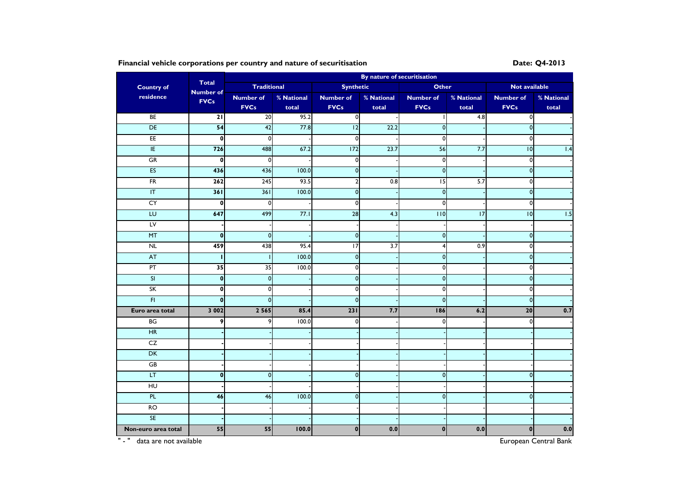## Financial vehicle corporations per country and nature of securitisation **Date:** 24-2013

|                         | By nature of securitisation<br><b>Total</b> |                    |            |                         |                  |                         |            |                      |            |
|-------------------------|---------------------------------------------|--------------------|------------|-------------------------|------------------|-------------------------|------------|----------------------|------------|
| <b>Country of</b>       | <b>Number of</b>                            | <b>Traditional</b> |            | <b>Synthetic</b>        |                  | <b>Other</b>            |            | <b>Not available</b> |            |
| residence               | <b>FVCs</b>                                 | <b>Number of</b>   | % National | <b>Number of</b>        | % National       | <b>Number of</b>        | % National | <b>Number of</b>     | % National |
|                         |                                             | <b>FVCs</b>        | total      | <b>FVCs</b>             | total            | <b>FVCs</b>             | total      | <b>FVCs</b>          | total      |
| BE                      | 21                                          | 20                 | 95.2       | 0I                      |                  |                         | 4.8        | $\mathbf{0}$         |            |
| DE                      | 54                                          | 42                 | 77.8       | 12                      | 22.2             | $\mathbf 0$             |            | $\pmb{0}$            |            |
| EE                      | $\mathbf{0}$                                | $\mathbf 0$        |            | $\mathbf 0$             |                  | $\mathbf 0$             |            | $\pmb{0}$            |            |
| E                       | 726                                         | 488                | 67.2       | 172                     | 23.7             | 56                      | 7.7        | 10                   | 1.4        |
| ${\sf GR}$              | $\mathbf{0}$                                | $\mathbf 0$        |            | $\mathbf 0$             |                  | $\mathbf 0$             |            | $\pmb{0}$            |            |
| ES                      | 436                                         | 436                | 100.0      | $\mathbf{0}$            |                  | $\mathbf{0}$            |            | $\mathbf 0$          |            |
| FR                      | 262                                         | 245                | 93.5       | $\overline{\mathbf{c}}$ | 0.8              | $\overline{15}$         | 5.7        | o                    |            |
| $\overline{1}$          | 361                                         | 361                | 100.0      | $\mathbf{0}$            |                  | $\overline{0}$          |            | $\pmb{\mathsf{O}}$   |            |
| CY                      | $\mathbf 0$                                 | $\mathbf 0$        |            | 0                       |                  | $\mathbf 0$             |            | $\mathbf 0$          |            |
| LU                      | 647                                         | 499                | 77.1       | 28                      | 4.3              | 110                     | 17         | $\overline{10}$      | 1.5        |
| LV                      |                                             |                    |            |                         |                  |                         |            |                      |            |
| MT                      | $\mathbf 0$                                 | $\mathbf 0$        |            | $\mathbf 0$             |                  | $\mathbf 0$             |            | $\pmb{0}$            |            |
| NL                      | 459                                         | 438                | 95.4       | $\overline{17}$         | $\overline{3.7}$ | $\overline{\mathbf{4}}$ | 0.9        | $\mathbf 0$          |            |
| AT                      | п                                           |                    | 100.0      | $\pmb{0}$               |                  | $\mathbf{0}$            |            | $\pmb{0}$            |            |
| $\overline{PT}$         | 35                                          | $\overline{35}$    | 100.0      | $\mathbf{0}$            |                  | $\mathbf{0}$            |            | $\pmb{0}$            |            |
| $\overline{\mathsf{S}}$ | $\mathbf 0$                                 | $\pmb{0}$          |            | $\mathbf 0$             |                  | $\mathbf{0}$            |            | $\pmb{0}$            |            |
| SK                      | $\mathbf 0$                                 | $\mathbf 0$        |            | $\mathbf 0$             |                  | $\pmb{0}$               |            | $\pmb{0}$            |            |
| $\overline{H}$          | $\mathbf{0}$                                | $\mathbf 0$        |            | $\mathbf 0$             |                  | $\mathbf 0$             |            | $\pmb{0}$            |            |
| Euro area total         | 3 0 0 2                                     | 2 5 6 5            | 85.4       | 231                     | 7.7              | 186                     | 6.2        | 20                   | 0.7        |
| BG                      | 9                                           | 9                  | 100.0      | $\mathbf 0$             |                  | $\overline{0}$          |            | $\mathbf 0$          |            |
| H                       |                                             |                    |            |                         |                  |                         |            |                      |            |
| CZ                      |                                             |                    |            |                         |                  |                         |            |                      |            |
| DK                      |                                             |                    |            |                         |                  |                         |            |                      |            |
| GB                      |                                             |                    |            |                         |                  |                         |            |                      |            |
| $\overline{LT}$         | $\mathbf{0}$                                | $\mathbf 0$        |            | $\overline{0}$          |                  | $\mathbf{0}$            |            | $\mathbf 0$          |            |
| HU                      |                                             |                    |            |                         |                  |                         |            |                      |            |
| PL                      | 46                                          | 46                 | 100.0      | $\mathbf 0$             |                  | $\mathbf 0$             |            | $\mathbf 0$          |            |
| $\overline{R}$          |                                             |                    |            |                         |                  |                         |            |                      |            |
| <b>SE</b>               |                                             |                    |            |                         |                  |                         |            |                      |            |
| Non-euro area total     | 55                                          | 55                 | 100.0      | $\mathbf{0}$            | 0.0              | $\mathbf{0}$            | 0.0        | $\pmb{0}$            | 0.0        |

" - " data are not available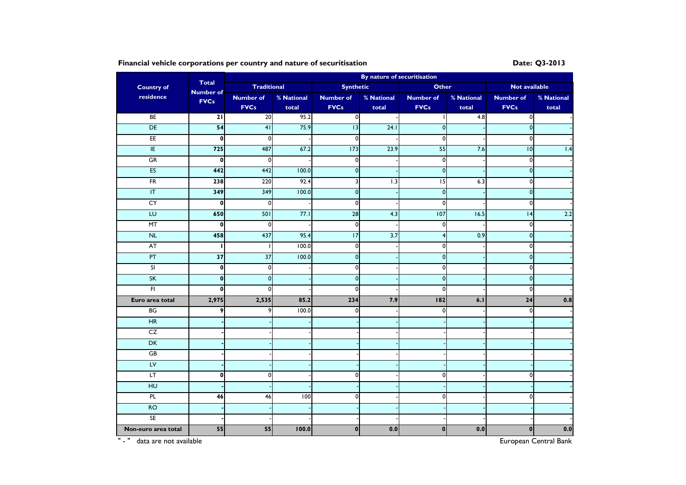Financial vehicle corporations per country and nature of securitisation **Date: Q3-2013** 

|                         |                                  | By nature of securitisation |            |                  |                  |                  |            |                      |            |  |  |  |
|-------------------------|----------------------------------|-----------------------------|------------|------------------|------------------|------------------|------------|----------------------|------------|--|--|--|
| <b>Country of</b>       | <b>Total</b><br><b>Number of</b> | <b>Traditional</b>          |            | <b>Synthetic</b> |                  | <b>Other</b>     |            | <b>Not available</b> |            |  |  |  |
| residence               | <b>FVCs</b>                      | <b>Number of</b>            | % National | <b>Number of</b> | % National       | <b>Number of</b> | % National | <b>Number of</b>     | % National |  |  |  |
|                         |                                  | <b>FVCs</b>                 | total      | <b>FVCs</b>      | total            | <b>FVCs</b>      | total      | <b>FVCs</b>          | total      |  |  |  |
| BE                      | 21                               | 20                          | 95.2       | $\overline{0}$   |                  |                  | 4.8        | $\mathbf{0}$         |            |  |  |  |
| DE                      | 54                               | 41                          | 75.9       | 13               | 24.1             | $\mathbf{0}$     |            | $\pmb{0}$            |            |  |  |  |
| EE                      | $\mathbf{0}$                     | $\mathbf 0$                 |            | $\mathbf 0$      |                  | $\circ$          |            | $\mathbf 0$          |            |  |  |  |
| E                       | 725                              | 487                         | 67.2       | 173              | 23.9             | 55               | 7.6        | 10                   | 1.4        |  |  |  |
| ${\sf GR}$              | $\mathbf 0$                      | 0                           |            | $\mathbf 0$      |                  | $\circ$          |            | $\mathbf{0}$         |            |  |  |  |
| <b>ES</b>               | 442                              | 442                         | 100.0      | $\mathbf 0$      |                  | $\pmb{0}$        |            | $\mathbf{0}$         |            |  |  |  |
| $\overline{\text{FR}}$  | 238                              | 220                         | 92.4       | 3                | $\overline{1.3}$ | $\overline{15}$  | 6.3        | 0                    |            |  |  |  |
| $\overline{\mathsf{I}}$ | 349                              | 349                         | 100.0      | $\mathbf 0$      |                  | $\pmb{0}$        |            | $\mathbf 0$          |            |  |  |  |
| CY                      | $\mathbf 0$                      | $\mathbf 0$                 |            | $\mathbf 0$      |                  | $\mathbf{0}$     |            | 0                    |            |  |  |  |
| LU                      | 650                              | 501                         | 77.1       | 28               | 4.3              | 107              | 16.5       | 4                    | 2.2        |  |  |  |
| MT                      | $\mathbf{0}$                     | 0                           |            | $\mathbf 0$      |                  | $\mathbf{0}$     |            | 0                    |            |  |  |  |
| $\sf NL$                | 458                              | 437                         | 95.4       | $\overline{17}$  | $\overline{3.7}$ | $\overline{4}$   | 0.9        | $\mathbf{0}$         |            |  |  |  |
| <b>AT</b>               | ı                                |                             | 100.0      | $\mathbf 0$      |                  | $\circ$          |            | $\mathbf 0$          |            |  |  |  |
| PT                      | $\overline{37}$                  | $\overline{37}$             | 100.0      | $\mathbf{0}$     |                  | $\pmb{0}$        |            | $\pmb{0}$            |            |  |  |  |
| $\overline{\mathbf{S}}$ | $\mathbf{0}$                     | 0                           |            | $\overline{0}$   |                  | $\circ$          |            | $\mathbf 0$          |            |  |  |  |
| SK                      | $\mathbf{0}$                     | $\mathbf{0}$                |            | $\mathbf 0$      |                  | $\pmb{0}$        |            | $\mathbf{0}$         |            |  |  |  |
| $\overline{H}$          | $\mathbf{0}$                     | $\mathbf 0$                 |            | $\mathbf 0$      |                  | $\mathbf 0$      |            | 0                    |            |  |  |  |
| Euro area total         | 2,975                            | 2,535                       | 85.2       | 234              | 7.9              | 182              | 6.1        | $\overline{24}$      | 0.8        |  |  |  |
| BG                      | 9                                | 9                           | 100.0      | $\Omega$         |                  | $\mathbf{0}$     |            | 0                    |            |  |  |  |
| HR                      |                                  |                             |            |                  |                  |                  |            |                      |            |  |  |  |
| CZ                      |                                  |                             |            |                  |                  |                  |            |                      |            |  |  |  |
| DK                      |                                  |                             |            |                  |                  |                  |            |                      |            |  |  |  |
| GB                      |                                  |                             |            |                  |                  |                  |            |                      |            |  |  |  |
| LV                      |                                  |                             |            |                  |                  |                  |            |                      |            |  |  |  |
| LT.                     | $\mathbf 0$                      | 0                           |            | $\overline{0}$   |                  | $\mathbf{0}$     |            | 0                    |            |  |  |  |
| HU                      |                                  |                             |            |                  |                  |                  |            |                      |            |  |  |  |
| $\overline{P}$          | 46                               | 46                          | 100        | $\mathbf{0}$     |                  | $\mathbf{0}$     |            | 0                    |            |  |  |  |
| <b>RO</b>               |                                  |                             |            |                  |                  |                  |            |                      |            |  |  |  |
| <b>SE</b>               |                                  |                             |            |                  |                  |                  |            |                      |            |  |  |  |
| Non-euro area total     | 55                               | 55                          | 100.0      | $\mathbf{0}$     | 0.0              | $\mathbf{0}$     | 0.0        | $\mathbf 0$          | 0.0        |  |  |  |

" - " data are not available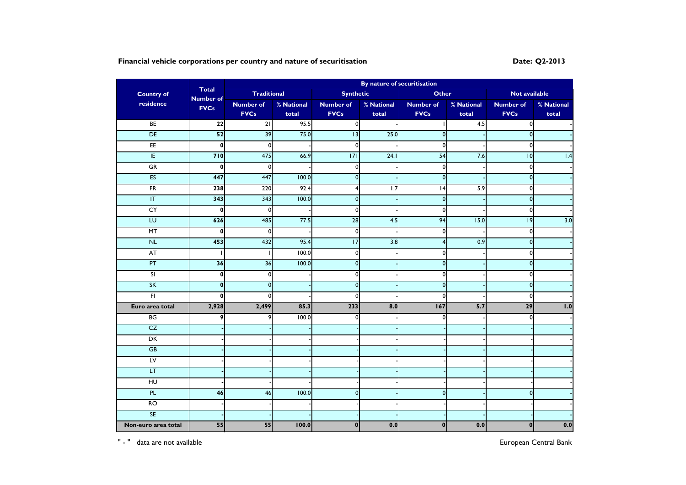# Financial vehicle corporations per country and nature of securitisation **Date: Date:** Q2-2013

|                                   |                                  |                    |            |                  | By nature of securitisation |                    |            |                         |            |  |
|-----------------------------------|----------------------------------|--------------------|------------|------------------|-----------------------------|--------------------|------------|-------------------------|------------|--|
| <b>Country of</b>                 | <b>Total</b><br><b>Number of</b> | <b>Traditional</b> |            | <b>Synthetic</b> |                             | <b>Other</b>       |            | Not available           |            |  |
| residence                         | <b>FVCs</b>                      | <b>Number of</b>   | % National | <b>Number of</b> | % National                  | <b>Number of</b>   | % National | <b>Number of</b>        | % National |  |
|                                   |                                  | <b>FVCs</b>        | total      | <b>FVCs</b>      | total                       | <b>FVCs</b>        | total      | <b>FVCs</b>             | total      |  |
| BE                                | 22                               | $\overline{21}$    | 95.5       | $\overline{0}$   |                             |                    | 4.5        | $\mathbf 0$             |            |  |
| DE                                | 52                               | 39                 | 75.0       | 13               | 25.0                        | $\mathbf 0$        |            | $\mathbf 0$             |            |  |
| E                                 | 0                                | $\overline{0}$     |            | $\mathbf{0}$     |                             | $\mathbf 0$        |            | $\mathbf 0$             |            |  |
| IE                                | 710                              | 475                | 66.9       | 171              | 24.1                        | 54                 | 7.6        | $\overline{10}$         | 1.4        |  |
| GR                                | $\mathbf 0$                      | $\mathbf 0$        |            | $\mathbf{0}$     |                             | $\pmb{0}$          |            | $\pmb{0}$               |            |  |
| <b>ES</b>                         | 447                              | 447                | 100.0      | $\overline{0}$   |                             | $\mathbf 0$        |            | $\mathbf 0$             |            |  |
| F                                 | 238                              | 220                | 92.4       | $\overline{4}$   | 1.7                         | 4                  | 5.9        | $\mathbf 0$             |            |  |
| $\ensuremath{\mathsf{IT}}\xspace$ | 343                              | 343                | 100.0      | $\mathbf{0}$     |                             | $\mathbf 0$        |            | $\mathbf 0$             |            |  |
| CY                                | $\mathbf{0}$                     | $\mathbf 0$        |            | $\mathbf{0}$     |                             | $\mathbf 0$        |            | $\pmb{0}$               |            |  |
| EU                                | 626                              | 485                | 77.5       | 28               | 4.5                         | 94                 | 15.0       | 9                       | 3.0        |  |
| $\overline{MT}$                   | $\mathbf{0}$                     | $\mathbf 0$        |            | $\circ$          |                             | $\pmb{0}$          |            | $\pmb{0}$               |            |  |
| N <sub>L</sub>                    | 453                              | 432                | 95.4       | 17               | 3.8                         | 4                  | 0.9        | $\mathbf 0$             |            |  |
| AT                                | п                                |                    | 100.0      | $\mathbf{0}$     |                             | $\mathbf 0$        |            | $\pmb{0}$               |            |  |
| PT                                | 36                               | 36                 | 100.0      | $\pmb{0}$        |                             | $\mathbf 0$        |            | $\overline{\mathbf{0}}$ |            |  |
| $\overline{\mathbf{s}}$           | $\mathbf{0}$                     | $\mathbf 0$        |            | $\Omega$         |                             | $\pmb{0}$          |            | $\mathbf 0$             |            |  |
| SK                                | $\mathbf{0}$                     | $\mathbf{0}$       |            | $\pmb{0}$        |                             | $\pmb{\mathsf{O}}$ |            | $\pmb{0}$               |            |  |
| F1                                | $\mathbf 0$                      | $\Omega$           |            | $\mathbf{0}$     |                             | $\mathbf 0$        |            | $\mathbf 0$             |            |  |
| Euro area total                   | 2,928                            | 2,499              | 85.3       | 233              | 8.0                         | 167                | 5.7        | $\overline{29}$         | 1.0        |  |
| BG                                | 9                                | 9                  | 100.0      | $\Omega$         |                             | $\mathbf 0$        |            | $\mathbf 0$             |            |  |
| CZ                                |                                  |                    |            |                  |                             |                    |            |                         |            |  |
| DK                                |                                  |                    |            |                  |                             |                    |            |                         |            |  |
| <b>GB</b>                         |                                  |                    |            |                  |                             |                    |            |                         |            |  |
| $L_{\rm V}$                       |                                  |                    |            |                  |                             |                    |            |                         |            |  |
| LT                                |                                  |                    |            |                  |                             |                    |            |                         |            |  |
| H <sub>U</sub>                    |                                  |                    |            |                  |                             |                    |            |                         |            |  |
| PL                                | 46                               | 46                 | 100.0      | $\mathsf{o}$     |                             | $\overline{0}$     |            | $\mathbf{0}$            |            |  |
| RO                                |                                  |                    |            |                  |                             |                    |            |                         |            |  |
| <b>SE</b>                         |                                  |                    |            |                  |                             |                    |            |                         |            |  |
| Non-euro area total               | 55                               | 55                 | 100.0      | $\mathbf{0}$     | 0.0                         | $\mathbf 0$        | 0.0        | $\bf{0}$                | 0.0        |  |

" - " data are not available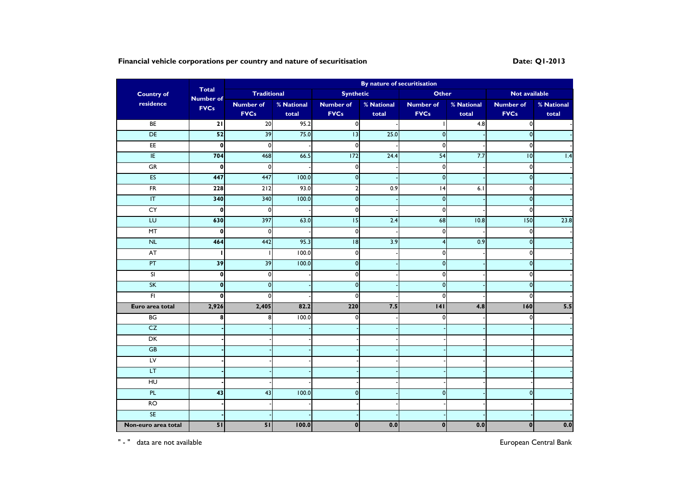# Financial vehicle corporations per country and nature of securitisation **Date:** Q1-2013

|                                   |                                  |                    |            |                  | By nature of securitisation |                  |            |                         |            |  |
|-----------------------------------|----------------------------------|--------------------|------------|------------------|-----------------------------|------------------|------------|-------------------------|------------|--|
| <b>Country of</b>                 | <b>Total</b><br><b>Number of</b> | <b>Traditional</b> |            | <b>Synthetic</b> |                             | <b>Other</b>     |            | <b>Not available</b>    |            |  |
| residence                         | <b>FVCs</b>                      | <b>Number of</b>   | % National | <b>Number of</b> | % National                  | <b>Number of</b> | % National | <b>Number of</b>        | % National |  |
|                                   |                                  | <b>FVCs</b>        | total      | <b>FVCs</b>      | total                       | <b>FVCs</b>      | total      | <b>FVCs</b>             | total      |  |
| BE                                | $\overline{21}$                  | $\overline{20}$    | 95.2       | $\overline{0}$   |                             |                  | 4.8        | $\mathbf{0}$            |            |  |
| DE                                | 52                               | 39                 | 75.0       | 13               | 25.0                        | $\overline{0}$   |            | $\overline{\mathbf{0}}$ |            |  |
| E                                 | $\mathbf{0}$                     | $\mathbf{0}$       |            | $\mathbf{0}$     |                             | $\mathbf{0}$     |            | 0                       |            |  |
| IE                                | 704                              | 468                | 66.5       | 172              | 24.4                        | $\overline{54}$  | 7.7        | $\overline{6}$          | 1.4        |  |
| GR                                | $\mathbf 0$                      | $\mathbf{0}$       |            | $\mathbf{0}$     |                             | $\overline{0}$   |            | 0                       |            |  |
| <b>ES</b>                         | 447                              | 447                | 100.0      | $\pmb{0}$        |                             | $\mathbf{0}$     |            | $\pmb{\mathsf{O}}$      |            |  |
| $\overline{FR}$                   | 228                              | 212                | 93.0       | $\overline{2}$   | 0.9                         | 4                | 6.1        | $\mathbf 0$             |            |  |
| $\ensuremath{\mathsf{IT}}\xspace$ | 340                              | 340                | 100.0      | $\mathbf{0}$     |                             | $\overline{0}$   |            | $\mathbf 0$             |            |  |
| CY                                | $\mathbf 0$                      | $\mathbf 0$        |            | $\mathbf{0}$     |                             | $\overline{0}$   |            | 0                       |            |  |
| LU                                | 630                              | 397                | 63.0       | 15               | 2.4                         | 68               | 10.8       | 150                     | 23.8       |  |
| MT                                | $\mathbf{0}$                     | $\mathbf{0}$       |            | $\circ$          |                             | $\overline{0}$   |            | $\mathbf 0$             |            |  |
| N <sub>L</sub>                    | 464                              | 442                | 95.3       | $\overline{8}$   | 3.9                         | 4                | 0.9        | $\mathbf 0$             |            |  |
| AT                                | ı                                |                    | 100.0      | $\mathbf{0}$     |                             | $\mathbf{0}$     |            | 0                       |            |  |
| PT                                | 39                               | 39                 | 100.0      | $\pmb{0}$        |                             | $\overline{0}$   |            | $\pmb{\mathsf{O}}$      |            |  |
| SI                                | $\mathbf 0$                      | $\mathbf 0$        |            | $\Omega$         |                             | $\overline{0}$   |            | 0                       |            |  |
| SK                                | $\mathbf 0$                      | $\mathbf{0}$       |            | $\pmb{0}$        |                             | $\mathbf{0}$     |            | $\pmb{\mathsf{O}}$      |            |  |
| F1                                | $\mathbf{0}$                     | $\Omega$           |            | $\mathbf{0}$     |                             | $\mathbf 0$      |            | 0                       |            |  |
| Euro area total                   | 2,926                            | 2,405              | 82.2       | 220              | 7.5                         | 4                | 4.8        | 160                     | 5.5        |  |
| BG                                | 8                                | 8                  | 100.0      | $\Omega$         |                             | 0                |            | 0                       |            |  |
| CZ                                |                                  |                    |            |                  |                             |                  |            |                         |            |  |
| DK                                |                                  |                    |            |                  |                             |                  |            |                         |            |  |
| <b>GB</b>                         |                                  |                    |            |                  |                             |                  |            |                         |            |  |
| $L_{\text{V}}$                    |                                  |                    |            |                  |                             |                  |            |                         |            |  |
| LT.                               |                                  |                    |            |                  |                             |                  |            |                         |            |  |
| H <sub>U</sub>                    |                                  |                    |            |                  |                             |                  |            |                         |            |  |
| PL                                | 43                               | 43                 | 100.0      | $\mathsf{o}$     |                             | $\overline{0}$   |            | $\mathbf 0$             |            |  |
| $\overline{RO}$                   |                                  |                    |            |                  |                             |                  |            |                         |            |  |
| <b>SE</b>                         |                                  |                    |            |                  |                             |                  |            |                         |            |  |
| Non-euro area total               | 51                               | 51                 | 100.0      | $\mathbf{0}$     | 0.0                         | $\mathbf 0$      | 0.0        | $\mathbf{0}$            | 0.0        |  |

" - " data are not available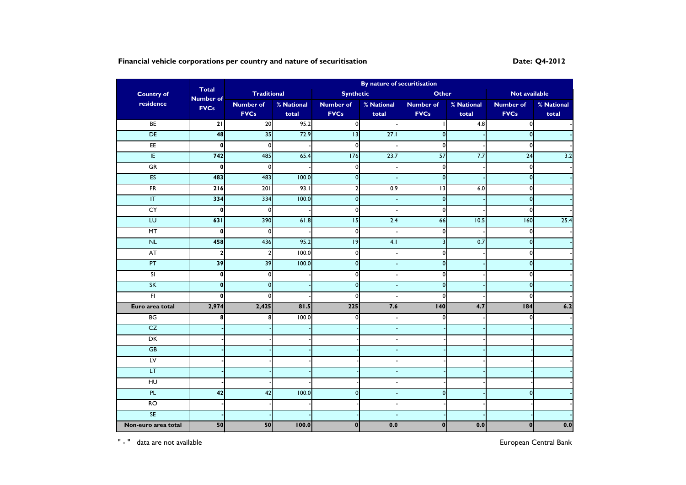# **Financial vehicle corporations per country and nature of securitisation Date: Q4-2012 Date:** Q4-2012

|                         |                                  | By nature of securitisation |            |                  |                  |                         |            |                         |            |  |  |
|-------------------------|----------------------------------|-----------------------------|------------|------------------|------------------|-------------------------|------------|-------------------------|------------|--|--|
| <b>Country of</b>       | <b>Total</b><br><b>Number of</b> | <b>Traditional</b>          |            | <b>Synthetic</b> |                  | <b>Other</b>            |            | Not available           |            |  |  |
| residence               | <b>FVCs</b>                      | <b>Number of</b>            | % National | <b>Number of</b> | % National       | <b>Number of</b>        | % National | <b>Number of</b>        | % National |  |  |
|                         |                                  | <b>FVCs</b>                 | total      | <b>FVCs</b>      | total            | <b>FVCs</b>             | total      | <b>FVCs</b>             | total      |  |  |
| BE                      | 21                               | 20                          | 95.2       | $\overline{0}$   |                  |                         | 4.8        | $\overline{\mathbf{0}}$ |            |  |  |
| DE                      | 48                               | 35                          | 72.9       | 13               | 27.1             | $\mathbf{0}$            |            | $\overline{0}$          |            |  |  |
| E                       | $\mathbf 0$                      | $\mathbf 0$                 |            | 0                |                  | $\mathbf 0$             |            | 0                       |            |  |  |
| E                       | 742                              | 485                         | 65.4       | 176              | 23.7             | $\overline{57}$         | 7.7        | 24                      | 3.2        |  |  |
| GR                      | $\mathbf{0}$                     | $\mathbf 0$                 |            | 0                |                  | $\mathbf 0$             |            | $\pmb{0}$               |            |  |  |
| ES                      | 483                              | 483                         | 100.0      | $\mathbf 0$      |                  | $\mathbf{0}$            |            | $\bullet$               |            |  |  |
| FR                      | $\overline{216}$                 | $\overline{201}$            | 93.1       | $\overline{2}$   | $\overline{0.9}$ | 13                      | 6.0        | $\mathbf 0$             |            |  |  |
| $\overline{\mathsf{I}}$ | 334                              | 334                         | 100.0      | $\overline{0}$   |                  | $\mathbf 0$             |            | $\mathbf 0$             |            |  |  |
| CY                      | $\mathbf 0$                      | $\mathbf 0$                 |            | 0                |                  | $\pmb{0}$               |            | $\mathbf 0$             |            |  |  |
| LU                      | 631                              | 390                         | 61.8       | 15               | 2.4              | 66                      | 10.5       | 160                     | 25.4       |  |  |
| MT                      | $\mathbf 0$                      | $\pmb{0}$                   |            | $\pmb{0}$        |                  | $\pmb{0}$               |            | $\pmb{0}$               |            |  |  |
| N <sub>L</sub>          | 458                              | 436                         | 95.2       | $\overline{19}$  | 4.1              | $\overline{\mathbf{3}}$ | 0.7        | $\mathbf 0$             |            |  |  |
| <b>AT</b>               | $\mathbf{2}$                     | $\overline{2}$              | 100.0      | $\overline{0}$   |                  | $\circ$                 |            | $\mathbf 0$             |            |  |  |
| PT                      | 39                               | 39                          | 100.0      | $\mathbf 0$      |                  | $\mathbf{0}$            |            | $\mathbf 0$             |            |  |  |
| SI                      | $\mathbf 0$                      | $\mathbf 0$                 |            | 0                |                  | $\pmb{0}$               |            | 0                       |            |  |  |
| SK                      | $\mathbf{0}$                     | $\mathbf{0}$                |            | $\mathbf 0$      |                  | $\pmb{0}$               |            | $\mathbf 0$             |            |  |  |
| F1                      | $\mathbf{0}$                     | $\Omega$                    |            | $\Omega$         |                  | $\mathbf 0$             |            | $\mathbf 0$             |            |  |  |
| Euro area total         | 2,974                            | 2,425                       | 81.5       | 225              | 7.6              | 140                     | 4.7        | 184                     | 6.2        |  |  |
| BG                      | 8                                | 8                           | 100.0      | $\Omega$         |                  | $\mathbf{0}$            |            | 0                       |            |  |  |
| CZ                      |                                  |                             |            |                  |                  |                         |            |                         |            |  |  |
| DK                      |                                  |                             |            |                  |                  |                         |            |                         |            |  |  |
| <b>GB</b>               |                                  |                             |            |                  |                  |                         |            |                         |            |  |  |
| LV                      |                                  |                             |            |                  |                  |                         |            |                         |            |  |  |
| LT                      |                                  |                             |            |                  |                  |                         |            |                         |            |  |  |
| $\overline{H}$          |                                  |                             |            |                  |                  |                         |            |                         |            |  |  |
| PL.                     | 42                               | 42                          | 100.0      | $\mathbf 0$      |                  | $\mathbf{0}$            |            | $\mathbf 0$             |            |  |  |
| $\overline{RO}$         |                                  |                             |            |                  |                  |                         |            |                         |            |  |  |
| <b>SE</b>               |                                  |                             |            |                  |                  |                         |            |                         |            |  |  |
| Non-euro area total     | 50                               | 50                          | 100.0      | $\bf{0}$         | 0.0              | $\mathbf{0}$            | 0.0        | $\mathbf{0}$            | 0.0        |  |  |

" - " data are not available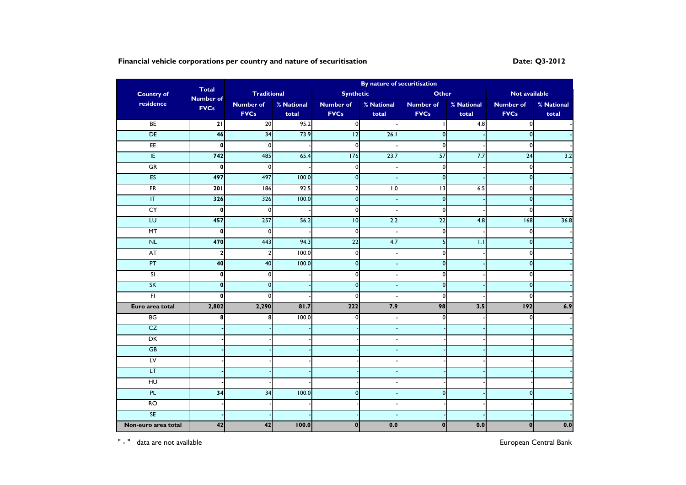# **Financial vehicle corporations per country and nature of securitisation Date: Q3-2012**

|                         |                                  |                    | By nature of securitisation |                  |            |                  |                  |                  |            |
|-------------------------|----------------------------------|--------------------|-----------------------------|------------------|------------|------------------|------------------|------------------|------------|
| <b>Country of</b>       | <b>Total</b><br><b>Number of</b> | <b>Traditional</b> |                             | <b>Synthetic</b> |            | <b>Other</b>     |                  | Not available    |            |
| residence               | <b>FVCs</b>                      | <b>Number of</b>   | % National                  | <b>Number of</b> | % National | <b>Number of</b> | % National       | <b>Number of</b> | % National |
|                         |                                  | <b>FVCs</b>        | total                       | <b>FVCs</b>      | total      | <b>FVCs</b>      | total            | <b>FVCs</b>      | total      |
| BE                      | 21                               | $\overline{20}$    | 95.2                        | $\overline{0}$   |            |                  | 4.8              | $\mathbf 0$      |            |
| DE                      | 46                               | 34                 | 73.9                        | 12               | 26.1       | $\boldsymbol{0}$ |                  | $\pmb{0}$        |            |
| E                       | $\mathbf 0$                      | $\overline{0}$     |                             | $\Omega$         |            | $\mathbf{0}$     |                  | $\mathbf 0$      |            |
| E                       | 742                              | 485                | 65.4                        | 176              | 23.7       | $\overline{57}$  | 7.7              | $\overline{24}$  | 3.2        |
| GR                      | $\mathbf 0$                      | $\mathbf{0}$       |                             | $\mathbf{0}$     |            | $\overline{0}$   |                  | 0                |            |
| ES                      | 497                              | 497                | 100.0                       | $\pmb{0}$        |            | $\overline{0}$   |                  | $\pmb{0}$        |            |
| $\overline{FR}$         | $\overline{201}$                 | 186                | 92.5                        | $\overline{2}$   | 1.0        | $\overline{13}$  | 6.5              | $\mathbf 0$      |            |
| $\overline{\mathsf{T}}$ | 326                              | 326                | 100.0                       | $\pmb{0}$        |            | $\overline{0}$   |                  | $\pmb{0}$        |            |
| CY                      | $\mathbf{0}$                     | $\mathbf 0$        |                             | $\mathbf{0}$     |            | $\mathbf{0}$     |                  | 0                |            |
| $\overline{L}$          | 457                              | 257                | 56.2                        | 10               | 2.2        | $\overline{22}$  | 4.8              | $\overline{68}$  | 36.8       |
| MT                      | $\mathbf 0$                      | 0                  |                             | $\circ$          |            | $\overline{0}$   |                  | $\mathbf 0$      |            |
| NL                      | 470                              | 443                | 94.3                        | 22               | 4.7        | 5 <sup>1</sup>   | $\overline{1.1}$ | $\mathbf 0$      |            |
| AT                      | $\mathbf{2}$                     | $\mathcal{P}$      | 100.0                       | $\mathbf{0}$     |            | 0                |                  | 0                |            |
| PT                      | 40                               | 40                 | 100.0                       | $\overline{0}$   |            | $\overline{0}$   |                  | $\mathbf 0$      |            |
| $\overline{\mathbf{s}}$ | $\mathbf{0}$                     | $\mathbf 0$        |                             | $\mathbf{0}$     |            | $\mathbf 0$      |                  | 0                |            |
| SK                      | $\mathbf{0}$                     | $\Omega$           |                             | $\mathbf{0}$     |            | $\mathbf{0}$     |                  | $\mathbf 0$      |            |
| $\overline{F}$          | $\mathbf{0}$                     | $\Omega$           |                             | $\mathbf{0}$     |            | $\mathbf 0$      |                  | 0                |            |
| Euro area total         | 2,802                            | 2,290              | 81.7                        | 222              | 7.9        | 98               | 3.5              | 192              | 6.9        |
| BG                      | 8                                | 8                  | 100.0                       | $\mathbf{0}$     |            | $\mathbf{0}$     |                  | 0                |            |
| CZ                      |                                  |                    |                             |                  |            |                  |                  |                  |            |
| DK                      |                                  |                    |                             |                  |            |                  |                  |                  |            |
| GB                      |                                  |                    |                             |                  |            |                  |                  |                  |            |
| LV                      |                                  |                    |                             |                  |            |                  |                  |                  |            |
| LT.                     |                                  |                    |                             |                  |            |                  |                  |                  |            |
| $\overline{H}$          |                                  |                    |                             |                  |            |                  |                  |                  |            |
| PL                      | 34                               | 34                 | 100.0                       | $\mathsf{o}$     |            | $\mathbf{0}$     |                  | $\mathbf 0$      |            |
| RO                      |                                  |                    |                             |                  |            |                  |                  |                  |            |
| <b>SE</b>               |                                  |                    |                             |                  |            |                  |                  |                  |            |
| Non-euro area total     | 42                               | 42                 | 100.0                       | $\mathbf{0}$     | 0.0        | $\mathbf 0$      | 0.0              | $\mathbf{0}$     | 0.0        |

" - " data are not available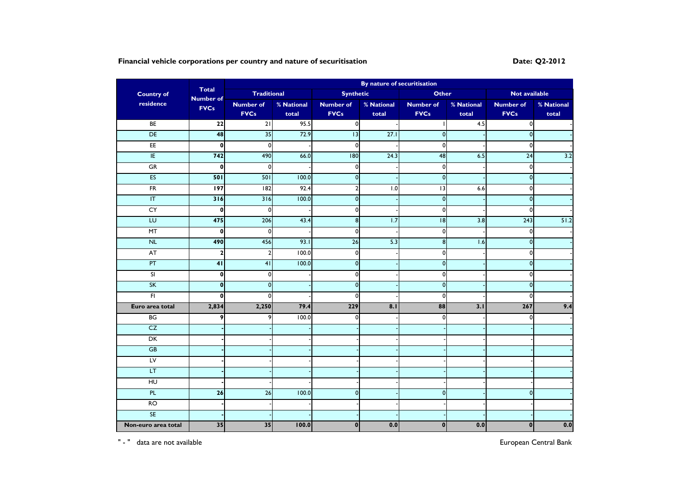# **Financial vehicle corporations per country and nature of securitisation Date: Q2-2012 Date:** Q2-2012

|                         |                                  |                    |            |                  | By nature of securitisation |                  |            |                    |            |
|-------------------------|----------------------------------|--------------------|------------|------------------|-----------------------------|------------------|------------|--------------------|------------|
| <b>Country of</b>       | <b>Total</b><br><b>Number of</b> | <b>Traditional</b> |            | <b>Synthetic</b> |                             | <b>Other</b>     |            | Not available      |            |
| residence               | <b>FVCs</b>                      | <b>Number of</b>   | % National | <b>Number of</b> | % National                  | <b>Number of</b> | % National | <b>Number of</b>   | % National |
|                         |                                  | <b>FVCs</b>        | total      | <b>FVCs</b>      | total                       | <b>FVCs</b>      | total      | <b>FVCs</b>        | total      |
| BE                      | $\overline{22}$                  | $\overline{21}$    | 95.5       | $\overline{0}$   |                             |                  | 4.5        | $\mathbf{0}$       |            |
| DE                      | 48                               | 35                 | 72.9       | 13               | 27.1                        | $\mathbf{0}$     |            | $\mathbf 0$        |            |
| E                       | $\mathbf 0$                      | $\overline{0}$     |            | $\mathbf{0}$     |                             | $\mathbf{0}$     |            | $\mathbf 0$        |            |
| E                       | 742                              | 490                | 66.0       | 180              | 24.3                        | 48               | 6.5        | $\overline{24}$    | 3.2        |
| GR                      | $\mathbf 0$                      | $\overline{0}$     |            | $\mathbf{0}$     |                             | $\overline{0}$   |            | 0                  |            |
| ES                      | 501                              | 501                | 100.0      | $\mathbf{0}$     |                             | $\mathbf{0}$     |            | $\mathbf 0$        |            |
| $\overline{FR}$         | 197                              | 182                | 92.4       | $\overline{2}$   | 1.0                         | $\overline{13}$  | 6.6        | $\mathbf 0$        |            |
| $\overline{\mathsf{T}}$ | 316                              | 316                | 100.0      | $\mathbf{0}$     |                             | $\overline{0}$   |            | $\mathbf 0$        |            |
| CY                      | $\mathbf 0$                      | $\mathbf 0$        |            | $\circ$          |                             | $\overline{0}$   |            | 0                  |            |
| $\overline{L}$          | 475                              | 206                | 43.4       | $\bf 8$          | 1.7                         | $\overline{8}$   | 3.8        | 243                | 51.2       |
| MT                      | $\mathbf{0}$                     | $\mathbf{0}$       |            | $\mathbf{0}$     |                             | $\mathbf{0}$     |            | 0                  |            |
| N <sub>L</sub>          | 490                              | 456                | 93.1       | 26               | 5.3                         | $\bf 8$          | 1.6        | $\pmb{\mathsf{O}}$ |            |
| <b>AT</b>               | $\mathbf{2}$                     | $\overline{2}$     | 100.0      | $\mathbf 0$      |                             | 0                |            | 0                  |            |
| PT                      | 41                               | 41                 | 100.0      | $\overline{0}$   |                             | $\overline{0}$   |            | $\mathbf 0$        |            |
| SI                      | $\mathbf{0}$                     | $\Omega$           |            | $\mathbf{0}$     |                             | $\mathbf 0$      |            | 0                  |            |
| SK                      | $\bf{0}$                         | $\mathbf 0$        |            | $\pmb{0}$        |                             | $\overline{0}$   |            | $\pmb{0}$          |            |
| F1                      | $\mathbf{0}$                     | $\Omega$           |            | $\mathbf{0}$     |                             | $\mathbf 0$      |            | 0                  |            |
| Euro area total         | 2,834                            | 2,250              | 79.4       | 229              | 8.1                         | 88               | 3.1        | 267                | 9.4        |
| BG                      | 9                                | 9                  | 100.0      | $\Omega$         |                             | $\mathbf 0$      |            | 0                  |            |
| CZ                      |                                  |                    |            |                  |                             |                  |            |                    |            |
| DK                      |                                  |                    |            |                  |                             |                  |            |                    |            |
| GB                      |                                  |                    |            |                  |                             |                  |            |                    |            |
| $L_{\text{V}}$          |                                  |                    |            |                  |                             |                  |            |                    |            |
| LT.                     |                                  |                    |            |                  |                             |                  |            |                    |            |
| H <sub>U</sub>          |                                  |                    |            |                  |                             |                  |            |                    |            |
| PL                      | 26                               | 26                 | 100.0      | $\mathsf{o}$     |                             | $\mathbf{0}$     |            | $\mathbf 0$        |            |
| $\overline{RO}$         |                                  |                    |            |                  |                             |                  |            |                    |            |
| <b>SE</b>               |                                  |                    |            |                  |                             |                  |            |                    |            |
| Non-euro area total     | 35                               | 35                 | 100.0      | $\mathbf{0}$     | 0.0                         | $\pmb{0}$        | 0.0        | $\mathbf{0}$       | 0.0        |

" - " data are not available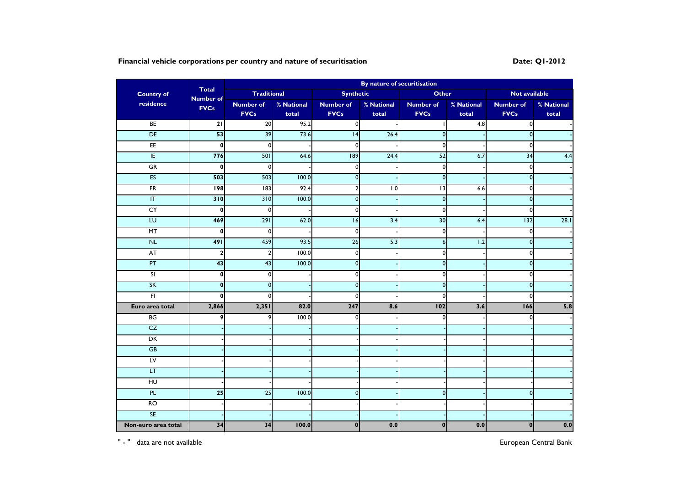# **Financial vehicle corporations per country and nature of securitisation Date: Q1-2012**

|                         | By nature of securitisation<br><b>Total</b> |                         |            |                  |            |                  |            |                  |            |
|-------------------------|---------------------------------------------|-------------------------|------------|------------------|------------|------------------|------------|------------------|------------|
| <b>Country of</b>       | <b>Number of</b>                            | <b>Traditional</b>      |            | <b>Synthetic</b> |            | <b>Other</b>     |            | Not available    |            |
| residence               | <b>FVCs</b>                                 | <b>Number of</b>        | % National | <b>Number of</b> | % National | <b>Number of</b> | % National | <b>Number of</b> | % National |
|                         |                                             | <b>FVCs</b>             | total      | <b>FVCs</b>      | total      | <b>FVCs</b>      | total      | <b>FVCs</b>      | total      |
| BE                      | $\overline{21}$                             | 20                      | 95.2       | οI               |            |                  | 4.8        | $\mathbf 0$      |            |
| DE                      | 53                                          | 39                      | 73.6       | 4                | 26.4       | $\mathbf 0$      |            | $\mathbf 0$      |            |
| E                       | $\mathbf{0}$                                | $\mathbf{0}$            |            | $\mathbf{0}$     |            | $\mathbf 0$      |            | $\mathbf 0$      |            |
| E                       | 776                                         | 501                     | 64.6       | $\overline{189}$ | 24.4       | $\overline{52}$  | 6.7        | $\overline{34}$  | 4.4        |
| GR                      | $\mathbf 0$                                 | $\mathbf 0$             |            | $\mathbf{0}$     |            | $\pmb{0}$        |            | $\pmb{0}$        |            |
| ES                      | 503                                         | 503                     | 100.0      | $\mathbf{0}$     |            | $\mathbf 0$      |            | $\mathbf 0$      |            |
| $\overline{FR}$         | <b>198</b>                                  | $\overline{183}$        | 92.4       | $\overline{2}$   | 1.0        | $\overline{u}$   | $6.6$      | $\mathbf 0$      |            |
| $\overline{\mathsf{T}}$ | 310                                         | 310                     | 100.0      | $\mathbf{0}$     |            | $\mathbf 0$      |            | $\mathbf 0$      |            |
| CY                      | $\pmb{0}$                                   | $\mathbf 0$             |            | $\circ$          |            | $\pmb{0}$        |            | $\mathbf 0$      |            |
| EU                      | 469                                         | $\overline{291}$        | 62.0       | $\overline{16}$  | 3.4        | $\overline{30}$  | 6.4        | 132              | 28.1       |
| MT                      | $\mathbf 0$                                 | $\mathbf 0$             |            | $\mathbf{0}$     |            | $\mathbf 0$      |            | $\mathbf 0$      |            |
| N <sub>L</sub>          | 491                                         | 459                     | 93.5       | 26               | 5.3        | $\boldsymbol{6}$ | 1.2        | $\mathbf 0$      |            |
| <b>AT</b>               | $\mathbf{2}$                                | $\overline{\mathbf{c}}$ | 100.0      | $\mathbf 0$      |            | $\mathbf 0$      |            | $\mathbf 0$      |            |
| PT                      | 43                                          | 43                      | 100.0      | $\overline{0}$   |            | $\mathbf 0$      |            | $\mathbf 0$      |            |
| SI                      | $\mathbf 0$                                 | $\Omega$                |            | $\mathbf{0}$     |            | $\mathbf 0$      |            | $\mathbf 0$      |            |
| SK                      | $\mathbf{0}$                                | $\mathbf 0$             |            | $\pmb{0}$        |            | $\mathbf 0$      |            | $\mathbf 0$      |            |
| F <sub>1</sub>          | $\mathbf 0$                                 | $\Omega$                |            | $\mathbf 0$      |            | $\mathbf 0$      |            | $\mathbf 0$      |            |
| Euro area total         | 2,866                                       | 2,351                   | 82.0       | 247              | 8.6        | 102              | 3.6        | 166              | 5.8        |
| BG                      | 9                                           | 9                       | 100.0      | $\Omega$         |            | $\mathbf 0$      |            | $\mathbf 0$      |            |
| CZ                      |                                             |                         |            |                  |            |                  |            |                  |            |
| DK                      |                                             |                         |            |                  |            |                  |            |                  |            |
| GB                      |                                             |                         |            |                  |            |                  |            |                  |            |
| $L_{\rm V}$             |                                             |                         |            |                  |            |                  |            |                  |            |
| LT                      |                                             |                         |            |                  |            |                  |            |                  |            |
| H <sub>U</sub>          |                                             |                         |            |                  |            |                  |            |                  |            |
| PL                      | $\overline{25}$                             | 25                      | 100.0      | $\mathsf{o}$     |            | $\overline{0}$   |            | $\mathbf{0}$     |            |
| RO                      |                                             |                         |            |                  |            |                  |            |                  |            |
| <b>SE</b>               |                                             |                         |            |                  |            |                  |            |                  |            |
| Non-euro area total     | 34                                          | 34                      | 100.0      | $\mathbf{0}$     | 0.0        | $\mathbf 0$      | 0.0        | $\bf{0}$         | 0.0        |

" - " data are not available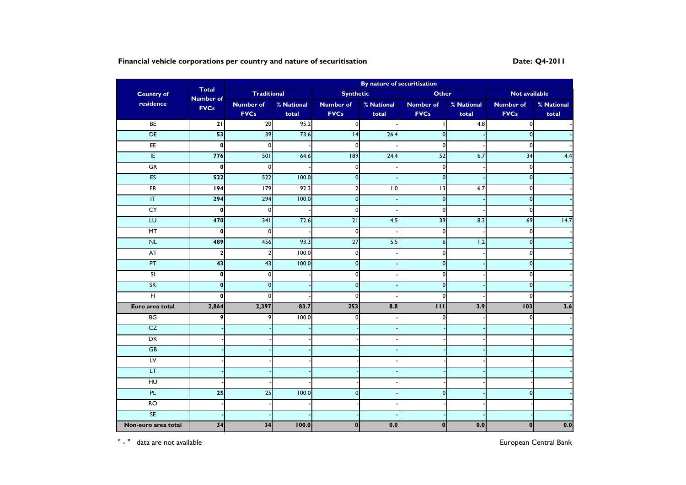# **Financial vehicle corporations per country and nature of securitisation Date: Date: Q4-2011**

| By nature of securitisation<br><b>Total</b> |                  |                         |            |                  |            |                  |            |                  |                   |
|---------------------------------------------|------------------|-------------------------|------------|------------------|------------|------------------|------------|------------------|-------------------|
| <b>Country of</b>                           | <b>Number of</b> | <b>Traditional</b>      |            | <b>Synthetic</b> |            | <b>Other</b>     |            | Not available    |                   |
| residence                                   | <b>FVCs</b>      | <b>Number of</b>        | % National | <b>Number of</b> | % National | <b>Number of</b> | % National | <b>Number of</b> | % National        |
|                                             |                  | <b>FVCs</b>             | total      | <b>FVCs</b>      | total      | <b>FVCs</b>      | total      | <b>FVCs</b>      | total             |
| BE                                          | $\overline{21}$  | 20                      | 95.2       | $\overline{0}$   |            |                  | 4.8        | $\mathbf 0$      |                   |
| DE                                          | 53               | 39                      | 73.6       | 4                | 26.4       | $\mathbf 0$      |            | $\mathbf 0$      |                   |
| E                                           | $\mathbf{0}$     | $\mathbf{0}$            |            | $\mathbf{0}$     |            | $\mathbf 0$      |            | $\mathbf 0$      |                   |
| E                                           | 776              | 501                     | 64.6       | $\overline{189}$ | 24.4       | $\overline{52}$  | 6.7        | $\overline{34}$  | 4.4               |
| GR                                          | $\mathbf{0}$     | $\mathbf 0$             |            | $\mathbf{0}$     |            | $\pmb{0}$        |            | $\pmb{0}$        |                   |
| ES                                          | 522              | 522                     | 100.0      | $\mathbf{0}$     |            | $\mathbf 0$      |            | $\mathbf 0$      |                   |
| $\overline{FR}$                             | 194              | $\overline{179}$        | 92.3       | $\overline{2}$   | 1.0        | $\overline{u}$   | 6.7        | $\mathbf 0$      |                   |
| $\overline{\mathsf{T}}$                     | 294              | 294                     | 100.0      | $\mathbf{0}$     |            | $\mathbf 0$      |            | $\mathbf 0$      |                   |
| CY                                          | $\mathbf{0}$     | $\mathbf 0$             |            | $\circ$          |            | $\pmb{0}$        |            | $\pmb{0}$        |                   |
| EU                                          | 470              | 341                     | 72.6       | $\overline{21}$  | 4.5        | 39               | 8.3        | 69               | $\overline{14.7}$ |
| MT                                          | $\mathbf 0$      | $\overline{0}$          |            | $\mathbf{0}$     |            | $\mathbf 0$      |            | $\mathbf 0$      |                   |
| N <sub>L</sub>                              | 489              | 456                     | 93.3       | $\overline{27}$  | 5.5        | $\boldsymbol{6}$ | 1.2        | $\mathbf 0$      |                   |
| <b>AT</b>                                   | $\mathbf{2}$     | $\overline{\mathbf{c}}$ | 100.0      | $\mathbf 0$      |            | $\mathbf 0$      |            | $\pmb{0}$        |                   |
| PT                                          | 43               | 43                      | 100.0      | $\overline{0}$   |            | $\mathbf 0$      |            | $\mathbf 0$      |                   |
| SI                                          | $\mathbf{0}$     | $\Omega$                |            | $\mathbf{0}$     |            | $\mathbf 0$      |            | $\mathbf 0$      |                   |
| SK                                          | $\mathbf{0}$     | $\mathbf 0$             |            | $\pmb{0}$        |            | $\mathbf 0$      |            | $\pmb{0}$        |                   |
| F <sub>1</sub>                              | $\mathbf 0$      | $\Omega$                |            | $\mathbf{0}$     |            | $\mathbf 0$      |            | $\mathbf 0$      |                   |
| Euro area total                             | 2,864            | 2,397                   | 83.7       | 253              | 8.8        | $\overline{111}$ | 3.9        | 103              | 3.6               |
| BG                                          | 9                | 9                       | 100.0      | $\Omega$         |            | $\mathbf 0$      |            | $\mathbf 0$      |                   |
| CZ                                          |                  |                         |            |                  |            |                  |            |                  |                   |
| DK                                          |                  |                         |            |                  |            |                  |            |                  |                   |
| GB                                          |                  |                         |            |                  |            |                  |            |                  |                   |
| $L_{\rm V}$                                 |                  |                         |            |                  |            |                  |            |                  |                   |
| LT                                          |                  |                         |            |                  |            |                  |            |                  |                   |
| H <sub>U</sub>                              |                  |                         |            |                  |            |                  |            |                  |                   |
| PL                                          | $\overline{25}$  | 25                      | 100.0      | $\mathsf{o}$     |            | $\overline{0}$   |            | $\mathbf{0}$     |                   |
| RO                                          |                  |                         |            |                  |            |                  |            |                  |                   |
| <b>SE</b>                                   |                  |                         |            |                  |            |                  |            |                  |                   |
| Non-euro area total                         | 34               | 34                      | 100.0      | $\mathbf{0}$     | 0.0        | $\mathbf 0$      | 0.0        | $\bf{0}$         | 0.0               |

" - " data are not available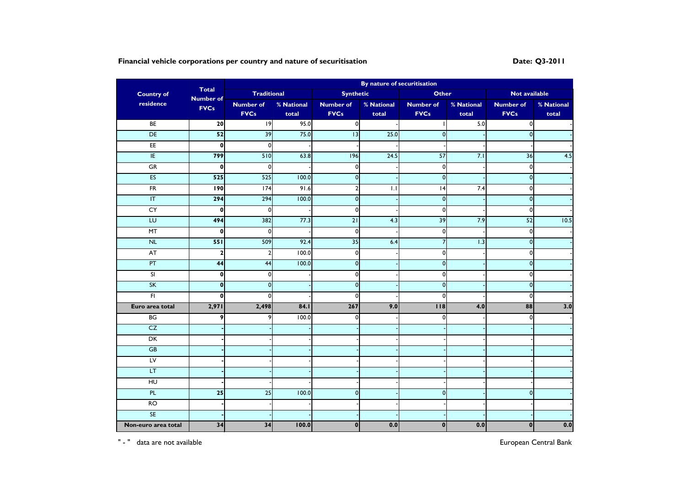# **Financial vehicle corporations per country and nature of securitisation Date: Q3-2011**

|                         |                                  |                         |            |                  | By nature of securitisation |                  |            |                  |            |
|-------------------------|----------------------------------|-------------------------|------------|------------------|-----------------------------|------------------|------------|------------------|------------|
| <b>Country of</b>       | <b>Total</b><br><b>Number of</b> | <b>Traditional</b>      |            | <b>Synthetic</b> |                             | <b>Other</b>     |            | Not available    |            |
| residence               | <b>FVCs</b>                      | <b>Number of</b>        | % National | <b>Number of</b> | % National                  | <b>Number of</b> | % National | <b>Number of</b> | % National |
|                         |                                  | <b>FVCs</b>             | total      | <b>FVCs</b>      | total                       | <b>FVCs</b>      | total      | <b>FVCs</b>      | total      |
| BE                      | 20                               | 9                       | 95.0       | $\overline{0}$   |                             |                  | 5.0        | $\mathbf 0$      |            |
| DE                      | 52                               | 39                      | 75.0       | 13               | 25.0                        | $\mathbf 0$      |            | $\mathbf 0$      |            |
| E                       | $\mathbf{0}$                     | $\mathbf{0}$            |            |                  |                             |                  |            |                  |            |
| E                       | 799                              | 510                     | 63.8       | 196              | 24.5                        | $\overline{57}$  | 7.1        | 36               | 4.5        |
| GR                      | $\mathbf{0}$                     | $\mathbf 0$             |            | $\mathbf{0}$     |                             | $\mathbf 0$      |            | $\pmb{0}$        |            |
| ES                      | 525                              | 525                     | 100.0      | $\mathbf{0}$     |                             | $\mathbf 0$      |            | $\mathbf 0$      |            |
| $\overline{FR}$         | <b>190</b>                       | $\overline{174}$        | 91.6       | $\overline{2}$   | 1.1                         | 4                | 7.4        | $\mathbf 0$      |            |
| $\overline{\mathsf{T}}$ | 294                              | 294                     | 100.0      | $\mathbf{0}$     |                             | $\mathbf 0$      |            | $\mathbf 0$      |            |
| CY                      | $\pmb{0}$                        | $\mathbf 0$             |            | $\circ$          |                             | $\mathbf 0$      |            | $\pmb{0}$        |            |
| EU                      | 494                              | 382                     | 77.3       | $\overline{21}$  | 4.3                         | 39               | 7.9        | 52               | 10.5       |
| MT                      | $\mathbf 0$                      | $\mathbf 0$             |            | $\mathbf{0}$     |                             | $\mathbf 0$      |            | $\mathbf 0$      |            |
| N <sub>L</sub>          | 551                              | 509                     | 92.4       | 35               | 6.4                         | $\overline{7}$   | 1.3        | $\mathbf 0$      |            |
| <b>AT</b>               | $\mathbf{2}$                     | $\overline{\mathbf{c}}$ | 100.0      | $\mathbf 0$      |                             | $\mathbf 0$      |            | $\pmb{0}$        |            |
| PT                      | 44                               | 44                      | 100.0      | $\overline{0}$   |                             | $\mathbf 0$      |            | $\mathbf 0$      |            |
| SI                      | $\mathbf{0}$                     | $\Omega$                |            | $\mathbf{0}$     |                             | $\mathbf 0$      |            | $\mathbf 0$      |            |
| SK                      | $\mathbf{0}$                     | $\mathbf 0$             |            | $\pmb{0}$        |                             | $\mathbf 0$      |            | $\pmb{0}$        |            |
| F <sub>1</sub>          | $\mathbf 0$                      | $\Omega$                |            | $\mathbf{0}$     |                             | $\mathbf 0$      |            | $\mathbf 0$      |            |
| Euro area total         | 2,971                            | 2,498                   | 84.1       | 267              | 9.0                         | 118              | 4.0        | 88               | 3.0        |
| BG                      | 9                                | 9                       | 100.0      | $\Omega$         |                             | $\mathbf 0$      |            | $\mathbf 0$      |            |
| CZ                      |                                  |                         |            |                  |                             |                  |            |                  |            |
| DK                      |                                  |                         |            |                  |                             |                  |            |                  |            |
| GB                      |                                  |                         |            |                  |                             |                  |            |                  |            |
| $L_{\rm V}$             |                                  |                         |            |                  |                             |                  |            |                  |            |
| LT                      |                                  |                         |            |                  |                             |                  |            |                  |            |
| H <sub>U</sub>          |                                  |                         |            |                  |                             |                  |            |                  |            |
| PL                      | $\overline{25}$                  | 25                      | 100.0      | $\mathsf{o}$     |                             | $\overline{0}$   |            | $\mathbf{0}$     |            |
| RO                      |                                  |                         |            |                  |                             |                  |            |                  |            |
| <b>SE</b>               |                                  |                         |            |                  |                             |                  |            |                  |            |
| Non-euro area total     | 34                               | 34                      | 100.0      | $\mathbf{0}$     | 0.0                         | $\mathbf 0$      | 0.0        | $\bf{0}$         | 0.0        |

" - " data are not available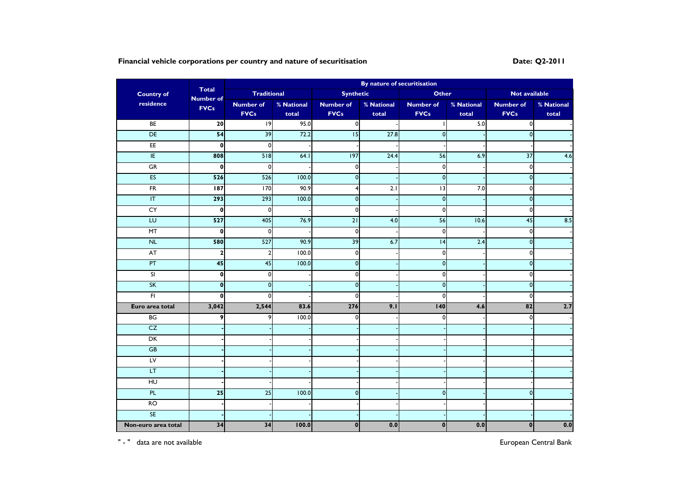# **Financial vehicle corporations per country and nature of securitisation Date: Date: Q2-2011**

|                         | By nature of securitisation<br><b>Total</b> |                         |            |                  |                  |                  |            |                  |            |
|-------------------------|---------------------------------------------|-------------------------|------------|------------------|------------------|------------------|------------|------------------|------------|
| <b>Country of</b>       | <b>Number of</b>                            | <b>Traditional</b>      |            | <b>Synthetic</b> |                  | <b>Other</b>     |            | Not available    |            |
| residence               | <b>FVCs</b>                                 | <b>Number of</b>        | % National | <b>Number of</b> | % National       | <b>Number of</b> | % National | <b>Number of</b> | % National |
|                         |                                             | <b>FVCs</b>             | total      | <b>FVCs</b>      | total            | <b>FVCs</b>      | total      | <b>FVCs</b>      | total      |
| BE                      | 20                                          | 9                       | 95.0       | $\overline{0}$   |                  |                  | 5.0        | $\mathbf 0$      |            |
| DE                      | 54                                          | 39                      | 72.2       | 15               | 27.8             | $\mathbf 0$      |            | $\mathbf 0$      |            |
| E                       | 0                                           | $\mathbf{0}$            |            |                  |                  |                  |            |                  |            |
| E                       | 808                                         | 518                     | 64.1       | 97               | 24.4             | 56               | 6.9        | $\overline{37}$  | 4.6        |
| GR                      | $\mathbf{0}$                                | $\mathbf 0$             |            | $\mathbf{0}$     |                  | $\pmb{0}$        |            | $\pmb{0}$        |            |
| ES                      | 526                                         | 526                     | 100.0      | $\mathbf{0}$     |                  | $\mathbf 0$      |            | $\mathbf 0$      |            |
| $\overline{FR}$         | 187                                         | $\overline{5}$          | 90.9       | $\overline{4}$   | $\overline{2.1}$ | $\overline{u}$   | 7.0        | $\mathbf 0$      |            |
| $\overline{\mathsf{T}}$ | 293                                         | 293                     | 100.0      | $\mathbf{0}$     |                  | $\mathbf 0$      |            | $\mathbf 0$      |            |
| CY                      | $\mathbf{0}$                                | $\mathbf 0$             |            | $\circ$          |                  | $\pmb{0}$        |            | $\pmb{0}$        |            |
| EU                      | 527                                         | 405                     | 76.9       | $\overline{21}$  | 4.0              | 56               | 10.6       | 45               | 8.5        |
| MT                      | $\mathbf 0$                                 | $\mathbf 0$             |            | $\mathbf{0}$     |                  | $\mathbf 0$      |            | $\mathbf 0$      |            |
| N <sub>L</sub>          | 580                                         | 527                     | 90.9       | 39               | 6.7              | $\overline{14}$  | 2.4        | $\mathbf 0$      |            |
| <b>AT</b>               | $\mathbf{2}$                                | $\overline{\mathbf{c}}$ | 100.0      | $\mathbf 0$      |                  | $\pmb{0}$        |            | $\pmb{0}$        |            |
| PT                      | 45                                          | 45                      | 100.0      | $\overline{0}$   |                  | $\mathbf 0$      |            | $\mathbf 0$      |            |
| SI                      | $\mathbf{0}$                                | $\Omega$                |            | $\mathbf{0}$     |                  | $\mathbf 0$      |            | $\mathbf 0$      |            |
| SK                      | $\mathbf{0}$                                | $\mathbf 0$             |            | $\pmb{0}$        |                  | $\mathbf 0$      |            | $\pmb{0}$        |            |
| F <sub>1</sub>          | $\mathbf 0$                                 | $\Omega$                |            | $\mathbf{0}$     |                  | $\mathbf 0$      |            | $\mathbf 0$      |            |
| Euro area total         | 3,042                                       | 2,544                   | 83.6       | 276              | 9.1              | 140              | 4.6        | $\overline{82}$  | 2.7        |
| BG                      | 9                                           | 9                       | 100.0      | $\Omega$         |                  | $\mathbf 0$      |            | $\mathbf 0$      |            |
| CZ                      |                                             |                         |            |                  |                  |                  |            |                  |            |
| DK                      |                                             |                         |            |                  |                  |                  |            |                  |            |
| GB                      |                                             |                         |            |                  |                  |                  |            |                  |            |
| $L_{\rm V}$             |                                             |                         |            |                  |                  |                  |            |                  |            |
| LT                      |                                             |                         |            |                  |                  |                  |            |                  |            |
| H <sub>U</sub>          |                                             |                         |            |                  |                  |                  |            |                  |            |
| PL                      | $\overline{25}$                             | 25                      | 100.0      | $\mathsf{o}$     |                  | $\mathbf{0}$     |            | $\mathbf{0}$     |            |
| RO                      |                                             |                         |            |                  |                  |                  |            |                  |            |
| <b>SE</b>               |                                             |                         |            |                  |                  |                  |            |                  |            |
| Non-euro area total     | 34                                          | 34                      | 100.0      | $\mathbf{0}$     | 0.0              | $\mathbf 0$      | 0.0        | $\bf{0}$         | 0.0        |

" - " data are not available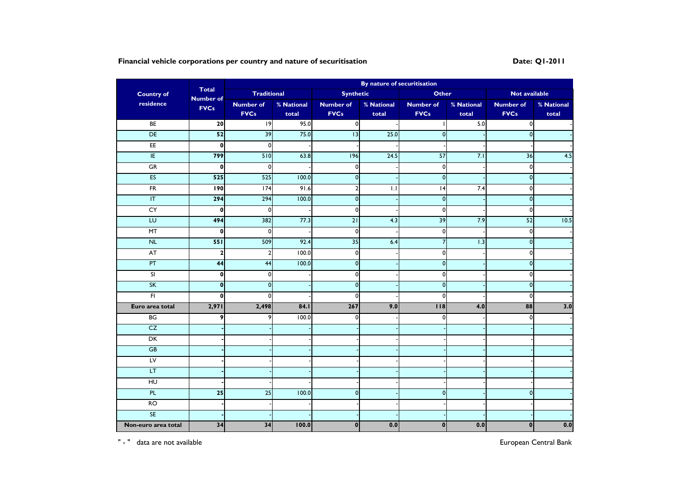# **Financial vehicle corporations per country and nature of securitisation Date: Q1-2011**

|                         |                                  |                         |            |                  | By nature of securitisation |                  |            |                  |            |
|-------------------------|----------------------------------|-------------------------|------------|------------------|-----------------------------|------------------|------------|------------------|------------|
| <b>Country of</b>       | <b>Total</b><br><b>Number of</b> | <b>Traditional</b>      |            | <b>Synthetic</b> |                             | <b>Other</b>     |            | Not available    |            |
| residence               | <b>FVCs</b>                      | <b>Number of</b>        | % National | <b>Number of</b> | % National                  | <b>Number of</b> | % National | <b>Number of</b> | % National |
|                         |                                  | <b>FVCs</b>             | total      | <b>FVCs</b>      | total                       | <b>FVCs</b>      | total      | <b>FVCs</b>      | total      |
| BE                      | 20                               | 9                       | 95.0       | $\overline{0}$   |                             |                  | 5.0        | $\mathbf 0$      |            |
| DE                      | 52                               | 39                      | 75.0       | 13               | 25.0                        | $\mathbf 0$      |            | $\mathbf 0$      |            |
| E                       | $\mathbf{0}$                     | $\mathbf{0}$            |            |                  |                             |                  |            |                  |            |
| E                       | 799                              | 510                     | 63.8       | 196              | 24.5                        | $\overline{57}$  | 7.1        | 36               | 4.5        |
| GR                      | $\mathbf{0}$                     | $\mathbf 0$             |            | $\mathbf{0}$     |                             | $\mathbf 0$      |            | $\pmb{0}$        |            |
| ES                      | 525                              | 525                     | 100.0      | $\mathbf{0}$     |                             | $\mathbf 0$      |            | $\mathbf 0$      |            |
| $\overline{FR}$         | <b>190</b>                       | $\overline{174}$        | 91.6       | $\overline{2}$   | 1.1                         | 4                | 7.4        | $\mathbf 0$      |            |
| $\overline{\mathsf{T}}$ | 294                              | 294                     | 100.0      | $\mathbf{0}$     |                             | $\mathbf 0$      |            | $\mathbf 0$      |            |
| CY                      | $\pmb{0}$                        | $\mathbf 0$             |            | $\circ$          |                             | $\mathbf 0$      |            | $\pmb{0}$        |            |
| EU                      | 494                              | 382                     | 77.3       | $\overline{21}$  | 4.3                         | 39               | 7.9        | 52               | 10.5       |
| MT                      | $\mathbf 0$                      | $\mathbf 0$             |            | $\mathbf{0}$     |                             | $\mathbf 0$      |            | $\mathbf 0$      |            |
| N <sub>L</sub>          | 551                              | 509                     | 92.4       | 35               | 6.4                         | $\overline{7}$   | 1.3        | $\mathbf 0$      |            |
| <b>AT</b>               | $\mathbf{2}$                     | $\overline{\mathbf{c}}$ | 100.0      | $\mathbf 0$      |                             | $\mathbf 0$      |            | $\pmb{0}$        |            |
| PT                      | 44                               | 44                      | 100.0      | $\overline{0}$   |                             | $\mathbf 0$      |            | $\mathbf 0$      |            |
| SI                      | $\mathbf{0}$                     | $\Omega$                |            | $\mathbf{0}$     |                             | $\mathbf 0$      |            | $\mathbf 0$      |            |
| SK                      | $\mathbf{0}$                     | $\mathbf 0$             |            | $\pmb{0}$        |                             | $\mathbf 0$      |            | $\pmb{0}$        |            |
| F <sub>1</sub>          | $\mathbf 0$                      | $\Omega$                |            | $\mathbf{0}$     |                             | $\mathbf 0$      |            | $\mathbf 0$      |            |
| Euro area total         | 2,971                            | 2,498                   | 84.1       | 267              | 9.0                         | 118              | 4.0        | 88               | 3.0        |
| BG                      | 9                                | 9                       | 100.0      | $\Omega$         |                             | $\mathbf 0$      |            | $\mathbf 0$      |            |
| CZ                      |                                  |                         |            |                  |                             |                  |            |                  |            |
| DK                      |                                  |                         |            |                  |                             |                  |            |                  |            |
| GB                      |                                  |                         |            |                  |                             |                  |            |                  |            |
| $L_{\rm V}$             |                                  |                         |            |                  |                             |                  |            |                  |            |
| LT                      |                                  |                         |            |                  |                             |                  |            |                  |            |
| H <sub>U</sub>          |                                  |                         |            |                  |                             |                  |            |                  |            |
| PL                      | $\overline{25}$                  | 25                      | 100.0      | $\mathsf{o}$     |                             | $\overline{0}$   |            | $\mathbf{0}$     |            |
| RO                      |                                  |                         |            |                  |                             |                  |            |                  |            |
| <b>SE</b>               |                                  |                         |            |                  |                             |                  |            |                  |            |
| Non-euro area total     | 34                               | 34                      | 100.0      | $\mathbf{0}$     | 0.0                         | $\mathbf 0$      | 0.0        | $\bf{0}$         | 0.0        |

" - " data are not available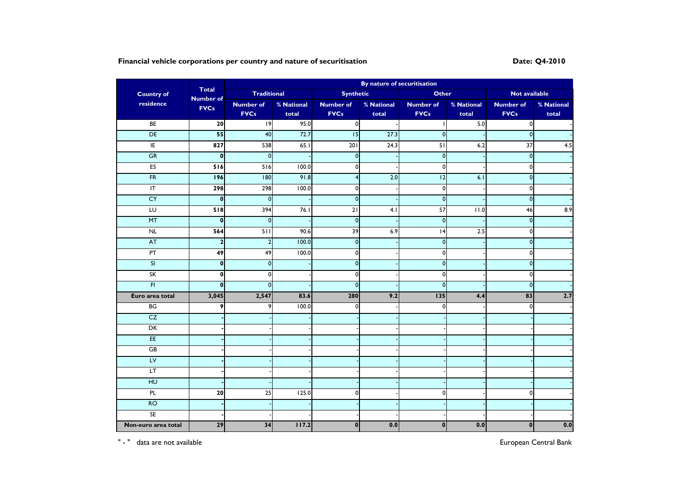# **Financial vehicle corporations per country and nature of securitisation Date: Q4-2010 Date:** Q4-2010

|                          |                                  | By nature of securitisation |            |                  |            |                  |                   |                    |            |  |
|--------------------------|----------------------------------|-----------------------------|------------|------------------|------------|------------------|-------------------|--------------------|------------|--|
| <b>Country of</b>        | <b>Total</b><br><b>Number of</b> | <b>Traditional</b>          |            | <b>Synthetic</b> |            | <b>Other</b>     |                   | Not available      |            |  |
| residence                | <b>FVCs</b>                      | <b>Number of</b>            | % National | <b>Number of</b> | % National | <b>Number of</b> | % National        | <b>Number of</b>   | % National |  |
|                          |                                  | <b>FVCs</b>                 | total      | <b>FVCs</b>      | total      | <b>FVCs</b>      | total             | <b>FVCs</b>        | total      |  |
| BE                       | 20                               | 19                          | 95.0       | $\overline{0}$   |            |                  | 5.0               | $\mathbf{0}$       |            |  |
| DE                       | 55                               | 40                          | 72.7       | 15               | 27.3       | $\mathbf{0}$     |                   | $\mathbf 0$        |            |  |
| E                        | 827                              | 538                         | 65.1       | 201              | 24.3       | 51               | 6.2               | $\overline{37}$    | 4.5        |  |
| GR                       | $\pmb{0}$                        | $\mathbf 0$                 |            | $\pmb{0}$        |            | $\overline{0}$   |                   | $\mathbf 0$        |            |  |
| ES                       | 516                              | 516                         | 100.0      | $\mathbf{0}$     |            | $\overline{0}$   |                   | 0                  |            |  |
| FR                       | <b>196</b>                       | 180                         | 91.8       | $\overline{4}$   | 2.0        | $\overline{12}$  | 6.1               | $\mathbf 0$        |            |  |
| $\overline{\mathsf{I}}$  | 298                              | 298                         | 100.0      | $\mathbf{0}$     |            | $\mathbf{0}$     |                   | $\mathbf 0$        |            |  |
| CY                       | $\pmb{0}$                        | $\overline{0}$              |            | $\mathbf{0}$     |            | $\overline{0}$   |                   | $\mathbf 0$        |            |  |
| LU                       | 518                              | 394                         | 76.1       | $\overline{21}$  | 4.1        | 57               | $\overline{11.0}$ | 46                 | 8.9        |  |
| MT                       | $\mathbf{0}$                     | $\overline{0}$              |            | $\mathbf{0}$     |            | $\overline{0}$   |                   | $\mathbf 0$        |            |  |
| NL                       | 564                              | 511                         | 90.6       | 39               | 6.9        | 4                | 2.5               | $\mathbf 0$        |            |  |
| <b>AT</b>                | $\overline{\mathbf{2}}$          | $\boldsymbol{2}$            | 100.0      | $\bullet$        |            | $\overline{0}$   |                   | $\pmb{\mathsf{O}}$ |            |  |
| PT                       | 49                               | 49                          | 100.0      | $\mathbf 0$      |            | $\pmb{0}$        |                   | 0                  |            |  |
| $\overline{\mathsf{SI}}$ | $\mathbf{0}$                     | $\mathbf 0$                 |            | $\mathbf{0}$     |            | $\mathbf{0}$     |                   | $\mathbf 0$        |            |  |
| SK                       | $\mathbf{0}$                     | $\Omega$                    |            | $\mathbf{0}$     |            | $\mathbf 0$      |                   | 0                  |            |  |
| F                        | $\mathbf{0}$                     | $\mathbf 0$                 |            | $\pmb{0}$        |            | $\overline{0}$   |                   | $\pmb{0}$          |            |  |
| Euro area total          | 3,045                            | 2,547                       | 83.6       | 280              | 9.2        | 135              | 4.4               | 83                 | 2.7        |  |
| BG                       | 9                                | 9                           | 100.0      | $\mathbf{0}$     |            | $\mathbf{0}$     |                   | 0                  |            |  |
| CZ                       |                                  |                             |            |                  |            |                  |                   |                    |            |  |
| DK                       |                                  |                             |            |                  |            |                  |                   |                    |            |  |
| EE                       |                                  |                             |            |                  |            |                  |                   |                    |            |  |
| GB                       |                                  |                             |            |                  |            |                  |                   |                    |            |  |
| LV                       |                                  |                             |            |                  |            |                  |                   |                    |            |  |
| LT.                      |                                  |                             |            |                  |            |                  |                   |                    |            |  |
| H                        |                                  |                             |            |                  |            |                  |                   |                    |            |  |
| PL                       | 20                               | $\overline{25}$             | 125.0      | $\mathbf{0}$     |            | $\mathbf{0}$     |                   | 0                  |            |  |
| RO                       |                                  |                             |            |                  |            |                  |                   |                    |            |  |
| $\overline{\mathsf{SE}}$ |                                  |                             |            |                  |            |                  |                   |                    |            |  |
| Non-euro area total      | 29                               | 34                          | 117.2      | $\mathbf{0}$     | 0.0        | $\pmb{0}$        | 0.0               | $\mathbf{0}$       | 0.0        |  |

" - " data are not available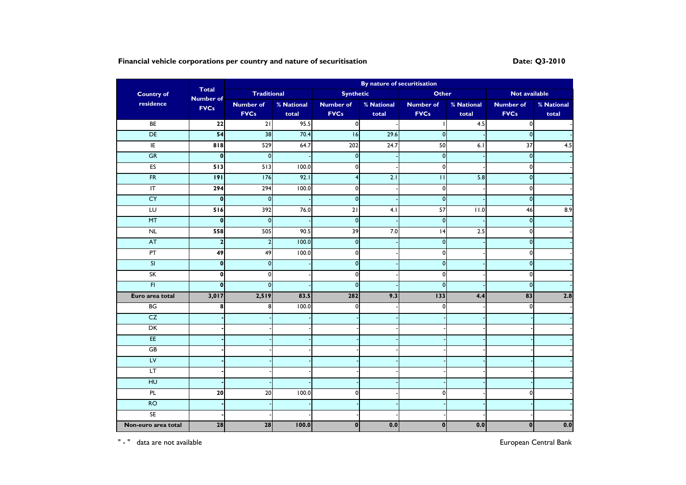# **Financial vehicle corporations per country and nature of securitisation Date: Q3-2010 Date:** Q3-2010

| <b>Country of</b>        | <b>Total</b><br><b>Number of</b> | <b>Traditional</b> |            | <b>Synthetic</b> |            | <b>Other</b>     |                   | Not available      |            |
|--------------------------|----------------------------------|--------------------|------------|------------------|------------|------------------|-------------------|--------------------|------------|
| residence                | <b>FVCs</b>                      | <b>Number of</b>   | % National | <b>Number of</b> | % National | <b>Number of</b> | % National        | <b>Number of</b>   | % National |
|                          |                                  | <b>FVCs</b>        | total      | <b>FVCs</b>      | total      | <b>FVCs</b>      | total             | <b>FVCs</b>        | total      |
| BE                       | $\overline{22}$                  | $\overline{21}$    | 95.5       | $\overline{0}$   |            |                  | 4.5               | $\mathbf{0}$       |            |
| DE                       | 54                               | 38                 | 70.4       | 16               | 29.6       | $\mathbf{0}$     |                   | $\mathbf 0$        |            |
| E                        | $\frac{8}{8}$                    | 529                | 64.7       | 202              | 24.7       | 50               | 6.1               | $\overline{37}$    | 4.5        |
| GR                       | $\pmb{0}$                        | $\mathbf 0$        |            | $\pmb{0}$        |            | $\overline{0}$   |                   | $\mathbf 0$        |            |
| ES                       | 513                              | 513                | 100.0      | $\mathbf{0}$     |            | $\overline{0}$   |                   | 0                  |            |
| FR                       | 9                                | 176                | 92.1       | $\overline{4}$   | 2.1        | П                | 5.8               | $\mathbf 0$        |            |
| $\overline{\mathsf{I}}$  | 294                              | 294                | 100.0      | $\mathbf{0}$     |            | $\mathbf{0}$     |                   | $\mathbf 0$        |            |
| CY                       | $\pmb{0}$                        | $\overline{0}$     |            | $\mathbf{0}$     |            | $\overline{0}$   |                   | $\mathbf 0$        |            |
| LU                       | 516                              | 392                | 76.0       | $\overline{21}$  | 4.1        | 57               | $\overline{11.0}$ | 46                 | 8.9        |
| MT                       | $\mathbf{0}$                     | $\overline{0}$     |            | $\mathbf{0}$     |            | $\overline{0}$   |                   | $\mathbf 0$        |            |
| NL                       | 558                              | 505                | 90.5       | 39               | 7.0        | 4                | 2.5               | $\mathbf 0$        |            |
| <b>AT</b>                | $\overline{\mathbf{c}}$          | $\boldsymbol{2}$   | 100.0      | $\bullet$        |            | $\overline{0}$   |                   | $\pmb{\mathsf{O}}$ |            |
| PT                       | 49                               | 49                 | 100.0      | $\mathbf 0$      |            | $\pmb{0}$        |                   | 0                  |            |
| $\overline{\mathsf{SI}}$ | $\mathbf{0}$                     | $\mathbf 0$        |            | $\mathbf{0}$     |            | $\mathbf{0}$     |                   | $\mathbf 0$        |            |
| SK                       | $\mathbf{0}$                     | $\Omega$           |            | $\mathbf{0}$     |            | $\mathbf 0$      |                   | 0                  |            |
| F                        | $\mathbf{0}$                     | $\mathbf 0$        |            | $\pmb{0}$        |            | $\overline{0}$   |                   | $\pmb{0}$          |            |
| Euro area total          | 3,017                            | 2,519              | 83.5       | 282              | 9.3        | 133              | 4.4               | 83                 | 2.8        |
| BG                       | 8                                | 8                  | 100.0      | $\mathbf{0}$     |            | $\mathbf{0}$     |                   | 0                  |            |
| CZ                       |                                  |                    |            |                  |            |                  |                   |                    |            |
| DK                       |                                  |                    |            |                  |            |                  |                   |                    |            |
| EE                       |                                  |                    |            |                  |            |                  |                   |                    |            |
| GB                       |                                  |                    |            |                  |            |                  |                   |                    |            |
| LV                       |                                  |                    |            |                  |            |                  |                   |                    |            |
| LT.                      |                                  |                    |            |                  |            |                  |                   |                    |            |
| H                        |                                  |                    |            |                  |            |                  |                   |                    |            |
| PL                       | 20                               | 20                 | 100.0      | $\mathbf{0}$     |            | $\mathbf{0}$     |                   | 0                  |            |
| RO                       |                                  |                    |            |                  |            |                  |                   |                    |            |
| $\overline{\mathsf{SE}}$ |                                  |                    |            |                  |            |                  |                   |                    |            |
| Non-euro area total      | 28                               | 28                 | 100.0      | $\mathbf{0}$     | 0.0        | $\mathbf 0$      | 0.0               | $\mathbf{0}$       | 0.0        |

" - " data are not available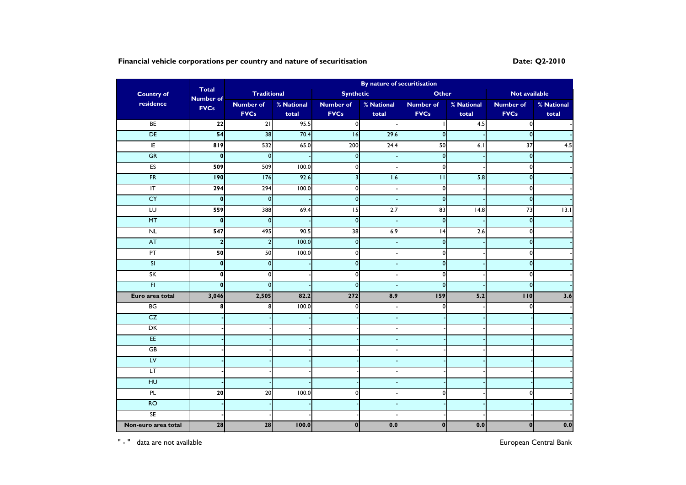# **Financial vehicle corporations per country and nature of securitisation Date: Date: Q2-2010**

| <b>Country of</b>       | <b>Total</b><br><b>Number of</b> | <b>Traditional</b>      |            | <b>Synthetic</b>        |            | <b>Other</b>     |            | Not available    |            |
|-------------------------|----------------------------------|-------------------------|------------|-------------------------|------------|------------------|------------|------------------|------------|
| residence               | <b>FVCs</b>                      | <b>Number of</b>        | % National | <b>Number of</b>        | % National | <b>Number of</b> | % National | <b>Number of</b> | % National |
|                         |                                  | <b>FVCs</b>             | total      | <b>FVCs</b>             | total      | <b>FVCs</b>      | total      | <b>FVCs</b>      | total      |
| BE                      | $\overline{22}$                  | $\overline{21}$         | 95.5       | $\overline{0}$          |            |                  | 4.5        | $\mathbf 0$      |            |
| DE                      | 54                               | 38                      | 70.4       | 16                      | 29.6       | $\mathbf 0$      |            | $\mathbf 0$      |            |
| E                       | $\overline{819}$                 | 532                     | 65.0       | 200                     | 24.4       | 50               | 6.1        | $\overline{37}$  | 4.5        |
| GR                      | $\boldsymbol{0}$                 | $\mathbf 0$             |            | $\pmb{0}$               |            | $\mathbf 0$      |            | $\mathbf 0$      |            |
| ES                      | 509                              | 509                     | 100.0      | $\mathbf 0$             |            | $\pmb{0}$        |            | $\mathbf 0$      |            |
| FR                      | 190                              | 176                     | 92.6       | $\overline{\mathbf{3}}$ | 1.6        | $\mathbf{H}$     | 5.8        | $\mathbf 0$      |            |
| $\overline{\mathbb{F}}$ | 294                              | 294                     | 100.0      | $\mathbf{0}$            |            | $\mathbf 0$      |            | $\mathbf 0$      |            |
| CY                      | $\mathbf{0}$                     | $\overline{0}$          |            | $\mathbf{0}$            |            | $\mathbf 0$      |            | $\mathbf 0$      |            |
| LU                      | 559                              | 388                     | 69.4       | $\overline{15}$         | 2.7        | 83               | 14.8       | 73               | 13.1       |
| MT                      | $\mathbf{0}$                     | $\overline{0}$          |            | $\mathbf{0}$            |            | $\mathbf 0$      |            | $\mathbf 0$      |            |
| NL                      | 547                              | 495                     | 90.5       | 38                      | 6.9        | 4                | 2.6        | $\mathbf 0$      |            |
| AT                      | $\mathbf{2}$                     | $\overline{\mathbf{c}}$ | 100.0      | $\bullet$               |            | $\mathbf 0$      |            | $\mathbf 0$      |            |
| PT                      | 50                               | 50                      | 100.0      | $\mathbf{0}$            |            | $\pmb{0}$        |            | $\pmb{0}$        |            |
| SI                      | $\mathbf{0}$                     | $\mathbf{0}$            |            | $\overline{0}$          |            | $\mathbf 0$      |            | $\mathbf 0$      |            |
| SK                      | $\mathbf 0$                      | $\Omega$                |            | $\Omega$                |            | $\mathbf 0$      |            | $\mathbf 0$      |            |
| $\overline{H}$          | $\mathbf{0}$                     | $\mathbf 0$             |            | $\pmb{0}$               |            | $\mathbf 0$      |            | $\mathbf 0$      |            |
| Euro area total         | 3,046                            | 2,505                   | 82.2       | 272                     | 8.9        | 159              | 5.2        | 110              | 3.6        |
| BG                      | 8                                | 8                       | 100.0      | $\mathbf{0}$            |            | $\mathbf 0$      |            | 0                |            |
| CZ                      |                                  |                         |            |                         |            |                  |            |                  |            |
| DK                      |                                  |                         |            |                         |            |                  |            |                  |            |
| EE                      |                                  |                         |            |                         |            |                  |            |                  |            |
| GB                      |                                  |                         |            |                         |            |                  |            |                  |            |
| LV                      |                                  |                         |            |                         |            |                  |            |                  |            |
| LT.                     |                                  |                         |            |                         |            |                  |            |                  |            |
| H <sub>U</sub>          |                                  |                         |            |                         |            |                  |            |                  |            |
| PL                      | 20                               | 20                      | 100.0      | $\mathbf{0}$            |            | $\mathbf 0$      |            | $\mathbf 0$      |            |
| RO                      |                                  |                         |            |                         |            |                  |            |                  |            |
| <b>SE</b>               |                                  |                         |            |                         |            |                  |            |                  |            |
| Non-euro area total     | 28                               | 28                      | 100.0      | $\mathbf{0}$            | 0.0        | $\mathbf 0$      | 0.0        | $\bf{0}$         | 0.0        |

" - " data are not available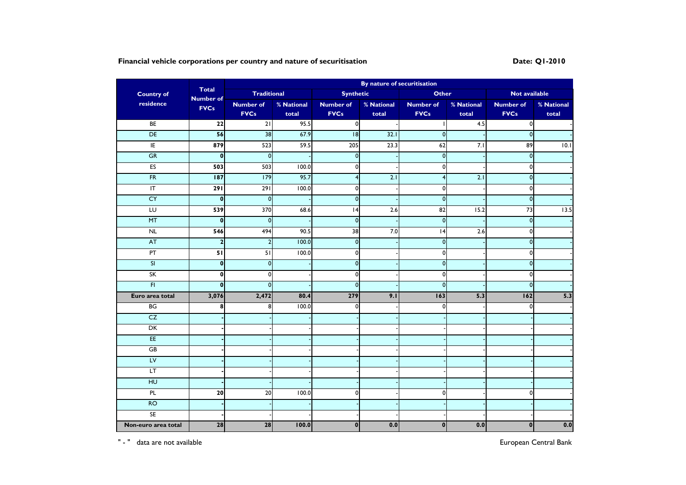# **Financial vehicle corporations per country and nature of securitisation Date: Q1-2010 Date:** Q1-2010

| <b>Country of</b><br>residence | <b>Total</b><br><b>Number of</b><br><b>FVCs</b> | By nature of securitisation |            |                  |                  |                  |            |                    |            |
|--------------------------------|-------------------------------------------------|-----------------------------|------------|------------------|------------------|------------------|------------|--------------------|------------|
|                                |                                                 | <b>Traditional</b>          |            | <b>Synthetic</b> |                  | <b>Other</b>     |            | Not available      |            |
|                                |                                                 | <b>Number of</b>            | % National | <b>Number of</b> | % National       | <b>Number of</b> | % National | <b>Number of</b>   | % National |
|                                |                                                 | <b>FVCs</b>                 | total      | <b>FVCs</b>      | total            | <b>FVCs</b>      | total      | <b>FVCs</b>        | total      |
| BE                             | $\overline{22}$                                 | $\overline{21}$             | 95.5       | $\overline{0}$   |                  |                  | 4.5        | $\mathbf{0}$       |            |
| DE                             | 56                                              | 38                          | 67.9       | 8                | 32.1             | $\mathbf{0}$     |            | $\mathbf 0$        |            |
| E                              | 879                                             | 523                         | 59.5       | 205              | 23.3             | 62               | 7.1        | 89                 | 0.1        |
| GR                             | $\pmb{0}$                                       | $\mathbf 0$                 |            | $\pmb{0}$        |                  | $\overline{0}$   |            | $\pmb{\mathsf{O}}$ |            |
| ES                             | 503                                             | 503                         | 100.0      | $\mathbf{0}$     |                  | $\overline{0}$   |            | 0                  |            |
| FR                             | 187                                             | 179                         | 95.7       | $\overline{4}$   | 2.1              | $\overline{4}$   | 2.1        | $\mathbf 0$        |            |
| $\overline{\mathsf{I}}$        | 291                                             | $\overline{291}$            | 100.0      | $\mathbf{0}$     |                  | $\mathbf{0}$     |            | $\pmb{0}$          |            |
| CY                             | $\pmb{0}$                                       | $\overline{0}$              |            | $\mathbf{0}$     |                  | $\overline{0}$   |            | $\mathbf 0$        |            |
| LU                             | 539                                             | 370                         | 68.6       | 4                | $\overline{2.6}$ | 82               | 15.2       | 73                 | 13.5       |
| MT                             | $\mathbf{0}$                                    | $\overline{0}$              |            | $\mathbf{0}$     |                  | $\overline{0}$   |            | $\mathbf 0$        |            |
| NL                             | 546                                             | 494                         | 90.5       | 38               | 7.0              | 4                | 2.6        | $\mathbf 0$        |            |
| <b>AT</b>                      | $\overline{\mathbf{2}}$                         | $\boldsymbol{2}$            | 100.0      | $\pmb{0}$        |                  | $\overline{0}$   |            | $\pmb{\mathsf{O}}$ |            |
| PT                             | 51                                              | 51                          | 100.0      | $\mathbf 0$      |                  | $\pmb{0}$        |            | 0                  |            |
| $\overline{\mathsf{SI}}$       | $\mathbf{0}$                                    | $\mathbf{0}$                |            | $\mathbf{0}$     |                  | $\mathbf{0}$     |            | $\mathbf 0$        |            |
| SK                             | $\mathbf{0}$                                    | $\Omega$                    |            | $\mathbf{0}$     |                  | $\mathbf 0$      |            | 0                  |            |
| F                              | $\mathbf{0}$                                    | $\mathbf 0$                 |            | $\mathbf{0}$     |                  | $\overline{0}$   |            | $\pmb{0}$          |            |
| Euro area total                | 3,076                                           | 2,472                       | 80.4       | 279              | 9.1              | 163              | 5.3        | 162                | 5.3        |
| BG                             | 8                                               | 8                           | 100.0      | $\mathbf{0}$     |                  | $\mathbf{0}$     |            | 0                  |            |
| CZ                             |                                                 |                             |            |                  |                  |                  |            |                    |            |
| DK                             |                                                 |                             |            |                  |                  |                  |            |                    |            |
| EE                             |                                                 |                             |            |                  |                  |                  |            |                    |            |
| GB                             |                                                 |                             |            |                  |                  |                  |            |                    |            |
| LV                             |                                                 |                             |            |                  |                  |                  |            |                    |            |
| LT.                            |                                                 |                             |            |                  |                  |                  |            |                    |            |
| H <sub>U</sub>                 |                                                 |                             |            |                  |                  |                  |            |                    |            |
| PL                             | 20                                              | 20                          | 100.0      | $\mathbf{0}$     |                  | $\mathbf{0}$     |            | 0                  |            |
| RO                             |                                                 |                             |            |                  |                  |                  |            |                    |            |
| $\overline{\mathsf{SE}}$       |                                                 |                             |            |                  |                  |                  |            |                    |            |
| Non-euro area total            | 28                                              | 28                          | 100.0      | $\mathbf{0}$     | 0.0              | $\mathbf 0$      | 0.0        | $\mathbf{0}$       | 0.0        |

" - " data are not available